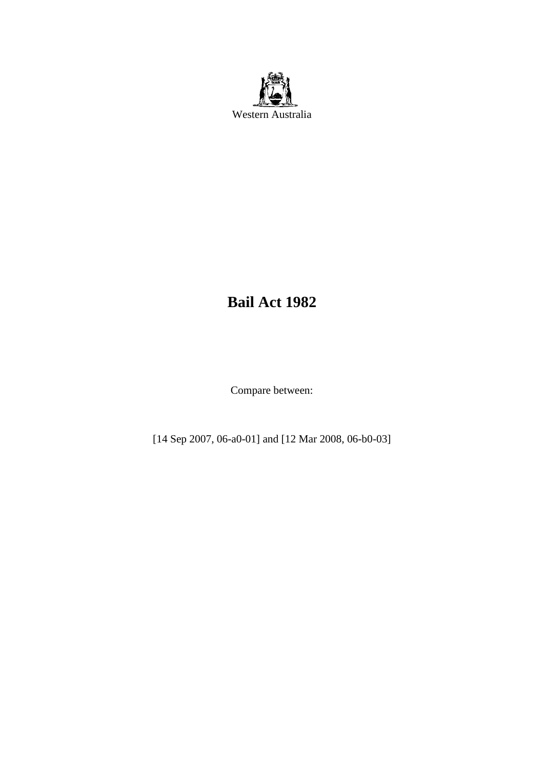

# **Bail Act 1982**

Compare between:

[14 Sep 2007, 06-a0-01] and [12 Mar 2008, 06-b0-03]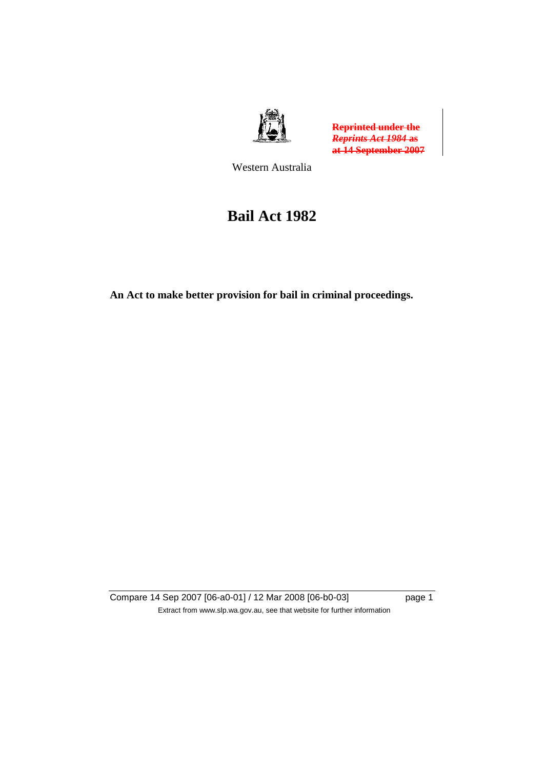

**Reprinted under the**  *Reprints Act 1984* **as at 14 September 2007**

Western Australia

# **Bail Act 1982**

**An Act to make better provision for bail in criminal proceedings.** 

Compare 14 Sep 2007 [06-a0-01] / 12 Mar 2008 [06-b0-03] page 1 Extract from www.slp.wa.gov.au, see that website for further information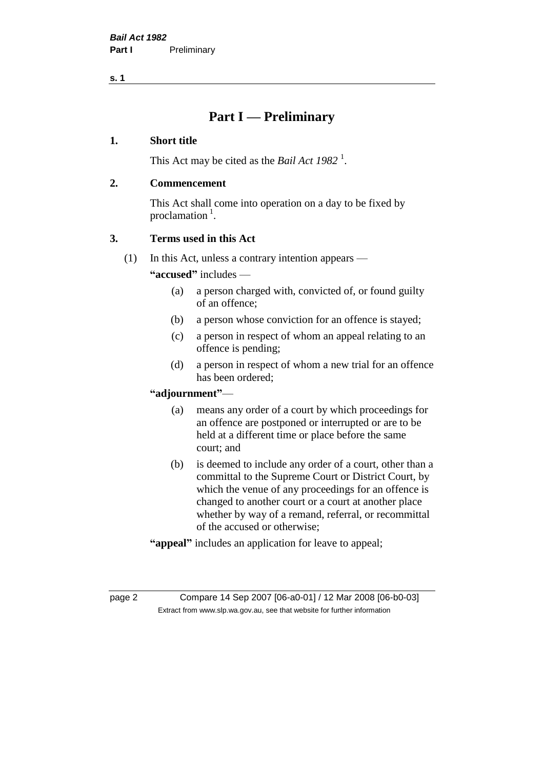## **Part I — Preliminary**

#### **1. Short title**

This Act may be cited as the *Bail Act* 1982<sup>1</sup>.

#### **2. Commencement**

This Act shall come into operation on a day to be fixed by proclamation  $<sup>1</sup>$ .</sup>

## **3. Terms used in this Act**

(1) In this Act, unless a contrary intention appears —

**"accused"** includes —

- (a) a person charged with, convicted of, or found guilty of an offence;
- (b) a person whose conviction for an offence is stayed;
- (c) a person in respect of whom an appeal relating to an offence is pending;
- (d) a person in respect of whom a new trial for an offence has been ordered;

#### **"adjournment"**—

- (a) means any order of a court by which proceedings for an offence are postponed or interrupted or are to be held at a different time or place before the same court; and
- (b) is deemed to include any order of a court, other than a committal to the Supreme Court or District Court, by which the venue of any proceedings for an offence is changed to another court or a court at another place whether by way of a remand, referral, or recommittal of the accused or otherwise;
- **"appeal"** includes an application for leave to appeal;

page 2 Compare 14 Sep 2007 [06-a0-01] / 12 Mar 2008 [06-b0-03] Extract from www.slp.wa.gov.au, see that website for further information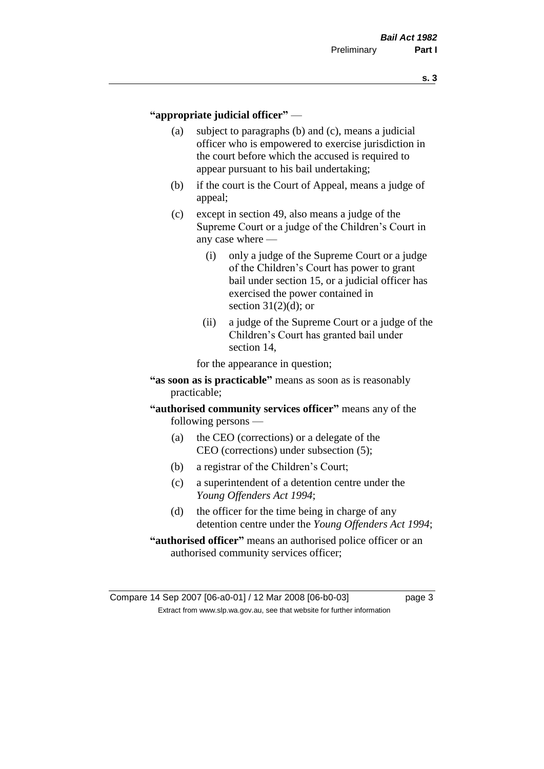#### **"appropriate judicial officer"** —

- (a) subject to paragraphs (b) and (c), means a judicial officer who is empowered to exercise jurisdiction in the court before which the accused is required to appear pursuant to his bail undertaking;
- (b) if the court is the Court of Appeal, means a judge of appeal;
- (c) except in section 49, also means a judge of the Supreme Court or a judge of the Children's Court in any case where —
	- (i) only a judge of the Supreme Court or a judge of the Children's Court has power to grant bail under section 15, or a judicial officer has exercised the power contained in section  $31(2)(d)$ ; or
	- (ii) a judge of the Supreme Court or a judge of the Children's Court has granted bail under section 14,

for the appearance in question;

- **"as soon as is practicable"** means as soon as is reasonably practicable;
- **"authorised community services officer"** means any of the following persons —
	- (a) the CEO (corrections) or a delegate of the CEO (corrections) under subsection (5);
	- (b) a registrar of the Children's Court;
	- (c) a superintendent of a detention centre under the *Young Offenders Act 1994*;
	- (d) the officer for the time being in charge of any detention centre under the *Young Offenders Act 1994*;
- **"authorised officer"** means an authorised police officer or an authorised community services officer;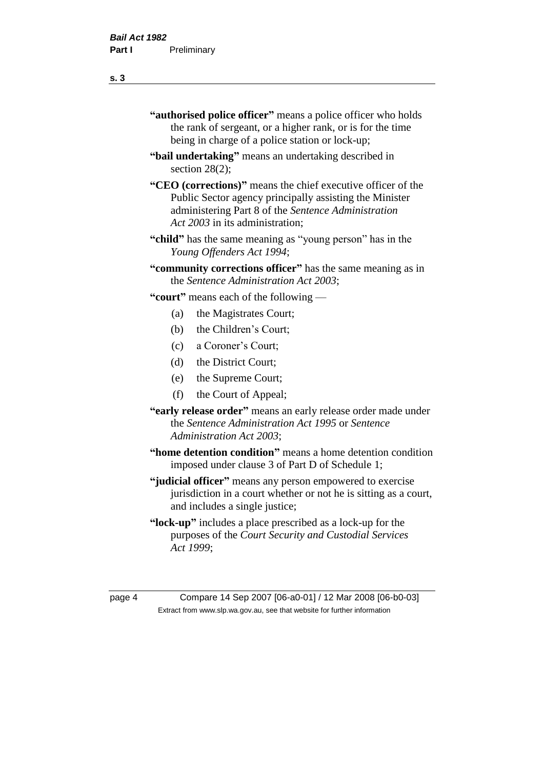- **"authorised police officer"** means a police officer who holds the rank of sergeant, or a higher rank, or is for the time being in charge of a police station or lock-up;
- **"bail undertaking"** means an undertaking described in section 28(2);
- **"CEO (corrections)"** means the chief executive officer of the Public Sector agency principally assisting the Minister administering Part 8 of the *Sentence Administration Act 2003* in its administration;
- **"child"** has the same meaning as "young person" has in the *Young Offenders Act 1994*;
- **"community corrections officer"** has the same meaning as in the *Sentence Administration Act 2003*;

**"court"** means each of the following —

- (a) the Magistrates Court;
- (b) the Children's Court;
- (c) a Coroner's Court;
- (d) the District Court;
- (e) the Supreme Court;
- (f) the Court of Appeal;
- **"early release order"** means an early release order made under the *Sentence Administration Act 1995* or *Sentence Administration Act 2003*;
- **"home detention condition"** means a home detention condition imposed under clause 3 of Part D of Schedule 1;
- **"judicial officer"** means any person empowered to exercise jurisdiction in a court whether or not he is sitting as a court, and includes a single justice;
- **"lock-up"** includes a place prescribed as a lock-up for the purposes of the *Court Security and Custodial Services Act 1999*;

page 4 Compare 14 Sep 2007 [06-a0-01] / 12 Mar 2008 [06-b0-03] Extract from www.slp.wa.gov.au, see that website for further information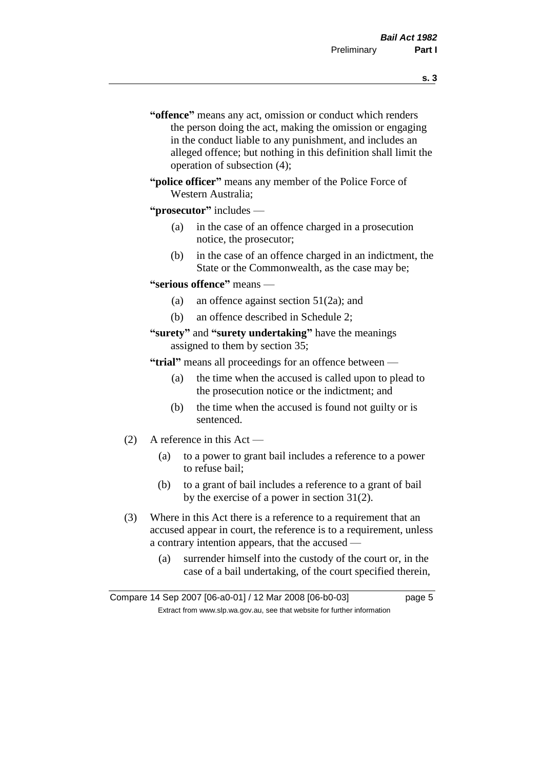- **s. 3**
- **"offence"** means any act, omission or conduct which renders the person doing the act, making the omission or engaging in the conduct liable to any punishment, and includes an alleged offence; but nothing in this definition shall limit the operation of subsection (4);
- **"police officer"** means any member of the Police Force of Western Australia;

#### **"prosecutor"** includes —

- (a) in the case of an offence charged in a prosecution notice, the prosecutor;
- (b) in the case of an offence charged in an indictment, the State or the Commonwealth, as the case may be;

#### **"serious offence"** means —

- (a) an offence against section 51(2a); and
- (b) an offence described in Schedule 2;

#### **"surety"** and **"surety undertaking"** have the meanings assigned to them by section 35;

**"trial"** means all proceedings for an offence between —

- (a) the time when the accused is called upon to plead to the prosecution notice or the indictment; and
- (b) the time when the accused is found not guilty or is sentenced.
- (2) A reference in this Act
	- (a) to a power to grant bail includes a reference to a power to refuse bail;
	- (b) to a grant of bail includes a reference to a grant of bail by the exercise of a power in section 31(2).
- (3) Where in this Act there is a reference to a requirement that an accused appear in court, the reference is to a requirement, unless a contrary intention appears, that the accused —
	- (a) surrender himself into the custody of the court or, in the case of a bail undertaking, of the court specified therein,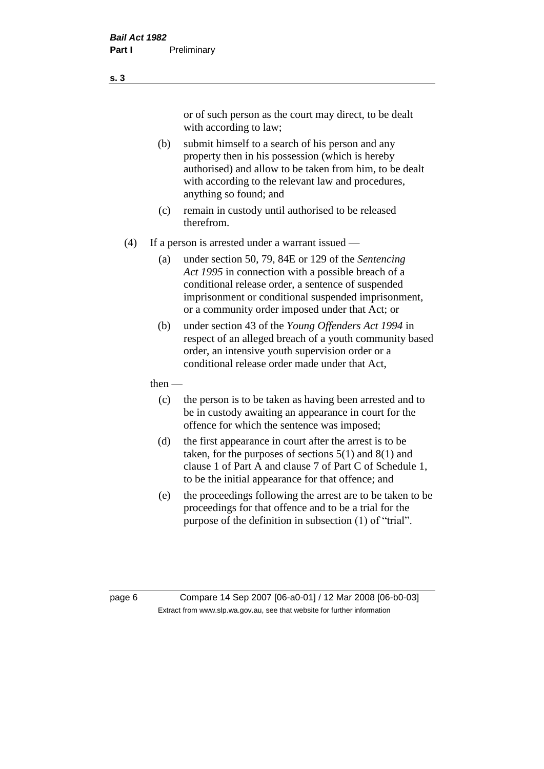or of such person as the court may direct, to be dealt with according to law;

(b) submit himself to a search of his person and any property then in his possession (which is hereby authorised) and allow to be taken from him, to be dealt with according to the relevant law and procedures, anything so found; and

- (c) remain in custody until authorised to be released therefrom.
- (4) If a person is arrested under a warrant issued
	- (a) under section 50, 79, 84E or 129 of the *Sentencing Act 1995* in connection with a possible breach of a conditional release order, a sentence of suspended imprisonment or conditional suspended imprisonment, or a community order imposed under that Act; or
	- (b) under section 43 of the *Young Offenders Act 1994* in respect of an alleged breach of a youth community based order, an intensive youth supervision order or a conditional release order made under that Act,
	- then
		- (c) the person is to be taken as having been arrested and to be in custody awaiting an appearance in court for the offence for which the sentence was imposed;
		- (d) the first appearance in court after the arrest is to be taken, for the purposes of sections  $5(1)$  and  $8(1)$  and clause 1 of Part A and clause 7 of Part C of Schedule 1, to be the initial appearance for that offence; and
		- (e) the proceedings following the arrest are to be taken to be proceedings for that offence and to be a trial for the purpose of the definition in subsection (1) of "trial".

page 6 Compare 14 Sep 2007 [06-a0-01] / 12 Mar 2008 [06-b0-03] Extract from www.slp.wa.gov.au, see that website for further information

**s. 3**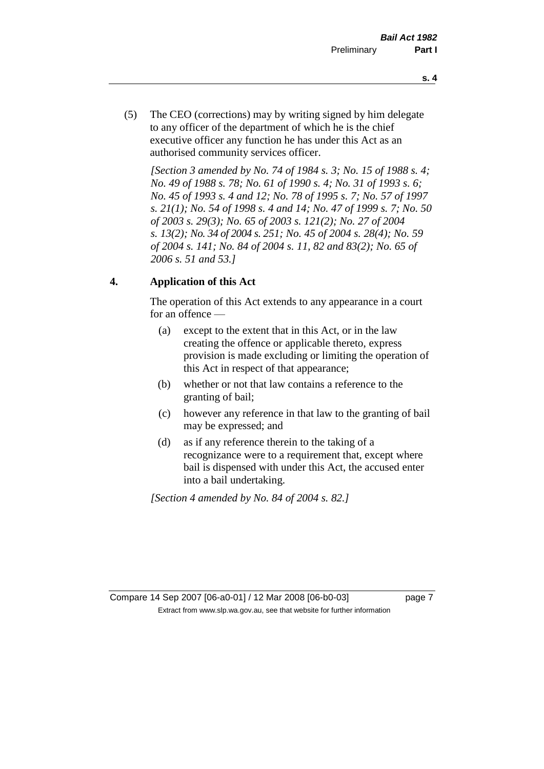- **s. 4**
- (5) The CEO (corrections) may by writing signed by him delegate to any officer of the department of which he is the chief executive officer any function he has under this Act as an authorised community services officer.

*[Section 3 amended by No. 74 of 1984 s. 3; No. 15 of 1988 s. 4; No. 49 of 1988 s. 78; No. 61 of 1990 s. 4; No. 31 of 1993 s. 6; No. 45 of 1993 s. 4 and 12; No. 78 of 1995 s. 7; No. 57 of 1997 s. 21(1); No. 54 of 1998 s. 4 and 14; No. 47 of 1999 s. 7; No. 50 of 2003 s. 29(3); No. 65 of 2003 s. 121(2); No. 27 of 2004 s. 13(2); No. 34 of 2004 s. 251; No. 45 of 2004 s. 28(4); No. 59 of 2004 s. 141; No. 84 of 2004 s. 11, 82 and 83(2); No. 65 of 2006 s. 51 and 53.]* 

## **4. Application of this Act**

The operation of this Act extends to any appearance in a court for an offence —

- (a) except to the extent that in this Act, or in the law creating the offence or applicable thereto, express provision is made excluding or limiting the operation of this Act in respect of that appearance;
- (b) whether or not that law contains a reference to the granting of bail;
- (c) however any reference in that law to the granting of bail may be expressed; and
- (d) as if any reference therein to the taking of a recognizance were to a requirement that, except where bail is dispensed with under this Act, the accused enter into a bail undertaking.

*[Section 4 amended by No. 84 of 2004 s. 82.]*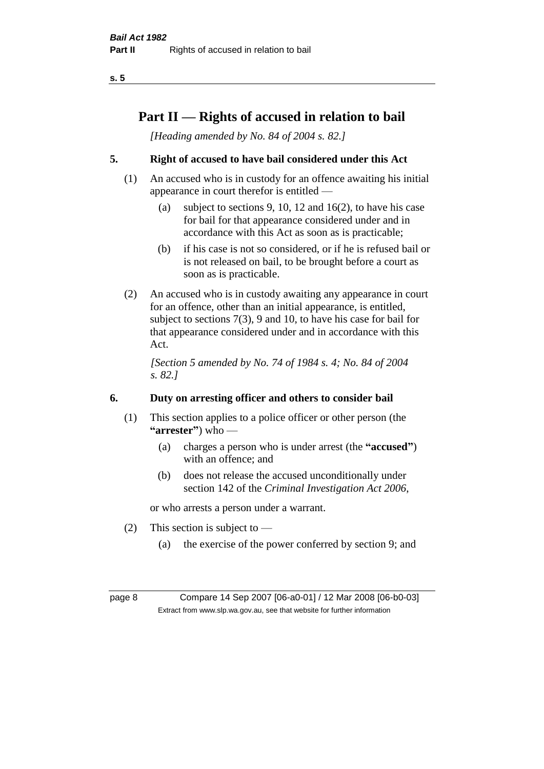## **Part II — Rights of accused in relation to bail**

*[Heading amended by No. 84 of 2004 s. 82.]* 

## **5. Right of accused to have bail considered under this Act**

- (1) An accused who is in custody for an offence awaiting his initial appearance in court therefor is entitled —
	- (a) subject to sections 9, 10, 12 and 16(2), to have his case for bail for that appearance considered under and in accordance with this Act as soon as is practicable;
	- (b) if his case is not so considered, or if he is refused bail or is not released on bail, to be brought before a court as soon as is practicable.
- (2) An accused who is in custody awaiting any appearance in court for an offence, other than an initial appearance, is entitled, subject to sections 7(3), 9 and 10, to have his case for bail for that appearance considered under and in accordance with this Act.

*[Section 5 amended by No. 74 of 1984 s. 4; No. 84 of 2004 s. 82.]* 

## **6. Duty on arresting officer and others to consider bail**

- (1) This section applies to a police officer or other person (the **"arrester"**) who —
	- (a) charges a person who is under arrest (the **"accused"**) with an offence; and
	- (b) does not release the accused unconditionally under section 142 of the *Criminal Investigation Act 2006*,

or who arrests a person under a warrant.

- (2) This section is subject to  $-$ 
	- (a) the exercise of the power conferred by section 9; and

page 8 Compare 14 Sep 2007 [06-a0-01] / 12 Mar 2008 [06-b0-03] Extract from www.slp.wa.gov.au, see that website for further information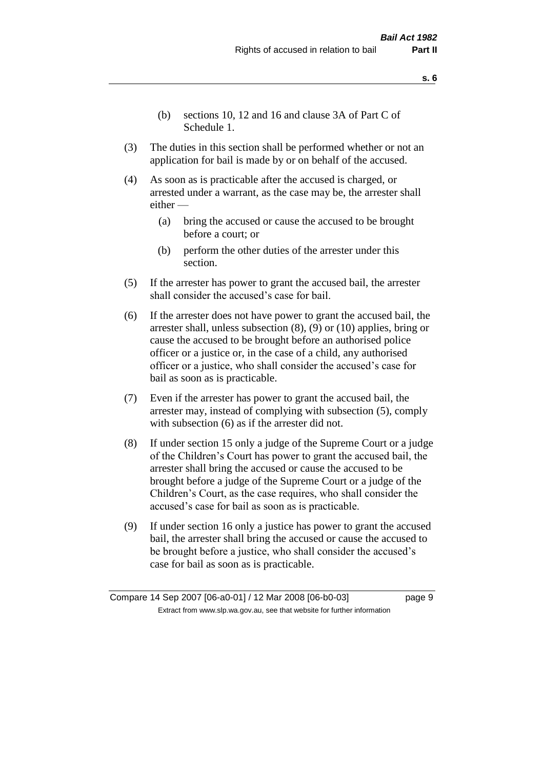- **s. 6**
- (b) sections 10, 12 and 16 and clause 3A of Part C of Schedule 1.
- (3) The duties in this section shall be performed whether or not an application for bail is made by or on behalf of the accused.
- (4) As soon as is practicable after the accused is charged, or arrested under a warrant, as the case may be, the arrester shall either —
	- (a) bring the accused or cause the accused to be brought before a court; or
	- (b) perform the other duties of the arrester under this section.
- (5) If the arrester has power to grant the accused bail, the arrester shall consider the accused's case for bail.
- (6) If the arrester does not have power to grant the accused bail, the arrester shall, unless subsection (8), (9) or (10) applies, bring or cause the accused to be brought before an authorised police officer or a justice or, in the case of a child, any authorised officer or a justice, who shall consider the accused's case for bail as soon as is practicable.
- (7) Even if the arrester has power to grant the accused bail, the arrester may, instead of complying with subsection (5), comply with subsection (6) as if the arrester did not.
- (8) If under section 15 only a judge of the Supreme Court or a judge of the Children's Court has power to grant the accused bail, the arrester shall bring the accused or cause the accused to be brought before a judge of the Supreme Court or a judge of the Children's Court, as the case requires, who shall consider the accused's case for bail as soon as is practicable.
- (9) If under section 16 only a justice has power to grant the accused bail, the arrester shall bring the accused or cause the accused to be brought before a justice, who shall consider the accused's case for bail as soon as is practicable.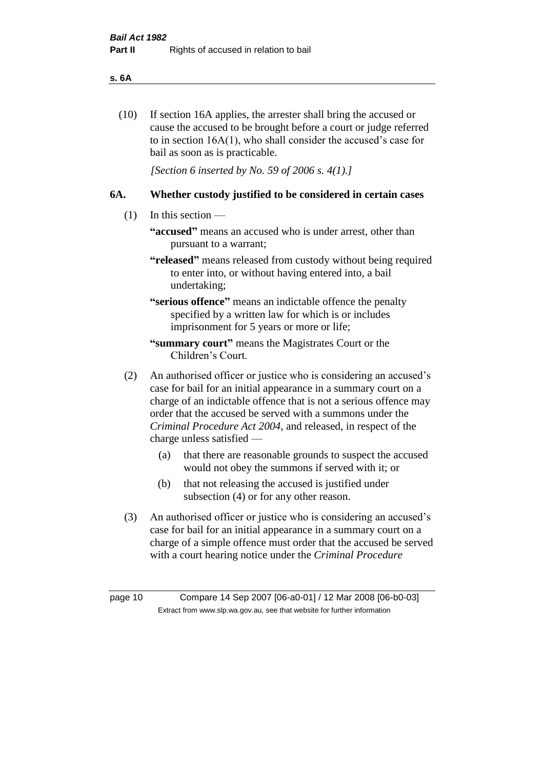#### **s. 6A**

(10) If section 16A applies, the arrester shall bring the accused or cause the accused to be brought before a court or judge referred to in section 16A(1), who shall consider the accused's case for bail as soon as is practicable.

*[Section 6 inserted by No. 59 of 2006 s. 4(1).]* 

#### **6A. Whether custody justified to be considered in certain cases**

- (1) In this section
	- **"accused"** means an accused who is under arrest, other than pursuant to a warrant;
	- **"released"** means released from custody without being required to enter into, or without having entered into, a bail undertaking;

**"serious offence"** means an indictable offence the penalty specified by a written law for which is or includes imprisonment for 5 years or more or life;

- **"summary court"** means the Magistrates Court or the Children's Court.
- (2) An authorised officer or justice who is considering an accused's case for bail for an initial appearance in a summary court on a charge of an indictable offence that is not a serious offence may order that the accused be served with a summons under the *Criminal Procedure Act 2004*, and released, in respect of the charge unless satisfied —
	- (a) that there are reasonable grounds to suspect the accused would not obey the summons if served with it; or
	- (b) that not releasing the accused is justified under subsection (4) or for any other reason.
- (3) An authorised officer or justice who is considering an accused's case for bail for an initial appearance in a summary court on a charge of a simple offence must order that the accused be served with a court hearing notice under the *Criminal Procedure*

page 10 Compare 14 Sep 2007 [06-a0-01] / 12 Mar 2008 [06-b0-03] Extract from www.slp.wa.gov.au, see that website for further information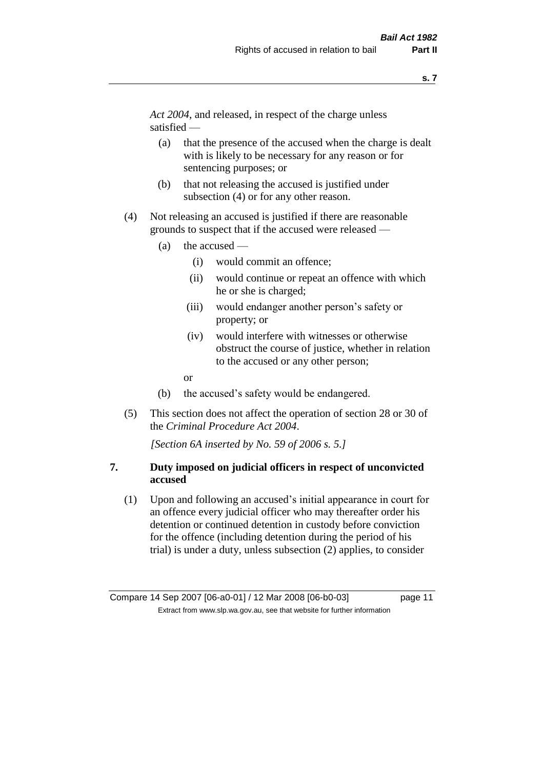*Act 2004*, and released, in respect of the charge unless satisfied —

- (a) that the presence of the accused when the charge is dealt with is likely to be necessary for any reason or for sentencing purposes; or
- (b) that not releasing the accused is justified under subsection (4) or for any other reason.
- (4) Not releasing an accused is justified if there are reasonable grounds to suspect that if the accused were released —
	- (a) the accused
		- (i) would commit an offence;
		- (ii) would continue or repeat an offence with which he or she is charged;
		- (iii) would endanger another person's safety or property; or
		- (iv) would interfere with witnesses or otherwise obstruct the course of justice, whether in relation to the accused or any other person;
		- or
	- (b) the accused's safety would be endangered.
- (5) This section does not affect the operation of section 28 or 30 of the *Criminal Procedure Act 2004*.

*[Section 6A inserted by No. 59 of 2006 s. 5.]* 

#### **7. Duty imposed on judicial officers in respect of unconvicted accused**

(1) Upon and following an accused's initial appearance in court for an offence every judicial officer who may thereafter order his detention or continued detention in custody before conviction for the offence (including detention during the period of his trial) is under a duty, unless subsection (2) applies, to consider

Compare 14 Sep 2007 [06-a0-01] / 12 Mar 2008 [06-b0-03] page 11 Extract from www.slp.wa.gov.au, see that website for further information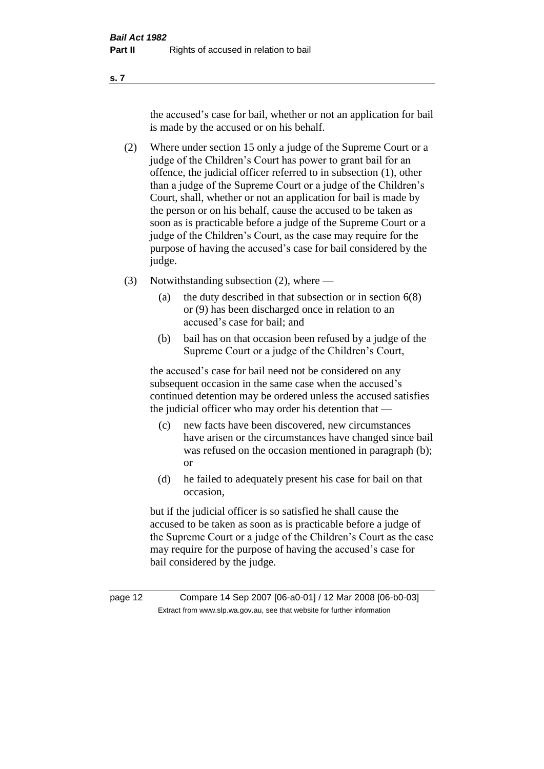the accused's case for bail, whether or not an application for bail is made by the accused or on his behalf.

- (2) Where under section 15 only a judge of the Supreme Court or a judge of the Children's Court has power to grant bail for an offence, the judicial officer referred to in subsection (1), other than a judge of the Supreme Court or a judge of the Children's Court, shall, whether or not an application for bail is made by the person or on his behalf, cause the accused to be taken as soon as is practicable before a judge of the Supreme Court or a judge of the Children's Court, as the case may require for the purpose of having the accused's case for bail considered by the judge.
- (3) Notwithstanding subsection (2), where
	- (a) the duty described in that subsection or in section 6(8) or (9) has been discharged once in relation to an accused's case for bail; and
	- (b) bail has on that occasion been refused by a judge of the Supreme Court or a judge of the Children's Court,

the accused's case for bail need not be considered on any subsequent occasion in the same case when the accused's continued detention may be ordered unless the accused satisfies the judicial officer who may order his detention that —

- (c) new facts have been discovered, new circumstances have arisen or the circumstances have changed since bail was refused on the occasion mentioned in paragraph (b); or
- (d) he failed to adequately present his case for bail on that occasion,

but if the judicial officer is so satisfied he shall cause the accused to be taken as soon as is practicable before a judge of the Supreme Court or a judge of the Children's Court as the case may require for the purpose of having the accused's case for bail considered by the judge.

page 12 Compare 14 Sep 2007 [06-a0-01] / 12 Mar 2008 [06-b0-03] Extract from www.slp.wa.gov.au, see that website for further information

**s. 7**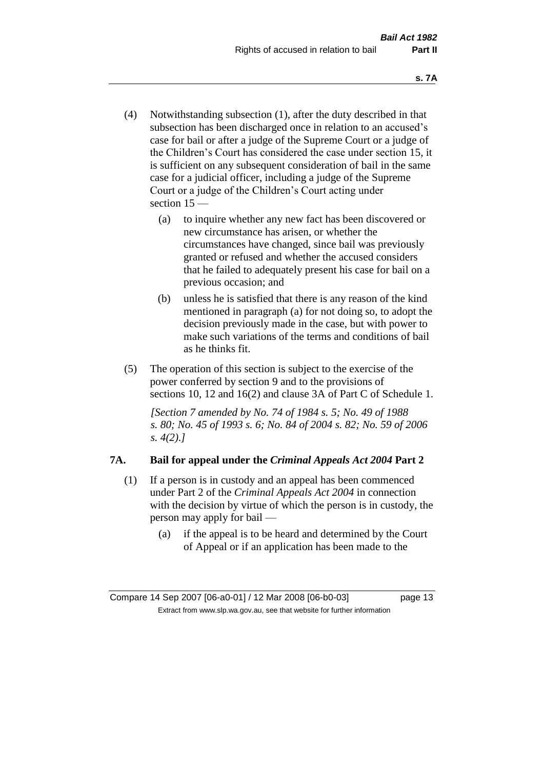- (4) Notwithstanding subsection (1), after the duty described in that subsection has been discharged once in relation to an accused's case for bail or after a judge of the Supreme Court or a judge of the Children's Court has considered the case under section 15, it is sufficient on any subsequent consideration of bail in the same case for a judicial officer, including a judge of the Supreme Court or a judge of the Children's Court acting under section 15 —
	- (a) to inquire whether any new fact has been discovered or new circumstance has arisen, or whether the circumstances have changed, since bail was previously granted or refused and whether the accused considers that he failed to adequately present his case for bail on a previous occasion; and
	- (b) unless he is satisfied that there is any reason of the kind mentioned in paragraph (a) for not doing so, to adopt the decision previously made in the case, but with power to make such variations of the terms and conditions of bail as he thinks fit.
- (5) The operation of this section is subject to the exercise of the power conferred by section 9 and to the provisions of sections 10, 12 and 16(2) and clause 3A of Part C of Schedule 1.

*[Section 7 amended by No. 74 of 1984 s. 5; No. 49 of 1988 s. 80; No. 45 of 1993 s. 6; No. 84 of 2004 s. 82; No. 59 of 2006 s. 4(2).]* 

## **7A. Bail for appeal under the** *Criminal Appeals Act 2004* **Part 2**

- (1) If a person is in custody and an appeal has been commenced under Part 2 of the *Criminal Appeals Act 2004* in connection with the decision by virtue of which the person is in custody, the person may apply for bail —
	- (a) if the appeal is to be heard and determined by the Court of Appeal or if an application has been made to the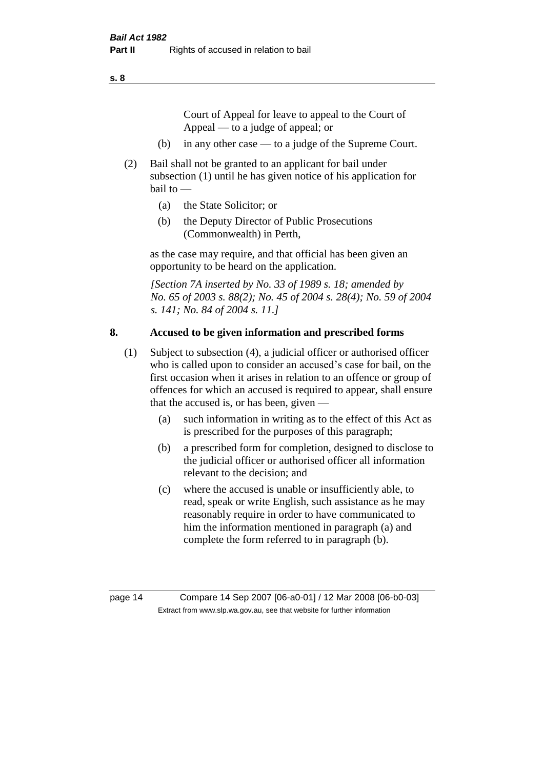Court of Appeal for leave to appeal to the Court of Appeal — to a judge of appeal; or

- (b) in any other case to a judge of the Supreme Court.
- (2) Bail shall not be granted to an applicant for bail under subsection (1) until he has given notice of his application for bail to —
	- (a) the State Solicitor; or
	- (b) the Deputy Director of Public Prosecutions (Commonwealth) in Perth,

as the case may require, and that official has been given an opportunity to be heard on the application.

*[Section 7A inserted by No. 33 of 1989 s. 18; amended by No. 65 of 2003 s. 88(2); No. 45 of 2004 s. 28(4); No. 59 of 2004 s. 141; No. 84 of 2004 s. 11.]* 

#### **8. Accused to be given information and prescribed forms**

- (1) Subject to subsection (4), a judicial officer or authorised officer who is called upon to consider an accused's case for bail, on the first occasion when it arises in relation to an offence or group of offences for which an accused is required to appear, shall ensure that the accused is, or has been, given —
	- (a) such information in writing as to the effect of this Act as is prescribed for the purposes of this paragraph;
	- (b) a prescribed form for completion, designed to disclose to the judicial officer or authorised officer all information relevant to the decision; and
	- (c) where the accused is unable or insufficiently able, to read, speak or write English, such assistance as he may reasonably require in order to have communicated to him the information mentioned in paragraph (a) and complete the form referred to in paragraph (b).

page 14 Compare 14 Sep 2007 [06-a0-01] / 12 Mar 2008 [06-b0-03] Extract from www.slp.wa.gov.au, see that website for further information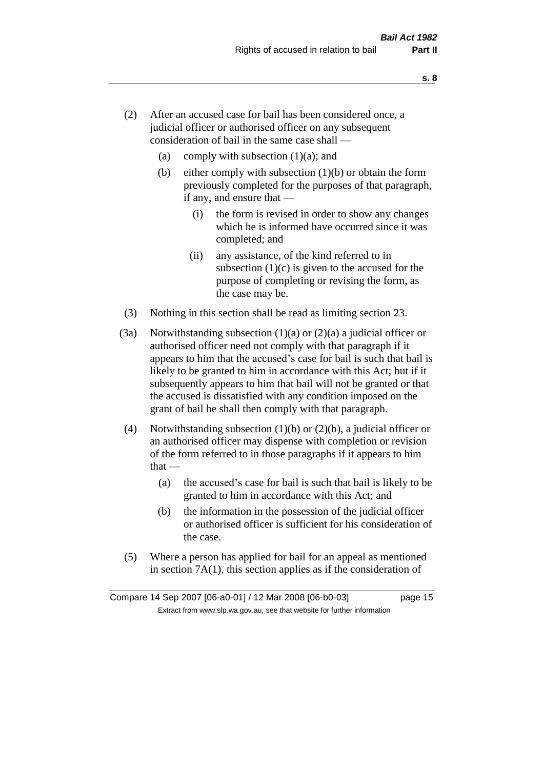- (2) After an accused case for bail has been considered once, a judicial officer or authorised officer on any subsequent consideration of bail in the same case shall —
	- (a) comply with subsection  $(1)(a)$ ; and
	- (b) either comply with subsection  $(1)(b)$  or obtain the form previously completed for the purposes of that paragraph, if any, and ensure that —
		- (i) the form is revised in order to show any changes which he is informed have occurred since it was completed; and
		- (ii) any assistance, of the kind referred to in subsection  $(1)(c)$  is given to the accused for the purpose of completing or revising the form, as the case may be.
- (3) Nothing in this section shall be read as limiting section 23.
- (3a) Notwithstanding subsection  $(1)(a)$  or  $(2)(a)$  a judicial officer or authorised officer need not comply with that paragraph if it appears to him that the accused's case for bail is such that bail is likely to be granted to him in accordance with this Act; but if it subsequently appears to him that bail will not be granted or that the accused is dissatisfied with any condition imposed on the grant of bail he shall then comply with that paragraph.
- (4) Notwithstanding subsection (1)(b) or (2)(b), a judicial officer or an authorised officer may dispense with completion or revision of the form referred to in those paragraphs if it appears to him  $that -$ 
	- (a) the accused's case for bail is such that bail is likely to be granted to him in accordance with this Act; and
	- (b) the information in the possession of the judicial officer or authorised officer is sufficient for his consideration of the case.
- (5) Where a person has applied for bail for an appeal as mentioned in section 7A(1), this section applies as if the consideration of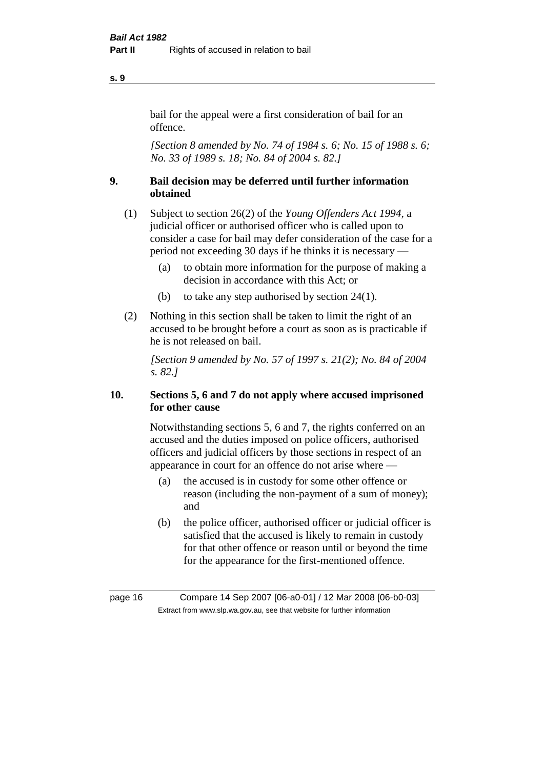#### bail for the appeal were a first consideration of bail for an offence.

*[Section 8 amended by No. 74 of 1984 s. 6; No. 15 of 1988 s. 6; No. 33 of 1989 s. 18; No. 84 of 2004 s. 82.]* 

## **9. Bail decision may be deferred until further information obtained**

- (1) Subject to section 26(2) of the *Young Offenders Act 1994*, a judicial officer or authorised officer who is called upon to consider a case for bail may defer consideration of the case for a period not exceeding 30 days if he thinks it is necessary —
	- (a) to obtain more information for the purpose of making a decision in accordance with this Act; or
	- (b) to take any step authorised by section 24(1).
- (2) Nothing in this section shall be taken to limit the right of an accused to be brought before a court as soon as is practicable if he is not released on bail.

*[Section 9 amended by No. 57 of 1997 s. 21(2); No. 84 of 2004 s. 82.]*

## **10. Sections 5, 6 and 7 do not apply where accused imprisoned for other cause**

Notwithstanding sections 5, 6 and 7, the rights conferred on an accused and the duties imposed on police officers, authorised officers and judicial officers by those sections in respect of an appearance in court for an offence do not arise where —

- (a) the accused is in custody for some other offence or reason (including the non-payment of a sum of money); and
- (b) the police officer, authorised officer or judicial officer is satisfied that the accused is likely to remain in custody for that other offence or reason until or beyond the time for the appearance for the first-mentioned offence.

**s. 9**

page 16 Compare 14 Sep 2007 [06-a0-01] / 12 Mar 2008 [06-b0-03] Extract from www.slp.wa.gov.au, see that website for further information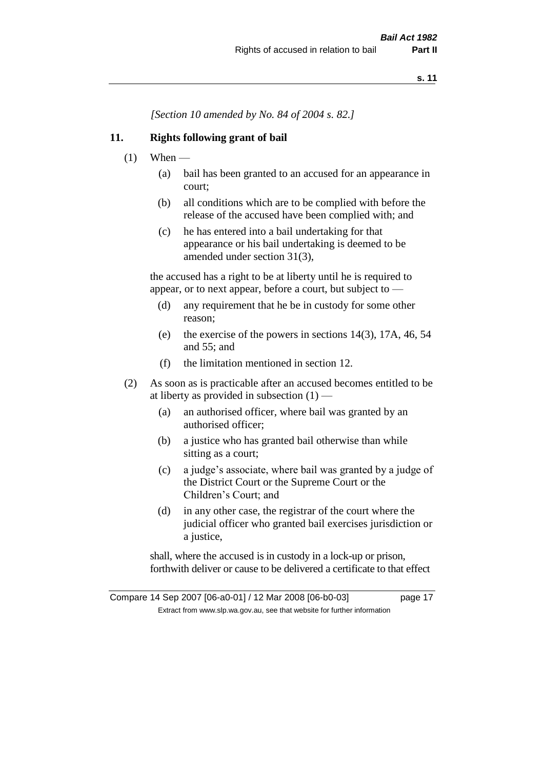*[Section 10 amended by No. 84 of 2004 s. 82.]*

#### **11. Rights following grant of bail**

- $(1)$  When
	- (a) bail has been granted to an accused for an appearance in court;
	- (b) all conditions which are to be complied with before the release of the accused have been complied with; and
	- (c) he has entered into a bail undertaking for that appearance or his bail undertaking is deemed to be amended under section 31(3),

the accused has a right to be at liberty until he is required to appear, or to next appear, before a court, but subject to —

- (d) any requirement that he be in custody for some other reason;
- (e) the exercise of the powers in sections 14(3), 17A, 46, 54 and 55; and
- (f) the limitation mentioned in section 12.
- (2) As soon as is practicable after an accused becomes entitled to be at liberty as provided in subsection  $(1)$  —
	- (a) an authorised officer, where bail was granted by an authorised officer;
	- (b) a justice who has granted bail otherwise than while sitting as a court;
	- (c) a judge's associate, where bail was granted by a judge of the District Court or the Supreme Court or the Children's Court; and
	- (d) in any other case, the registrar of the court where the judicial officer who granted bail exercises jurisdiction or a justice,

shall, where the accused is in custody in a lock-up or prison, forthwith deliver or cause to be delivered a certificate to that effect

Compare 14 Sep 2007 [06-a0-01] / 12 Mar 2008 [06-b0-03] page 17 Extract from www.slp.wa.gov.au, see that website for further information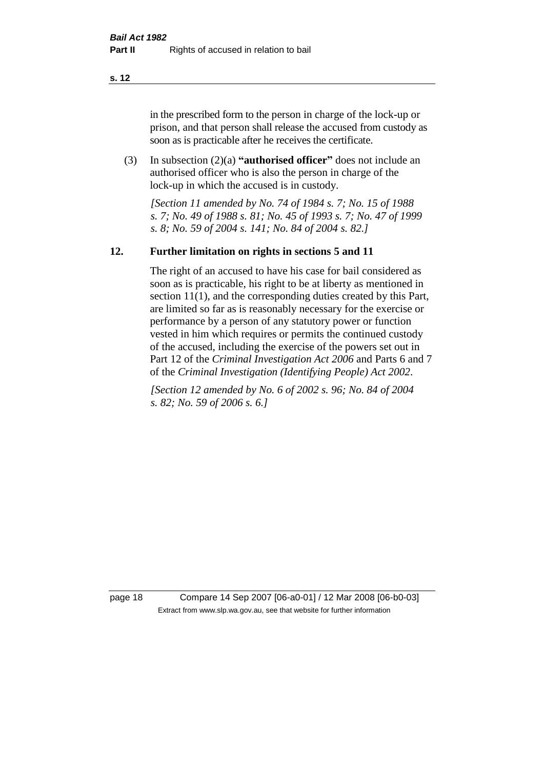in the prescribed form to the person in charge of the lock-up or prison, and that person shall release the accused from custody as soon as is practicable after he receives the certificate.

(3) In subsection (2)(a) **"authorised officer"** does not include an authorised officer who is also the person in charge of the lock-up in which the accused is in custody.

*[Section 11 amended by No. 74 of 1984 s. 7; No. 15 of 1988 s. 7; No. 49 of 1988 s. 81; No. 45 of 1993 s. 7; No. 47 of 1999 s. 8; No. 59 of 2004 s. 141; No. 84 of 2004 s. 82.]* 

#### **12. Further limitation on rights in sections 5 and 11**

The right of an accused to have his case for bail considered as soon as is practicable, his right to be at liberty as mentioned in section 11(1), and the corresponding duties created by this Part, are limited so far as is reasonably necessary for the exercise or performance by a person of any statutory power or function vested in him which requires or permits the continued custody of the accused, including the exercise of the powers set out in Part 12 of the *Criminal Investigation Act 2006* and Parts 6 and 7 of the *Criminal Investigation (Identifying People) Act 2002*.

*[Section 12 amended by No. 6 of 2002 s. 96; No. 84 of 2004 s. 82; No. 59 of 2006 s. 6.]*

page 18 Compare 14 Sep 2007 [06-a0-01] / 12 Mar 2008 [06-b0-03] Extract from www.slp.wa.gov.au, see that website for further information

**s. 12**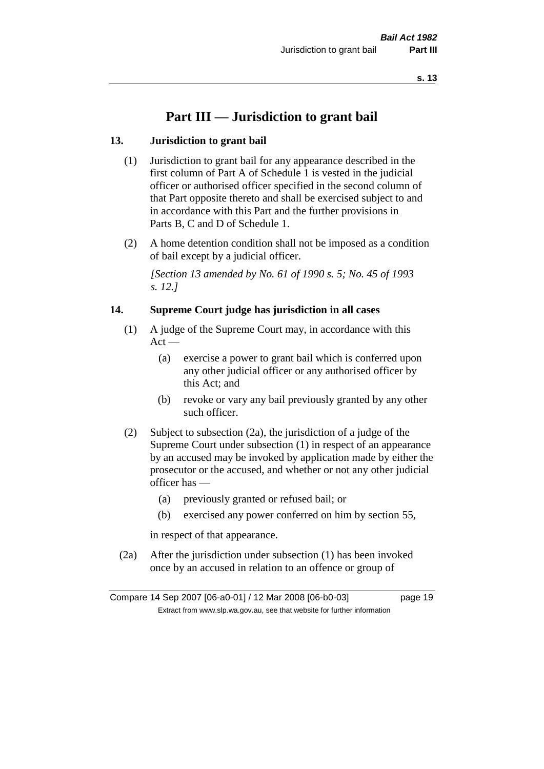## **Part III — Jurisdiction to grant bail**

#### **13. Jurisdiction to grant bail**

- (1) Jurisdiction to grant bail for any appearance described in the first column of Part A of Schedule 1 is vested in the judicial officer or authorised officer specified in the second column of that Part opposite thereto and shall be exercised subject to and in accordance with this Part and the further provisions in Parts B, C and D of Schedule 1.
- (2) A home detention condition shall not be imposed as a condition of bail except by a judicial officer.

*[Section 13 amended by No. 61 of 1990 s. 5; No. 45 of 1993 s. 12.]* 

#### **14. Supreme Court judge has jurisdiction in all cases**

- (1) A judge of the Supreme Court may, in accordance with this  $Act -$ 
	- (a) exercise a power to grant bail which is conferred upon any other judicial officer or any authorised officer by this Act; and
	- (b) revoke or vary any bail previously granted by any other such officer.
- (2) Subject to subsection (2a), the jurisdiction of a judge of the Supreme Court under subsection (1) in respect of an appearance by an accused may be invoked by application made by either the prosecutor or the accused, and whether or not any other judicial officer has —
	- (a) previously granted or refused bail; or
	- (b) exercised any power conferred on him by section 55,

in respect of that appearance.

(2a) After the jurisdiction under subsection (1) has been invoked once by an accused in relation to an offence or group of

Compare 14 Sep 2007 [06-a0-01] / 12 Mar 2008 [06-b0-03] page 19 Extract from www.slp.wa.gov.au, see that website for further information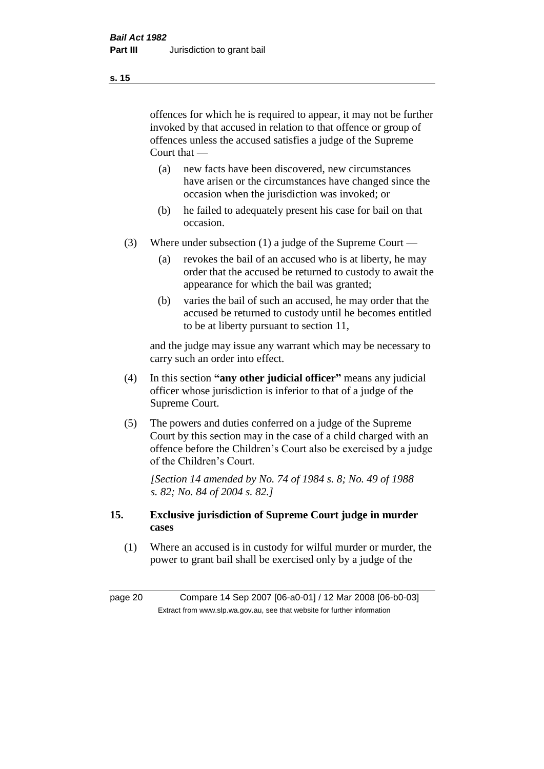offences for which he is required to appear, it may not be further invoked by that accused in relation to that offence or group of offences unless the accused satisfies a judge of the Supreme Court that —

- (a) new facts have been discovered, new circumstances have arisen or the circumstances have changed since the occasion when the jurisdiction was invoked; or
- (b) he failed to adequately present his case for bail on that occasion.
- (3) Where under subsection (1) a judge of the Supreme Court
	- (a) revokes the bail of an accused who is at liberty, he may order that the accused be returned to custody to await the appearance for which the bail was granted;
	- (b) varies the bail of such an accused, he may order that the accused be returned to custody until he becomes entitled to be at liberty pursuant to section 11,

and the judge may issue any warrant which may be necessary to carry such an order into effect.

- (4) In this section **"any other judicial officer"** means any judicial officer whose jurisdiction is inferior to that of a judge of the Supreme Court.
- (5) The powers and duties conferred on a judge of the Supreme Court by this section may in the case of a child charged with an offence before the Children's Court also be exercised by a judge of the Children's Court.

*[Section 14 amended by No. 74 of 1984 s. 8; No. 49 of 1988 s. 82; No. 84 of 2004 s. 82.]* 

#### **15. Exclusive jurisdiction of Supreme Court judge in murder cases**

(1) Where an accused is in custody for wilful murder or murder, the power to grant bail shall be exercised only by a judge of the

page 20 Compare 14 Sep 2007 [06-a0-01] / 12 Mar 2008 [06-b0-03] Extract from www.slp.wa.gov.au, see that website for further information

**s. 15**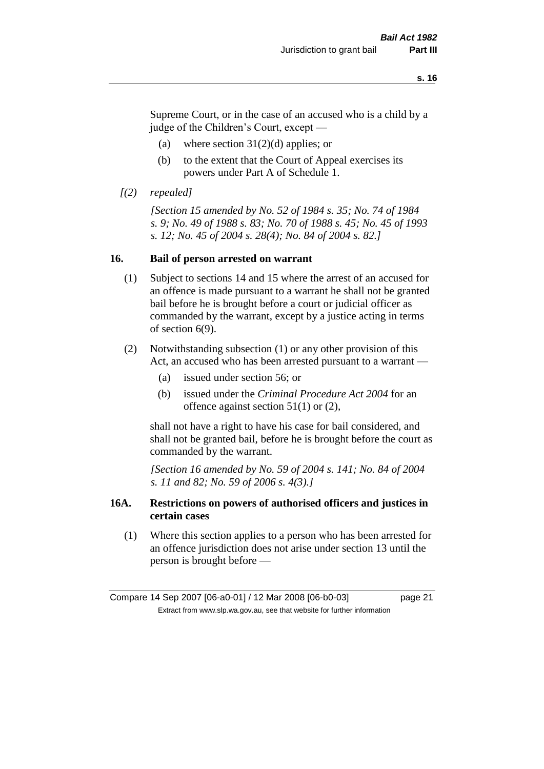Supreme Court, or in the case of an accused who is a child by a judge of the Children's Court, except —

- (a) where section  $31(2)(d)$  applies; or
- (b) to the extent that the Court of Appeal exercises its powers under Part A of Schedule 1.
- *[(2) repealed]*

*[Section 15 amended by No. 52 of 1984 s. 35; No. 74 of 1984 s. 9; No. 49 of 1988 s. 83; No. 70 of 1988 s. 45; No. 45 of 1993 s. 12; No. 45 of 2004 s. 28(4); No. 84 of 2004 s. 82.]* 

#### **16. Bail of person arrested on warrant**

- (1) Subject to sections 14 and 15 where the arrest of an accused for an offence is made pursuant to a warrant he shall not be granted bail before he is brought before a court or judicial officer as commanded by the warrant, except by a justice acting in terms of section 6(9).
- (2) Notwithstanding subsection (1) or any other provision of this Act, an accused who has been arrested pursuant to a warrant —
	- (a) issued under section 56; or
	- (b) issued under the *Criminal Procedure Act 2004* for an offence against section 51(1) or (2),

shall not have a right to have his case for bail considered, and shall not be granted bail, before he is brought before the court as commanded by the warrant.

*[Section 16 amended by No. 59 of 2004 s. 141; No. 84 of 2004 s. 11 and 82; No. 59 of 2006 s. 4(3).]*

#### **16A. Restrictions on powers of authorised officers and justices in certain cases**

(1) Where this section applies to a person who has been arrested for an offence jurisdiction does not arise under section 13 until the person is brought before —

Compare 14 Sep 2007 [06-a0-01] / 12 Mar 2008 [06-b0-03] page 21 Extract from www.slp.wa.gov.au, see that website for further information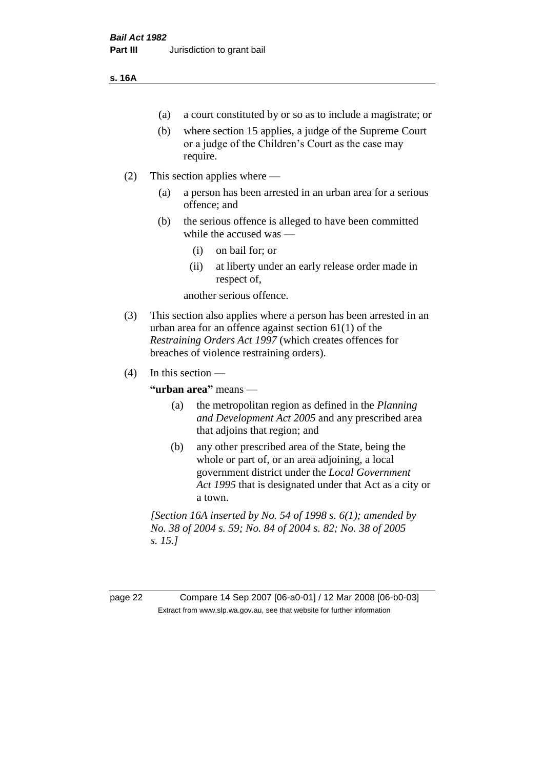#### **s. 16A**

- (a) a court constituted by or so as to include a magistrate; or
- (b) where section 15 applies, a judge of the Supreme Court or a judge of the Children's Court as the case may require.
- (2) This section applies where
	- (a) a person has been arrested in an urban area for a serious offence; and
	- (b) the serious offence is alleged to have been committed while the accused was —
		- (i) on bail for; or
		- (ii) at liberty under an early release order made in respect of,

another serious offence.

- (3) This section also applies where a person has been arrested in an urban area for an offence against section 61(1) of the *Restraining Orders Act 1997* (which creates offences for breaches of violence restraining orders).
- $(4)$  In this section —

**"urban area"** means —

- (a) the metropolitan region as defined in the *Planning and Development Act 2005* and any prescribed area that adjoins that region; and
- (b) any other prescribed area of the State, being the whole or part of, or an area adjoining, a local government district under the *Local Government Act 1995* that is designated under that Act as a city or a town.

*[Section 16A inserted by No. 54 of 1998 s. 6(1); amended by No. 38 of 2004 s. 59; No. 84 of 2004 s. 82; No. 38 of 2005 s. 15.]*

page 22 Compare 14 Sep 2007 [06-a0-01] / 12 Mar 2008 [06-b0-03] Extract from www.slp.wa.gov.au, see that website for further information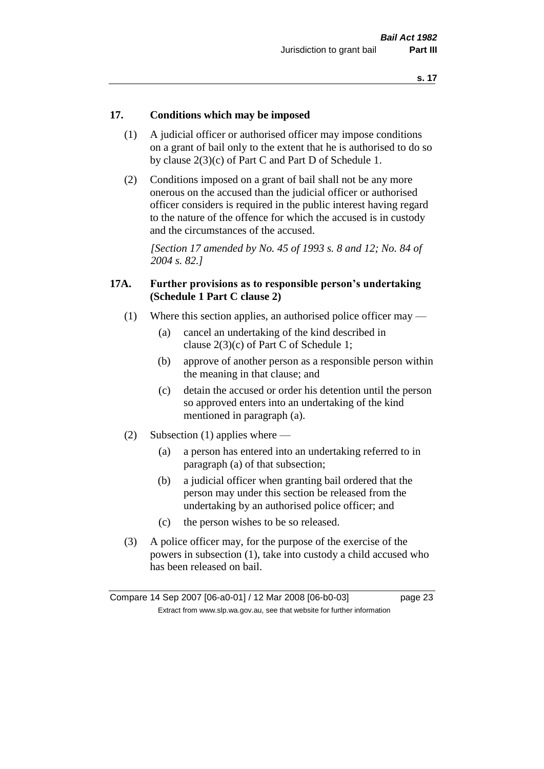#### **17. Conditions which may be imposed**

- (1) A judicial officer or authorised officer may impose conditions on a grant of bail only to the extent that he is authorised to do so by clause 2(3)(c) of Part C and Part D of Schedule 1.
- (2) Conditions imposed on a grant of bail shall not be any more onerous on the accused than the judicial officer or authorised officer considers is required in the public interest having regard to the nature of the offence for which the accused is in custody and the circumstances of the accused.

*[Section 17 amended by No. 45 of 1993 s. 8 and 12; No. 84 of 2004 s. 82.]* 

#### **17A. Further provisions as to responsible person's undertaking (Schedule 1 Part C clause 2)**

- (1) Where this section applies, an authorised police officer may
	- (a) cancel an undertaking of the kind described in clause 2(3)(c) of Part C of Schedule 1;
	- (b) approve of another person as a responsible person within the meaning in that clause; and
	- (c) detain the accused or order his detention until the person so approved enters into an undertaking of the kind mentioned in paragraph (a).
- (2) Subsection (1) applies where
	- (a) a person has entered into an undertaking referred to in paragraph (a) of that subsection;
	- (b) a judicial officer when granting bail ordered that the person may under this section be released from the undertaking by an authorised police officer; and
	- (c) the person wishes to be so released.
- (3) A police officer may, for the purpose of the exercise of the powers in subsection (1), take into custody a child accused who has been released on bail.

Compare 14 Sep 2007 [06-a0-01] / 12 Mar 2008 [06-b0-03] page 23 Extract from www.slp.wa.gov.au, see that website for further information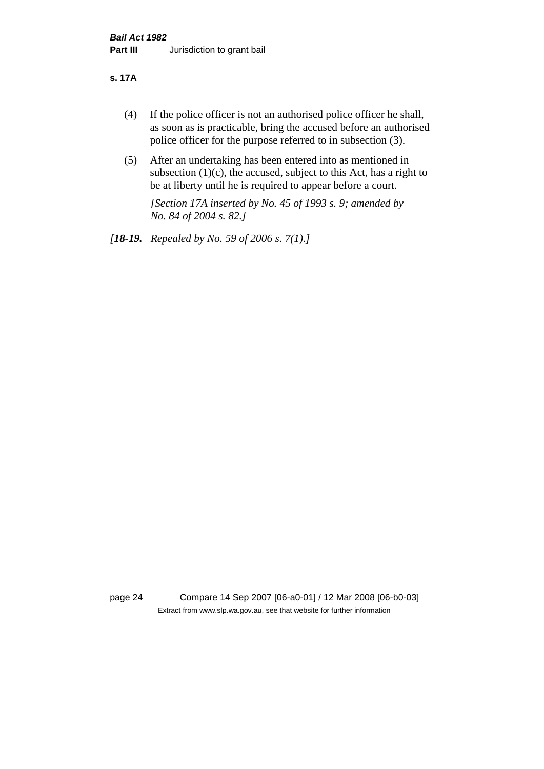#### **s. 17A**

- (4) If the police officer is not an authorised police officer he shall, as soon as is practicable, bring the accused before an authorised police officer for the purpose referred to in subsection (3).
- (5) After an undertaking has been entered into as mentioned in subsection  $(1)(c)$ , the accused, subject to this Act, has a right to be at liberty until he is required to appear before a court.

*[Section 17A inserted by No. 45 of 1993 s. 9; amended by No. 84 of 2004 s. 82.]* 

*[18-19. Repealed by No. 59 of 2006 s. 7(1).]*

page 24 Compare 14 Sep 2007 [06-a0-01] / 12 Mar 2008 [06-b0-03] Extract from www.slp.wa.gov.au, see that website for further information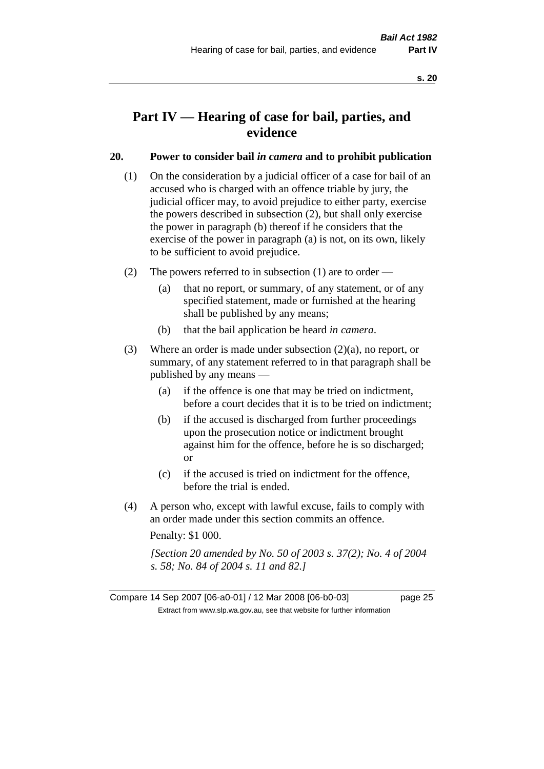## **Part IV — Hearing of case for bail, parties, and evidence**

#### **20. Power to consider bail** *in camera* **and to prohibit publication**

- (1) On the consideration by a judicial officer of a case for bail of an accused who is charged with an offence triable by jury, the judicial officer may, to avoid prejudice to either party, exercise the powers described in subsection (2), but shall only exercise the power in paragraph (b) thereof if he considers that the exercise of the power in paragraph (a) is not, on its own, likely to be sufficient to avoid prejudice.
- (2) The powers referred to in subsection (1) are to order
	- (a) that no report, or summary, of any statement, or of any specified statement, made or furnished at the hearing shall be published by any means;
	- (b) that the bail application be heard *in camera*.
- (3) Where an order is made under subsection (2)(a), no report, or summary, of any statement referred to in that paragraph shall be published by any means —
	- (a) if the offence is one that may be tried on indictment, before a court decides that it is to be tried on indictment;
	- (b) if the accused is discharged from further proceedings upon the prosecution notice or indictment brought against him for the offence, before he is so discharged; or
	- (c) if the accused is tried on indictment for the offence, before the trial is ended.
- (4) A person who, except with lawful excuse, fails to comply with an order made under this section commits an offence.

Penalty: \$1 000.

*[Section 20 amended by No. 50 of 2003 s. 37(2); No. 4 of 2004 s. 58; No. 84 of 2004 s. 11 and 82.]*

Compare 14 Sep 2007 [06-a0-01] / 12 Mar 2008 [06-b0-03] page 25 Extract from www.slp.wa.gov.au, see that website for further information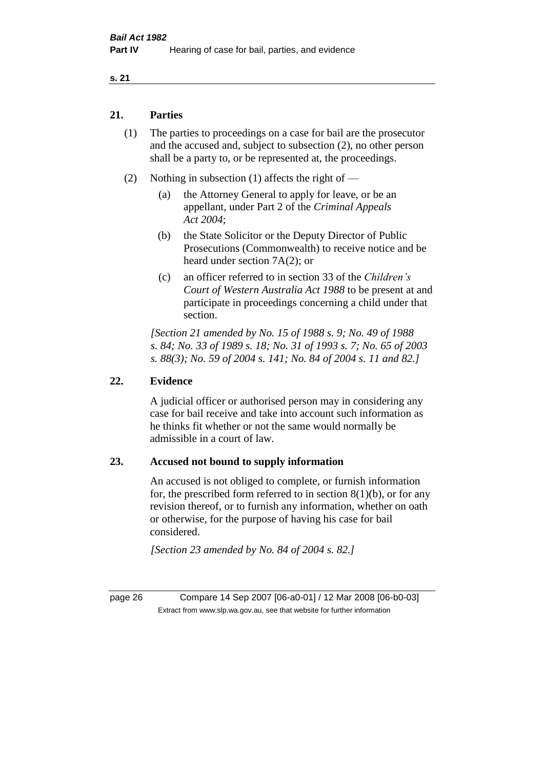#### **21. Parties**

- (1) The parties to proceedings on a case for bail are the prosecutor and the accused and, subject to subsection (2), no other person shall be a party to, or be represented at, the proceedings.
- (2) Nothing in subsection (1) affects the right of
	- (a) the Attorney General to apply for leave, or be an appellant, under Part 2 of the *Criminal Appeals Act 2004*;
	- (b) the State Solicitor or the Deputy Director of Public Prosecutions (Commonwealth) to receive notice and be heard under section 7A(2); or
	- (c) an officer referred to in section 33 of the *Children's Court of Western Australia Act 1988* to be present at and participate in proceedings concerning a child under that section.

*[Section 21 amended by No. 15 of 1988 s. 9; No. 49 of 1988 s. 84; No. 33 of 1989 s. 18; No. 31 of 1993 s. 7; No. 65 of 2003 s. 88(3); No. 59 of 2004 s. 141; No. 84 of 2004 s. 11 and 82.]* 

#### **22. Evidence**

A judicial officer or authorised person may in considering any case for bail receive and take into account such information as he thinks fit whether or not the same would normally be admissible in a court of law.

#### **23. Accused not bound to supply information**

An accused is not obliged to complete, or furnish information for, the prescribed form referred to in section  $8(1)(b)$ , or for any revision thereof, or to furnish any information, whether on oath or otherwise, for the purpose of having his case for bail considered.

*[Section 23 amended by No. 84 of 2004 s. 82.]* 

page 26 Compare 14 Sep 2007 [06-a0-01] / 12 Mar 2008 [06-b0-03] Extract from www.slp.wa.gov.au, see that website for further information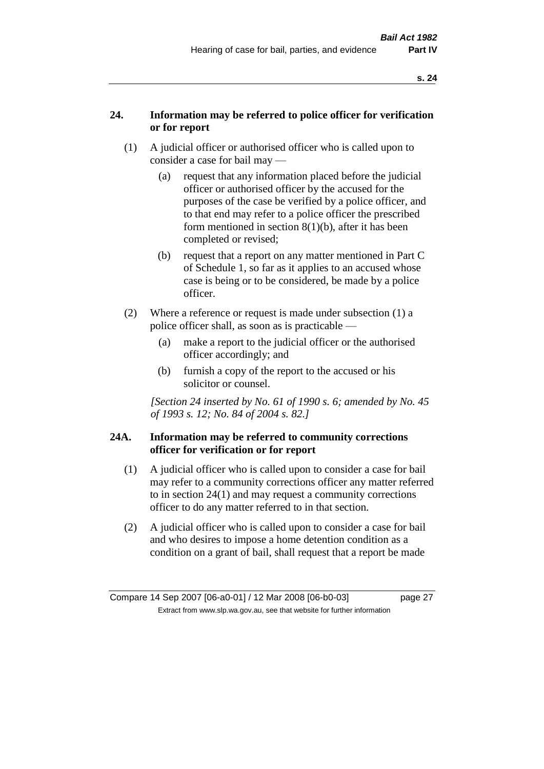### **24. Information may be referred to police officer for verification or for report**

- (1) A judicial officer or authorised officer who is called upon to consider a case for bail may —
	- (a) request that any information placed before the judicial officer or authorised officer by the accused for the purposes of the case be verified by a police officer, and to that end may refer to a police officer the prescribed form mentioned in section 8(1)(b), after it has been completed or revised;
	- (b) request that a report on any matter mentioned in Part C of Schedule 1, so far as it applies to an accused whose case is being or to be considered, be made by a police officer.
- (2) Where a reference or request is made under subsection (1) a police officer shall, as soon as is practicable —
	- (a) make a report to the judicial officer or the authorised officer accordingly; and
	- (b) furnish a copy of the report to the accused or his solicitor or counsel.

*[Section 24 inserted by No. 61 of 1990 s. 6; amended by No. 45 of 1993 s. 12; No. 84 of 2004 s. 82.]* 

#### **24A. Information may be referred to community corrections officer for verification or for report**

- (1) A judicial officer who is called upon to consider a case for bail may refer to a community corrections officer any matter referred to in section 24(1) and may request a community corrections officer to do any matter referred to in that section.
- (2) A judicial officer who is called upon to consider a case for bail and who desires to impose a home detention condition as a condition on a grant of bail, shall request that a report be made

Compare 14 Sep 2007 [06-a0-01] / 12 Mar 2008 [06-b0-03] page 27 Extract from www.slp.wa.gov.au, see that website for further information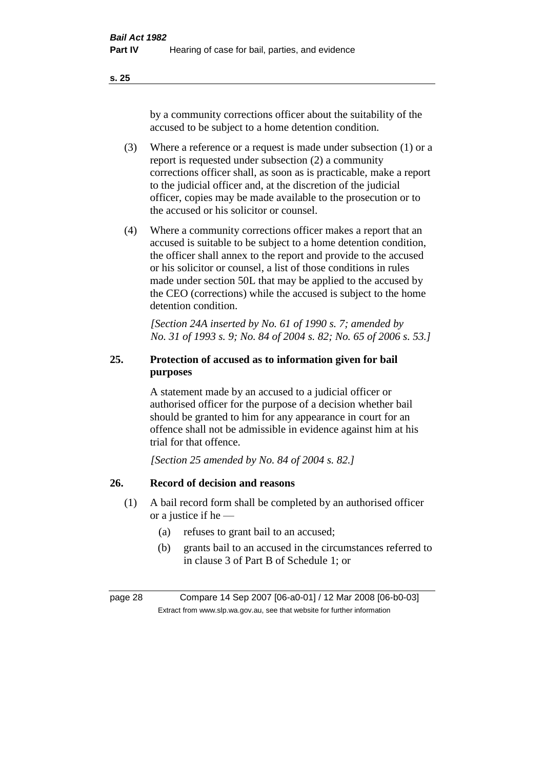by a community corrections officer about the suitability of the accused to be subject to a home detention condition.

- (3) Where a reference or a request is made under subsection (1) or a report is requested under subsection (2) a community corrections officer shall, as soon as is practicable, make a report to the judicial officer and, at the discretion of the judicial officer, copies may be made available to the prosecution or to the accused or his solicitor or counsel.
- (4) Where a community corrections officer makes a report that an accused is suitable to be subject to a home detention condition, the officer shall annex to the report and provide to the accused or his solicitor or counsel, a list of those conditions in rules made under section 50L that may be applied to the accused by the CEO (corrections) while the accused is subject to the home detention condition.

*[Section 24A inserted by No. 61 of 1990 s. 7; amended by No. 31 of 1993 s. 9; No. 84 of 2004 s. 82; No. 65 of 2006 s. 53.]* 

## **25. Protection of accused as to information given for bail purposes**

A statement made by an accused to a judicial officer or authorised officer for the purpose of a decision whether bail should be granted to him for any appearance in court for an offence shall not be admissible in evidence against him at his trial for that offence.

*[Section 25 amended by No. 84 of 2004 s. 82.]* 

## **26. Record of decision and reasons**

- (1) A bail record form shall be completed by an authorised officer or a justice if he —
	- (a) refuses to grant bail to an accused;
	- (b) grants bail to an accused in the circumstances referred to in clause 3 of Part B of Schedule 1; or

page 28 Compare 14 Sep 2007 [06-a0-01] / 12 Mar 2008 [06-b0-03] Extract from www.slp.wa.gov.au, see that website for further information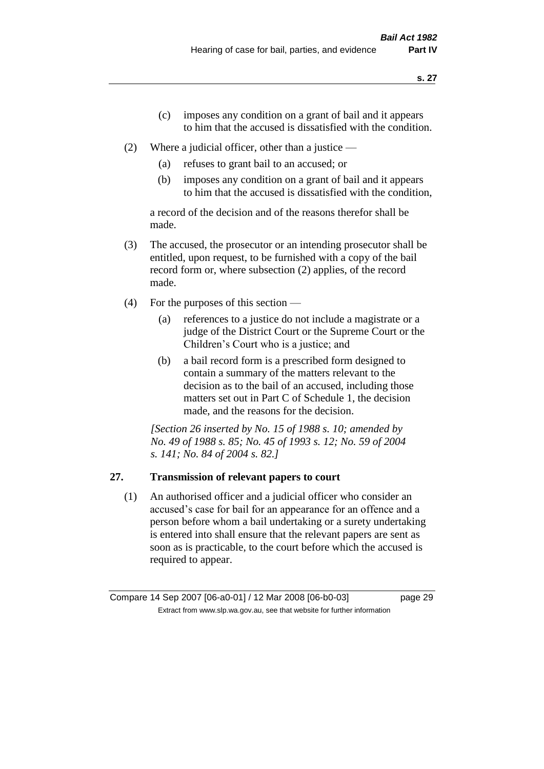- (c) imposes any condition on a grant of bail and it appears to him that the accused is dissatisfied with the condition.
- (2) Where a judicial officer, other than a justice
	- (a) refuses to grant bail to an accused; or
	- (b) imposes any condition on a grant of bail and it appears to him that the accused is dissatisfied with the condition,

a record of the decision and of the reasons therefor shall be made.

- (3) The accused, the prosecutor or an intending prosecutor shall be entitled, upon request, to be furnished with a copy of the bail record form or, where subsection (2) applies, of the record made.
- (4) For the purposes of this section
	- (a) references to a justice do not include a magistrate or a judge of the District Court or the Supreme Court or the Children's Court who is a justice; and
	- (b) a bail record form is a prescribed form designed to contain a summary of the matters relevant to the decision as to the bail of an accused, including those matters set out in Part C of Schedule 1, the decision made, and the reasons for the decision.

*[Section 26 inserted by No. 15 of 1988 s. 10; amended by No. 49 of 1988 s. 85; No. 45 of 1993 s. 12; No. 59 of 2004 s. 141; No. 84 of 2004 s. 82.]* 

## **27. Transmission of relevant papers to court**

(1) An authorised officer and a judicial officer who consider an accused's case for bail for an appearance for an offence and a person before whom a bail undertaking or a surety undertaking is entered into shall ensure that the relevant papers are sent as soon as is practicable, to the court before which the accused is required to appear.

Compare 14 Sep 2007 [06-a0-01] / 12 Mar 2008 [06-b0-03] page 29 Extract from www.slp.wa.gov.au, see that website for further information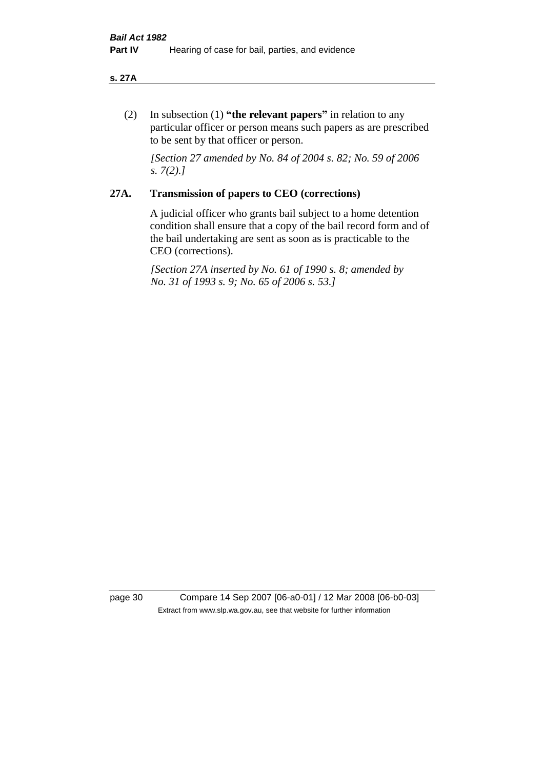#### **s. 27A**

(2) In subsection (1) **"the relevant papers"** in relation to any particular officer or person means such papers as are prescribed to be sent by that officer or person.

*[Section 27 amended by No. 84 of 2004 s. 82; No. 59 of 2006 s. 7(2).]* 

#### **27A. Transmission of papers to CEO (corrections)**

A judicial officer who grants bail subject to a home detention condition shall ensure that a copy of the bail record form and of the bail undertaking are sent as soon as is practicable to the CEO (corrections).

*[Section 27A inserted by No. 61 of 1990 s. 8; amended by No. 31 of 1993 s. 9; No. 65 of 2006 s. 53.]* 

page 30 Compare 14 Sep 2007 [06-a0-01] / 12 Mar 2008 [06-b0-03] Extract from www.slp.wa.gov.au, see that website for further information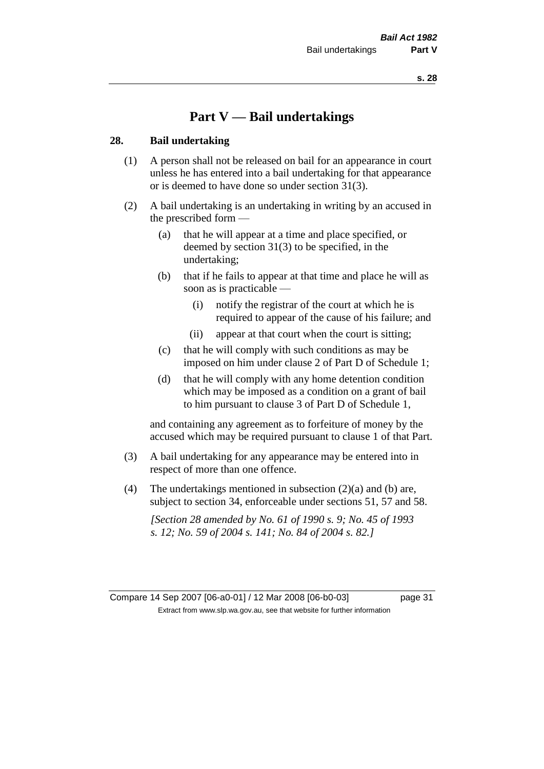## **Part V — Bail undertakings**

#### **28. Bail undertaking**

- (1) A person shall not be released on bail for an appearance in court unless he has entered into a bail undertaking for that appearance or is deemed to have done so under section 31(3).
- (2) A bail undertaking is an undertaking in writing by an accused in the prescribed form —
	- (a) that he will appear at a time and place specified, or deemed by section 31(3) to be specified, in the undertaking;
	- (b) that if he fails to appear at that time and place he will as soon as is practicable —
		- (i) notify the registrar of the court at which he is required to appear of the cause of his failure; and
		- (ii) appear at that court when the court is sitting;
	- (c) that he will comply with such conditions as may be imposed on him under clause 2 of Part D of Schedule 1;
	- (d) that he will comply with any home detention condition which may be imposed as a condition on a grant of bail to him pursuant to clause 3 of Part D of Schedule 1,

and containing any agreement as to forfeiture of money by the accused which may be required pursuant to clause 1 of that Part.

- (3) A bail undertaking for any appearance may be entered into in respect of more than one offence.
- (4) The undertakings mentioned in subsection  $(2)(a)$  and (b) are, subject to section 34, enforceable under sections 51, 57 and 58.

*[Section 28 amended by No. 61 of 1990 s. 9; No. 45 of 1993 s. 12; No. 59 of 2004 s. 141; No. 84 of 2004 s. 82.]* 

Compare 14 Sep 2007 [06-a0-01] / 12 Mar 2008 [06-b0-03] page 31 Extract from www.slp.wa.gov.au, see that website for further information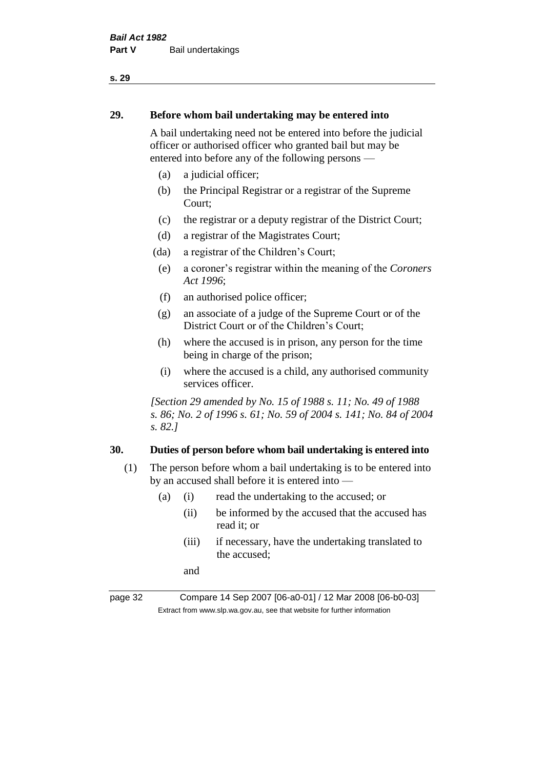#### **29. Before whom bail undertaking may be entered into**

A bail undertaking need not be entered into before the judicial officer or authorised officer who granted bail but may be entered into before any of the following persons —

- (a) a judicial officer;
- (b) the Principal Registrar or a registrar of the Supreme Court;
- (c) the registrar or a deputy registrar of the District Court;
- (d) a registrar of the Magistrates Court;
- (da) a registrar of the Children's Court;
- (e) a coroner's registrar within the meaning of the *Coroners Act 1996*;
- (f) an authorised police officer;
- (g) an associate of a judge of the Supreme Court or of the District Court or of the Children's Court;
- (h) where the accused is in prison, any person for the time being in charge of the prison;
- (i) where the accused is a child, any authorised community services officer.

*[Section 29 amended by No. 15 of 1988 s. 11; No. 49 of 1988 s. 86; No. 2 of 1996 s. 61; No. 59 of 2004 s. 141; No. 84 of 2004 s. 82.]* 

#### **30. Duties of person before whom bail undertaking is entered into**

- (1) The person before whom a bail undertaking is to be entered into by an accused shall before it is entered into —
	- (a) (i) read the undertaking to the accused; or
		- (ii) be informed by the accused that the accused has read it; or
		- (iii) if necessary, have the undertaking translated to the accused;

and

page 32 Compare 14 Sep 2007 [06-a0-01] / 12 Mar 2008 [06-b0-03] Extract from www.slp.wa.gov.au, see that website for further information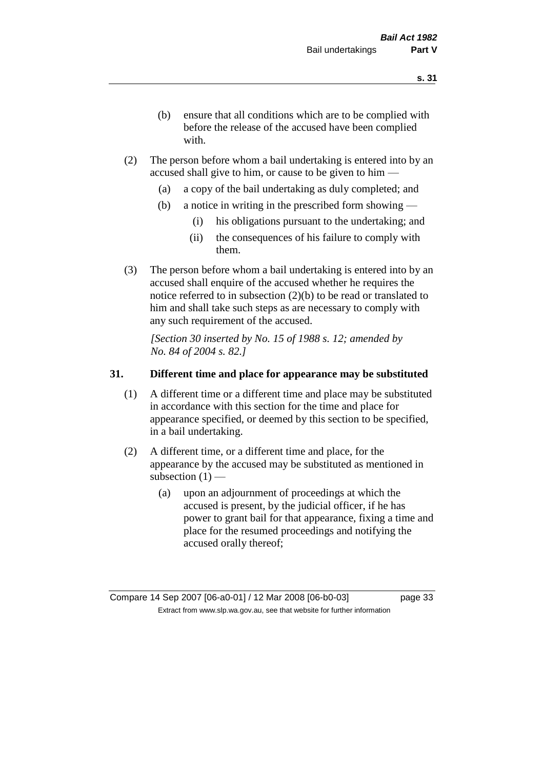- (b) ensure that all conditions which are to be complied with before the release of the accused have been complied with.
- (2) The person before whom a bail undertaking is entered into by an accused shall give to him, or cause to be given to him —
	- (a) a copy of the bail undertaking as duly completed; and
	- (b) a notice in writing in the prescribed form showing
		- (i) his obligations pursuant to the undertaking; and
		- (ii) the consequences of his failure to comply with them.
- (3) The person before whom a bail undertaking is entered into by an accused shall enquire of the accused whether he requires the notice referred to in subsection (2)(b) to be read or translated to him and shall take such steps as are necessary to comply with any such requirement of the accused.

*[Section 30 inserted by No. 15 of 1988 s. 12; amended by No. 84 of 2004 s. 82.]* 

#### **31. Different time and place for appearance may be substituted**

- (1) A different time or a different time and place may be substituted in accordance with this section for the time and place for appearance specified, or deemed by this section to be specified, in a bail undertaking.
- (2) A different time, or a different time and place, for the appearance by the accused may be substituted as mentioned in subsection  $(1)$  —
	- (a) upon an adjournment of proceedings at which the accused is present, by the judicial officer, if he has power to grant bail for that appearance, fixing a time and place for the resumed proceedings and notifying the accused orally thereof;

Compare 14 Sep 2007 [06-a0-01] / 12 Mar 2008 [06-b0-03] page 33 Extract from www.slp.wa.gov.au, see that website for further information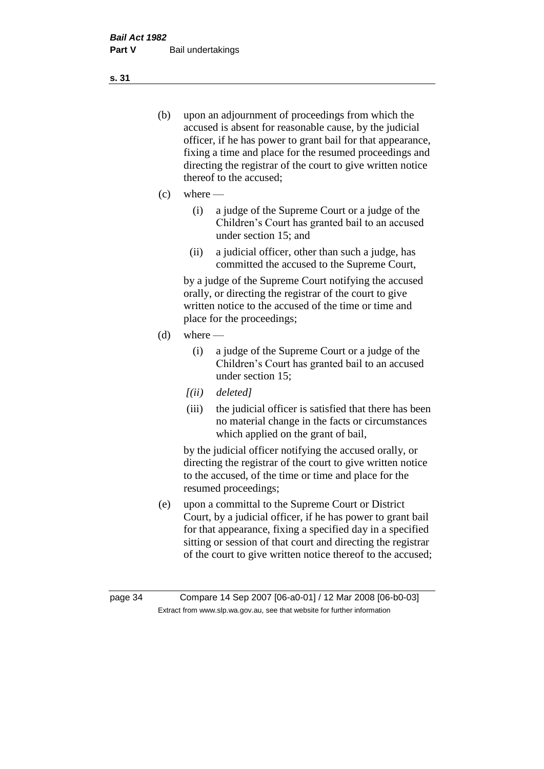- (b) upon an adjournment of proceedings from which the accused is absent for reasonable cause, by the judicial officer, if he has power to grant bail for that appearance, fixing a time and place for the resumed proceedings and directing the registrar of the court to give written notice thereof to the accused;
- $(c)$  where
	- (i) a judge of the Supreme Court or a judge of the Children's Court has granted bail to an accused under section 15; and
	- (ii) a judicial officer, other than such a judge, has committed the accused to the Supreme Court,

by a judge of the Supreme Court notifying the accused orally, or directing the registrar of the court to give written notice to the accused of the time or time and place for the proceedings;

- $(d)$  where
	- (i) a judge of the Supreme Court or a judge of the Children's Court has granted bail to an accused under section 15;
	- *[(ii) deleted]*
	- (iii) the judicial officer is satisfied that there has been no material change in the facts or circumstances which applied on the grant of bail,

by the judicial officer notifying the accused orally, or directing the registrar of the court to give written notice to the accused, of the time or time and place for the resumed proceedings;

(e) upon a committal to the Supreme Court or District Court, by a judicial officer, if he has power to grant bail for that appearance, fixing a specified day in a specified sitting or session of that court and directing the registrar of the court to give written notice thereof to the accused;

page 34 Compare 14 Sep 2007 [06-a0-01] / 12 Mar 2008 [06-b0-03] Extract from www.slp.wa.gov.au, see that website for further information

**s. 31**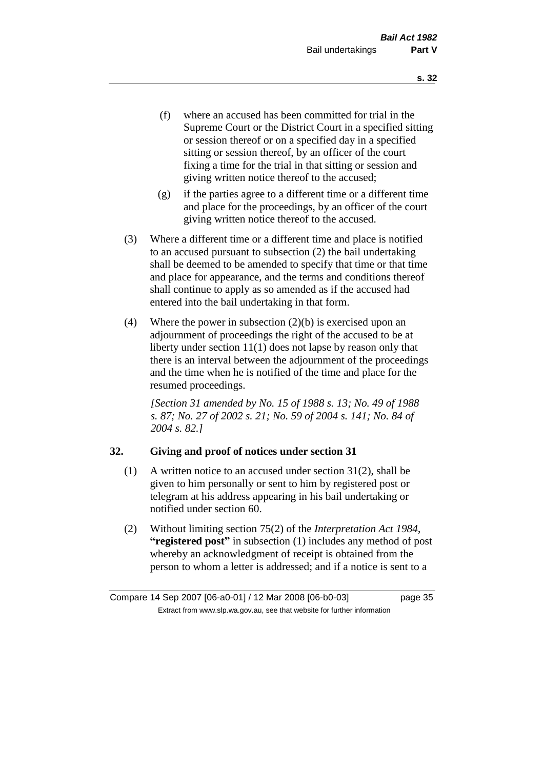- (f) where an accused has been committed for trial in the Supreme Court or the District Court in a specified sitting or session thereof or on a specified day in a specified sitting or session thereof, by an officer of the court fixing a time for the trial in that sitting or session and giving written notice thereof to the accused;
- (g) if the parties agree to a different time or a different time and place for the proceedings, by an officer of the court giving written notice thereof to the accused.
- (3) Where a different time or a different time and place is notified to an accused pursuant to subsection (2) the bail undertaking shall be deemed to be amended to specify that time or that time and place for appearance, and the terms and conditions thereof shall continue to apply as so amended as if the accused had entered into the bail undertaking in that form.
- (4) Where the power in subsection  $(2)(b)$  is exercised upon an adjournment of proceedings the right of the accused to be at liberty under section 11(1) does not lapse by reason only that there is an interval between the adjournment of the proceedings and the time when he is notified of the time and place for the resumed proceedings.

*[Section 31 amended by No. 15 of 1988 s. 13; No. 49 of 1988 s. 87; No. 27 of 2002 s. 21; No. 59 of 2004 s. 141; No. 84 of 2004 s. 82.]* 

#### **32. Giving and proof of notices under section 31**

- (1) A written notice to an accused under section 31(2), shall be given to him personally or sent to him by registered post or telegram at his address appearing in his bail undertaking or notified under section 60.
- (2) Without limiting section 75(2) of the *Interpretation Act 1984*, **"registered post"** in subsection (1) includes any method of post whereby an acknowledgment of receipt is obtained from the person to whom a letter is addressed; and if a notice is sent to a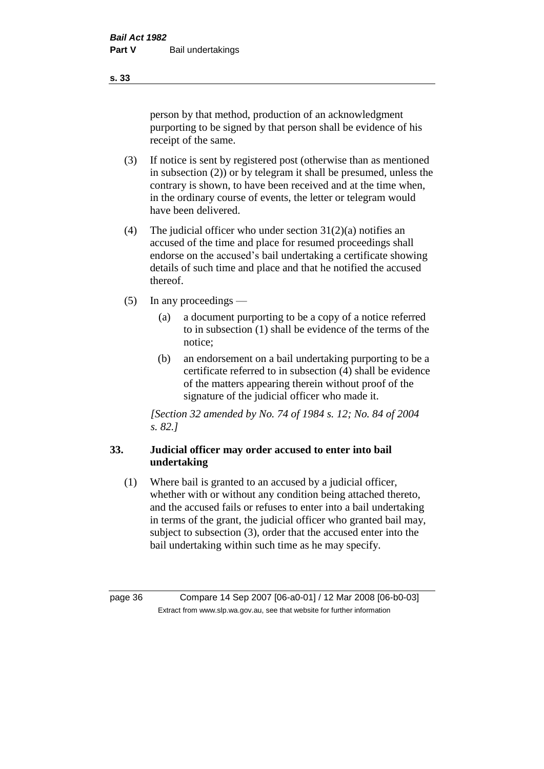person by that method, production of an acknowledgment purporting to be signed by that person shall be evidence of his receipt of the same.

- (3) If notice is sent by registered post (otherwise than as mentioned in subsection (2)) or by telegram it shall be presumed, unless the contrary is shown, to have been received and at the time when, in the ordinary course of events, the letter or telegram would have been delivered.
- (4) The judicial officer who under section  $31(2)(a)$  notifies an accused of the time and place for resumed proceedings shall endorse on the accused's bail undertaking a certificate showing details of such time and place and that he notified the accused thereof.
- (5) In any proceedings
	- (a) a document purporting to be a copy of a notice referred to in subsection (1) shall be evidence of the terms of the notice;
	- (b) an endorsement on a bail undertaking purporting to be a certificate referred to in subsection (4) shall be evidence of the matters appearing therein without proof of the signature of the judicial officer who made it.

*[Section 32 amended by No. 74 of 1984 s. 12; No. 84 of 2004 s. 82.]* 

## **33. Judicial officer may order accused to enter into bail undertaking**

(1) Where bail is granted to an accused by a judicial officer, whether with or without any condition being attached thereto, and the accused fails or refuses to enter into a bail undertaking in terms of the grant, the judicial officer who granted bail may, subject to subsection (3), order that the accused enter into the bail undertaking within such time as he may specify.

page 36 Compare 14 Sep 2007 [06-a0-01] / 12 Mar 2008 [06-b0-03] Extract from www.slp.wa.gov.au, see that website for further information

**s. 33**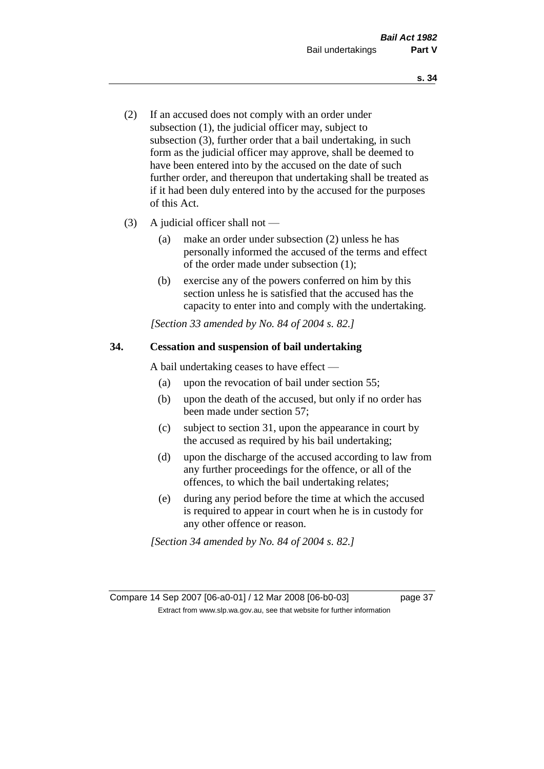- (2) If an accused does not comply with an order under subsection (1), the judicial officer may, subject to subsection (3), further order that a bail undertaking, in such form as the judicial officer may approve, shall be deemed to have been entered into by the accused on the date of such further order, and thereupon that undertaking shall be treated as if it had been duly entered into by the accused for the purposes of this Act.
- (3) A judicial officer shall not
	- (a) make an order under subsection (2) unless he has personally informed the accused of the terms and effect of the order made under subsection (1);
	- (b) exercise any of the powers conferred on him by this section unless he is satisfied that the accused has the capacity to enter into and comply with the undertaking.

*[Section 33 amended by No. 84 of 2004 s. 82.]* 

#### **34. Cessation and suspension of bail undertaking**

A bail undertaking ceases to have effect —

- (a) upon the revocation of bail under section 55;
- (b) upon the death of the accused, but only if no order has been made under section 57;
- (c) subject to section 31, upon the appearance in court by the accused as required by his bail undertaking;
- (d) upon the discharge of the accused according to law from any further proceedings for the offence, or all of the offences, to which the bail undertaking relates;
- (e) during any period before the time at which the accused is required to appear in court when he is in custody for any other offence or reason.

*[Section 34 amended by No. 84 of 2004 s. 82.]* 

Compare 14 Sep 2007 [06-a0-01] / 12 Mar 2008 [06-b0-03] page 37 Extract from www.slp.wa.gov.au, see that website for further information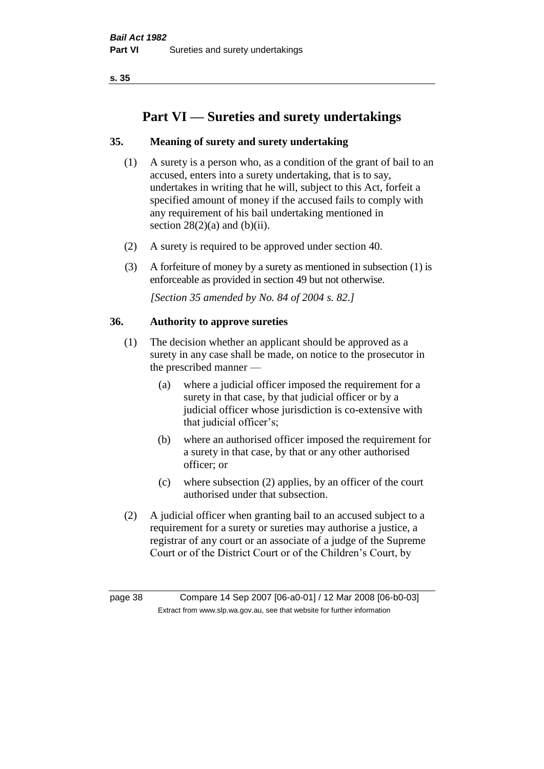**s. 35**

# **Part VI — Sureties and surety undertakings**

# **35. Meaning of surety and surety undertaking**

- (1) A surety is a person who, as a condition of the grant of bail to an accused, enters into a surety undertaking, that is to say, undertakes in writing that he will, subject to this Act, forfeit a specified amount of money if the accused fails to comply with any requirement of his bail undertaking mentioned in section  $28(2)(a)$  and  $(b)(ii)$ .
- (2) A surety is required to be approved under section 40.
- (3) A forfeiture of money by a surety as mentioned in subsection (1) is enforceable as provided in section 49 but not otherwise.

*[Section 35 amended by No. 84 of 2004 s. 82.]* 

#### **36. Authority to approve sureties**

- (1) The decision whether an applicant should be approved as a surety in any case shall be made, on notice to the prosecutor in the prescribed manner —
	- (a) where a judicial officer imposed the requirement for a surety in that case, by that judicial officer or by a judicial officer whose jurisdiction is co-extensive with that judicial officer's;
	- (b) where an authorised officer imposed the requirement for a surety in that case, by that or any other authorised officer; or
	- (c) where subsection (2) applies, by an officer of the court authorised under that subsection.
- (2) A judicial officer when granting bail to an accused subject to a requirement for a surety or sureties may authorise a justice, a registrar of any court or an associate of a judge of the Supreme Court or of the District Court or of the Children's Court, by

page 38 Compare 14 Sep 2007 [06-a0-01] / 12 Mar 2008 [06-b0-03] Extract from www.slp.wa.gov.au, see that website for further information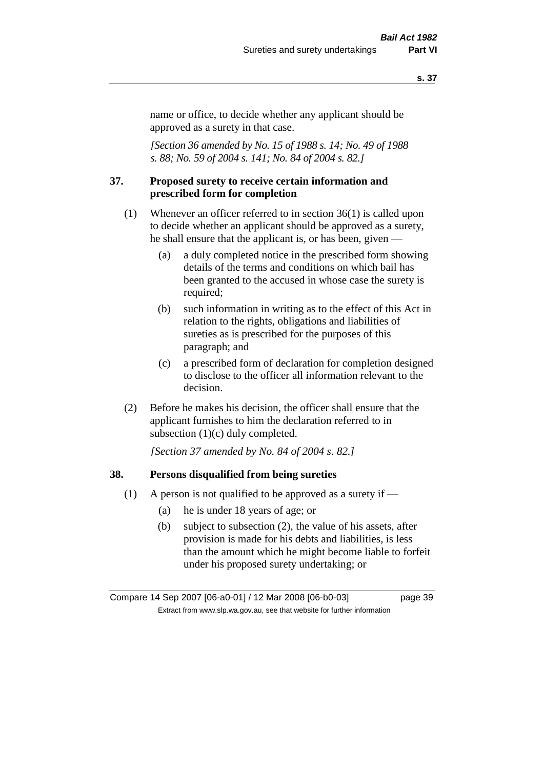#### **s. 37**

name or office, to decide whether any applicant should be approved as a surety in that case.

*[Section 36 amended by No. 15 of 1988 s. 14; No. 49 of 1988 s. 88; No. 59 of 2004 s. 141; No. 84 of 2004 s. 82.]* 

#### **37. Proposed surety to receive certain information and prescribed form for completion**

- (1) Whenever an officer referred to in section 36(1) is called upon to decide whether an applicant should be approved as a surety, he shall ensure that the applicant is, or has been, given —
	- (a) a duly completed notice in the prescribed form showing details of the terms and conditions on which bail has been granted to the accused in whose case the surety is required;
	- (b) such information in writing as to the effect of this Act in relation to the rights, obligations and liabilities of sureties as is prescribed for the purposes of this paragraph; and
	- (c) a prescribed form of declaration for completion designed to disclose to the officer all information relevant to the decision.
- (2) Before he makes his decision, the officer shall ensure that the applicant furnishes to him the declaration referred to in subsection (1)(c) duly completed.

*[Section 37 amended by No. 84 of 2004 s. 82.]* 

#### **38. Persons disqualified from being sureties**

- (1) A person is not qualified to be approved as a surety if  $-$ 
	- (a) he is under 18 years of age; or
	- (b) subject to subsection (2), the value of his assets, after provision is made for his debts and liabilities, is less than the amount which he might become liable to forfeit under his proposed surety undertaking; or

Compare 14 Sep 2007 [06-a0-01] / 12 Mar 2008 [06-b0-03] page 39 Extract from www.slp.wa.gov.au, see that website for further information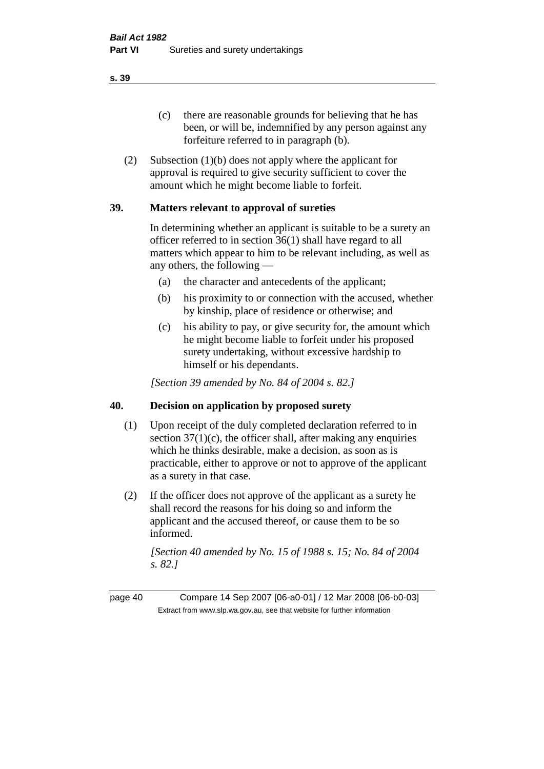(c) there are reasonable grounds for believing that he has been, or will be, indemnified by any person against any forfeiture referred to in paragraph (b).

(2) Subsection (1)(b) does not apply where the applicant for approval is required to give security sufficient to cover the amount which he might become liable to forfeit.

#### **39. Matters relevant to approval of sureties**

In determining whether an applicant is suitable to be a surety an officer referred to in section 36(1) shall have regard to all matters which appear to him to be relevant including, as well as any others, the following —

- (a) the character and antecedents of the applicant;
- (b) his proximity to or connection with the accused, whether by kinship, place of residence or otherwise; and
- (c) his ability to pay, or give security for, the amount which he might become liable to forfeit under his proposed surety undertaking, without excessive hardship to himself or his dependants.

*[Section 39 amended by No. 84 of 2004 s. 82.]* 

#### **40. Decision on application by proposed surety**

- (1) Upon receipt of the duly completed declaration referred to in section  $37(1)(c)$ , the officer shall, after making any enquiries which he thinks desirable, make a decision, as soon as is practicable, either to approve or not to approve of the applicant as a surety in that case.
- (2) If the officer does not approve of the applicant as a surety he shall record the reasons for his doing so and inform the applicant and the accused thereof, or cause them to be so informed.

*[Section 40 amended by No. 15 of 1988 s. 15; No. 84 of 2004 s. 82.]* 

page 40 Compare 14 Sep 2007 [06-a0-01] / 12 Mar 2008 [06-b0-03] Extract from www.slp.wa.gov.au, see that website for further information

**s. 39**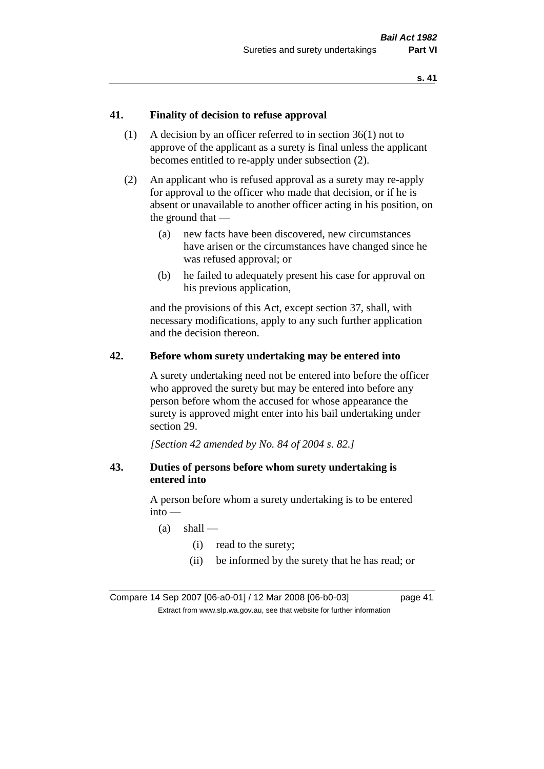#### **41. Finality of decision to refuse approval**

- (1) A decision by an officer referred to in section 36(1) not to approve of the applicant as a surety is final unless the applicant becomes entitled to re-apply under subsection (2).
- (2) An applicant who is refused approval as a surety may re-apply for approval to the officer who made that decision, or if he is absent or unavailable to another officer acting in his position, on the ground that —
	- (a) new facts have been discovered, new circumstances have arisen or the circumstances have changed since he was refused approval; or
	- (b) he failed to adequately present his case for approval on his previous application,

and the provisions of this Act, except section 37, shall, with necessary modifications, apply to any such further application and the decision thereon.

#### **42. Before whom surety undertaking may be entered into**

A surety undertaking need not be entered into before the officer who approved the surety but may be entered into before any person before whom the accused for whose appearance the surety is approved might enter into his bail undertaking under section 29.

*[Section 42 amended by No. 84 of 2004 s. 82.]* 

#### **43. Duties of persons before whom surety undertaking is entered into**

A person before whom a surety undertaking is to be entered into —

- $(a)$  shall
	- (i) read to the surety;
	- (ii) be informed by the surety that he has read; or

Compare 14 Sep 2007 [06-a0-01] / 12 Mar 2008 [06-b0-03] page 41 Extract from www.slp.wa.gov.au, see that website for further information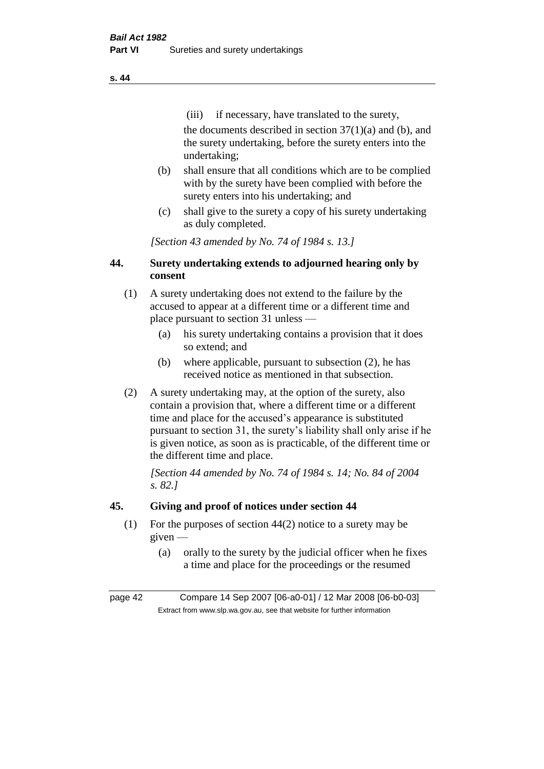(iii) if necessary, have translated to the surety, the documents described in section  $37(1)(a)$  and (b), and the surety undertaking, before the surety enters into the undertaking;

- (b) shall ensure that all conditions which are to be complied with by the surety have been complied with before the surety enters into his undertaking; and
- (c) shall give to the surety a copy of his surety undertaking as duly completed.

*[Section 43 amended by No. 74 of 1984 s. 13.]* 

## **44. Surety undertaking extends to adjourned hearing only by consent**

- (1) A surety undertaking does not extend to the failure by the accused to appear at a different time or a different time and place pursuant to section 31 unless —
	- (a) his surety undertaking contains a provision that it does so extend; and
	- (b) where applicable, pursuant to subsection (2), he has received notice as mentioned in that subsection.
- (2) A surety undertaking may, at the option of the surety, also contain a provision that, where a different time or a different time and place for the accused's appearance is substituted pursuant to section 31, the surety's liability shall only arise if he is given notice, as soon as is practicable, of the different time or the different time and place.

*[Section 44 amended by No. 74 of 1984 s. 14; No. 84 of 2004 s. 82.]* 

# **45. Giving and proof of notices under section 44**

- (1) For the purposes of section 44(2) notice to a surety may be given —
	- (a) orally to the surety by the judicial officer when he fixes a time and place for the proceedings or the resumed

page 42 Compare 14 Sep 2007 [06-a0-01] / 12 Mar 2008 [06-b0-03] Extract from www.slp.wa.gov.au, see that website for further information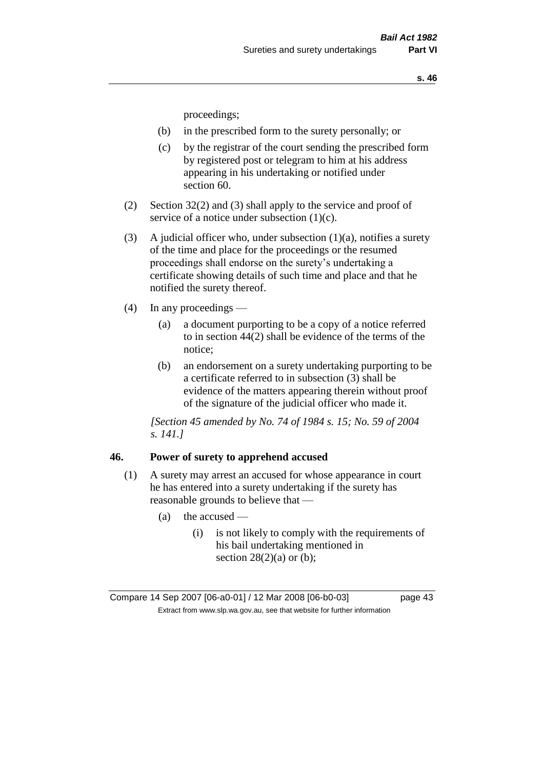proceedings;

- (b) in the prescribed form to the surety personally; or
- (c) by the registrar of the court sending the prescribed form by registered post or telegram to him at his address appearing in his undertaking or notified under section 60.
- (2) Section 32(2) and (3) shall apply to the service and proof of service of a notice under subsection (1)(c).
- (3) A judicial officer who, under subsection  $(1)(a)$ , notifies a surety of the time and place for the proceedings or the resumed proceedings shall endorse on the surety's undertaking a certificate showing details of such time and place and that he notified the surety thereof.
- (4) In any proceedings
	- (a) a document purporting to be a copy of a notice referred to in section 44(2) shall be evidence of the terms of the notice;
	- (b) an endorsement on a surety undertaking purporting to be a certificate referred to in subsection (3) shall be evidence of the matters appearing therein without proof of the signature of the judicial officer who made it.

*[Section 45 amended by No. 74 of 1984 s. 15; No. 59 of 2004 s. 141.]* 

#### **46. Power of surety to apprehend accused**

- (1) A surety may arrest an accused for whose appearance in court he has entered into a surety undertaking if the surety has reasonable grounds to believe that —
	- $(a)$  the accused
		- (i) is not likely to comply with the requirements of his bail undertaking mentioned in section  $28(2)(a)$  or (b);

Compare 14 Sep 2007 [06-a0-01] / 12 Mar 2008 [06-b0-03] page 43 Extract from www.slp.wa.gov.au, see that website for further information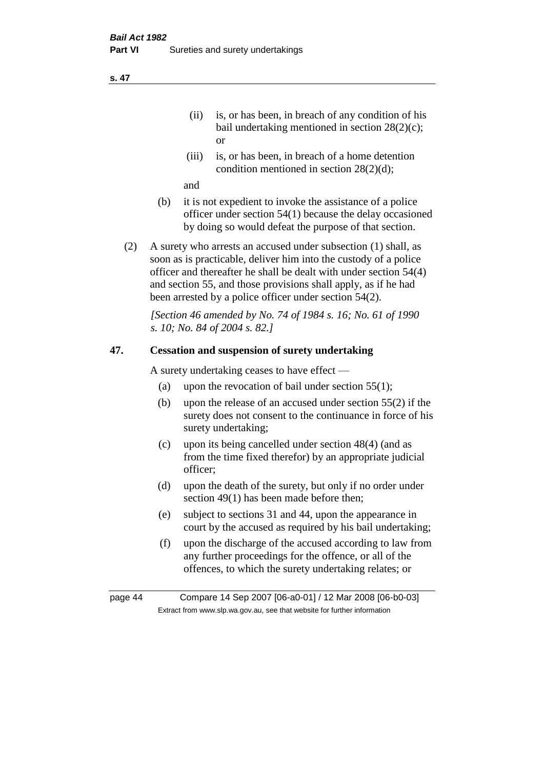- (ii) is, or has been, in breach of any condition of his bail undertaking mentioned in section 28(2)(c); or
- (iii) is, or has been, in breach of a home detention condition mentioned in section 28(2)(d);

and

- (b) it is not expedient to invoke the assistance of a police officer under section 54(1) because the delay occasioned by doing so would defeat the purpose of that section.
- (2) A surety who arrests an accused under subsection (1) shall, as soon as is practicable, deliver him into the custody of a police officer and thereafter he shall be dealt with under section 54(4) and section 55, and those provisions shall apply, as if he had been arrested by a police officer under section 54(2).

*[Section 46 amended by No. 74 of 1984 s. 16; No. 61 of 1990 s. 10; No. 84 of 2004 s. 82.]* 

#### **47. Cessation and suspension of surety undertaking**

A surety undertaking ceases to have effect —

- (a) upon the revocation of bail under section  $55(1)$ ;
- (b) upon the release of an accused under section 55(2) if the surety does not consent to the continuance in force of his surety undertaking;
- (c) upon its being cancelled under section 48(4) (and as from the time fixed therefor) by an appropriate judicial officer;
- (d) upon the death of the surety, but only if no order under section 49(1) has been made before then;
- (e) subject to sections 31 and 44, upon the appearance in court by the accused as required by his bail undertaking;
- (f) upon the discharge of the accused according to law from any further proceedings for the offence, or all of the offences, to which the surety undertaking relates; or

page 44 Compare 14 Sep 2007 [06-a0-01] / 12 Mar 2008 [06-b0-03] Extract from www.slp.wa.gov.au, see that website for further information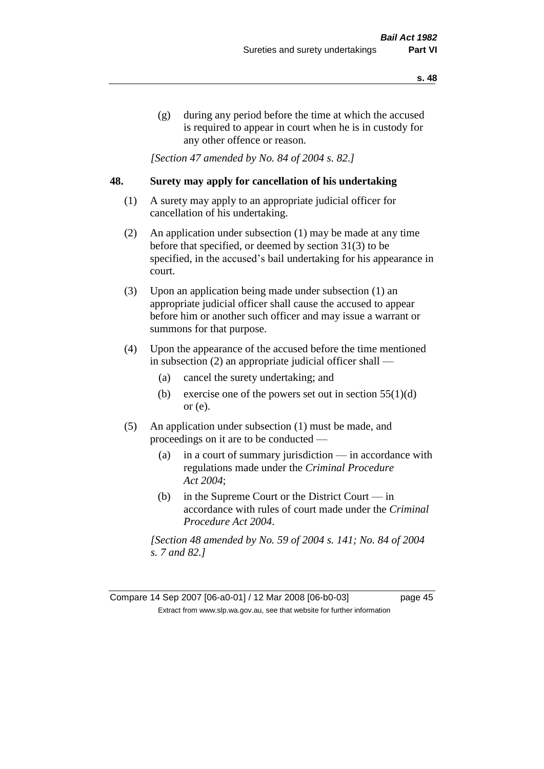(g) during any period before the time at which the accused is required to appear in court when he is in custody for any other offence or reason.

*[Section 47 amended by No. 84 of 2004 s. 82.]* 

#### **48. Surety may apply for cancellation of his undertaking**

- (1) A surety may apply to an appropriate judicial officer for cancellation of his undertaking.
- (2) An application under subsection (1) may be made at any time before that specified, or deemed by section 31(3) to be specified, in the accused's bail undertaking for his appearance in court.
- (3) Upon an application being made under subsection (1) an appropriate judicial officer shall cause the accused to appear before him or another such officer and may issue a warrant or summons for that purpose.
- (4) Upon the appearance of the accused before the time mentioned in subsection (2) an appropriate judicial officer shall —
	- (a) cancel the surety undertaking; and
	- (b) exercise one of the powers set out in section  $55(1)(d)$ or (e).
- (5) An application under subsection (1) must be made, and proceedings on it are to be conducted —
	- (a) in a court of summary jurisdiction in accordance with regulations made under the *Criminal Procedure Act 2004*;
	- (b) in the Supreme Court or the District Court  $-\text{in}$ accordance with rules of court made under the *Criminal Procedure Act 2004*.

*[Section 48 amended by No. 59 of 2004 s. 141; No. 84 of 2004 s. 7 and 82.]*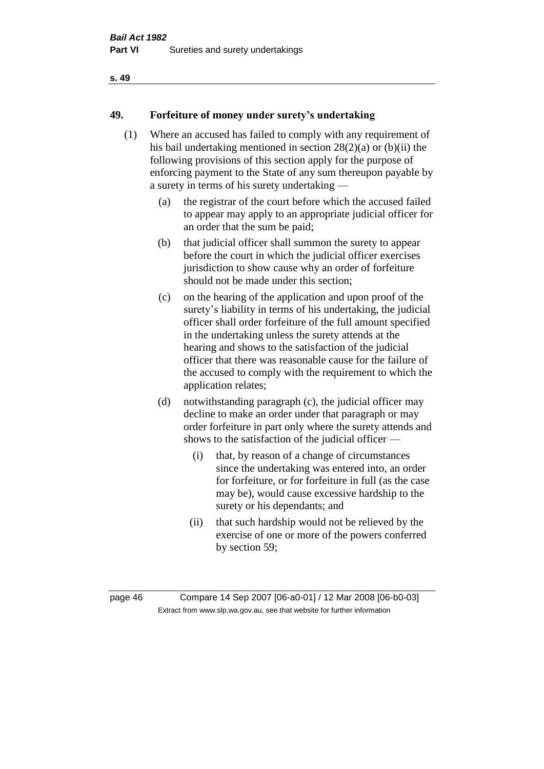#### **s. 49**

### **49. Forfeiture of money under surety's undertaking**

- (1) Where an accused has failed to comply with any requirement of his bail undertaking mentioned in section 28(2)(a) or (b)(ii) the following provisions of this section apply for the purpose of enforcing payment to the State of any sum thereupon payable by a surety in terms of his surety undertaking —
	- (a) the registrar of the court before which the accused failed to appear may apply to an appropriate judicial officer for an order that the sum be paid;
	- (b) that judicial officer shall summon the surety to appear before the court in which the judicial officer exercises jurisdiction to show cause why an order of forfeiture should not be made under this section;
	- (c) on the hearing of the application and upon proof of the surety's liability in terms of his undertaking, the judicial officer shall order forfeiture of the full amount specified in the undertaking unless the surety attends at the hearing and shows to the satisfaction of the judicial officer that there was reasonable cause for the failure of the accused to comply with the requirement to which the application relates;
	- (d) notwithstanding paragraph (c), the judicial officer may decline to make an order under that paragraph or may order forfeiture in part only where the surety attends and shows to the satisfaction of the judicial officer —
		- (i) that, by reason of a change of circumstances since the undertaking was entered into, an order for forfeiture, or for forfeiture in full (as the case may be), would cause excessive hardship to the surety or his dependants; and
		- (ii) that such hardship would not be relieved by the exercise of one or more of the powers conferred by section 59;

page 46 Compare 14 Sep 2007 [06-a0-01] / 12 Mar 2008 [06-b0-03] Extract from www.slp.wa.gov.au, see that website for further information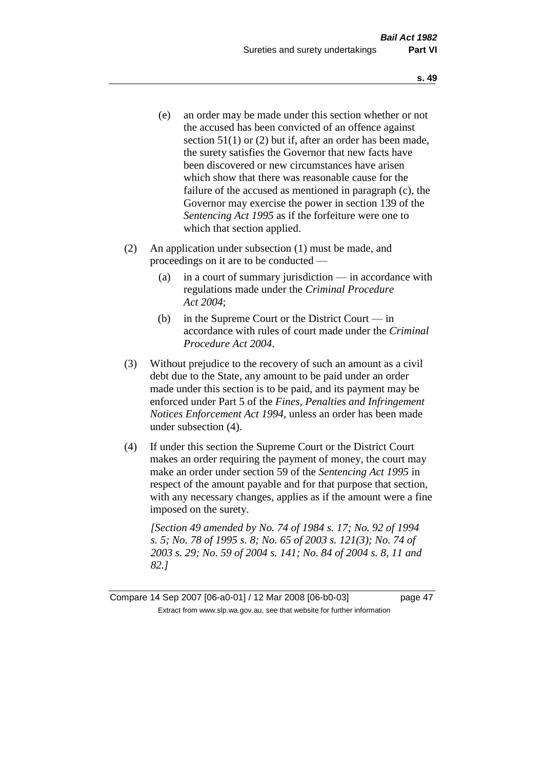- (e) an order may be made under this section whether or not the accused has been convicted of an offence against section 51(1) or (2) but if, after an order has been made, the surety satisfies the Governor that new facts have been discovered or new circumstances have arisen which show that there was reasonable cause for the failure of the accused as mentioned in paragraph (c), the Governor may exercise the power in section 139 of the *Sentencing Act 1995* as if the forfeiture were one to which that section applied.
- (2) An application under subsection (1) must be made, and proceedings on it are to be conducted —
	- (a) in a court of summary jurisdiction in accordance with regulations made under the *Criminal Procedure Act 2004*;
	- (b) in the Supreme Court or the District Court in accordance with rules of court made under the *Criminal Procedure Act 2004*.
- (3) Without prejudice to the recovery of such an amount as a civil debt due to the State, any amount to be paid under an order made under this section is to be paid, and its payment may be enforced under Part 5 of the *Fines, Penalties and Infringement Notices Enforcement Act 1994*, unless an order has been made under subsection (4).
- (4) If under this section the Supreme Court or the District Court makes an order requiring the payment of money, the court may make an order under section 59 of the *Sentencing Act 1995* in respect of the amount payable and for that purpose that section, with any necessary changes, applies as if the amount were a fine imposed on the surety.

*[Section 49 amended by No. 74 of 1984 s. 17; No. 92 of 1994 s. 5; No. 78 of 1995 s. 8; No. 65 of 2003 s. 121(3); No. 74 of 2003 s. 29; No. 59 of 2004 s. 141; No. 84 of 2004 s. 8, 11 and 82.]* 

Compare 14 Sep 2007 [06-a0-01] / 12 Mar 2008 [06-b0-03] page 47 Extract from www.slp.wa.gov.au, see that website for further information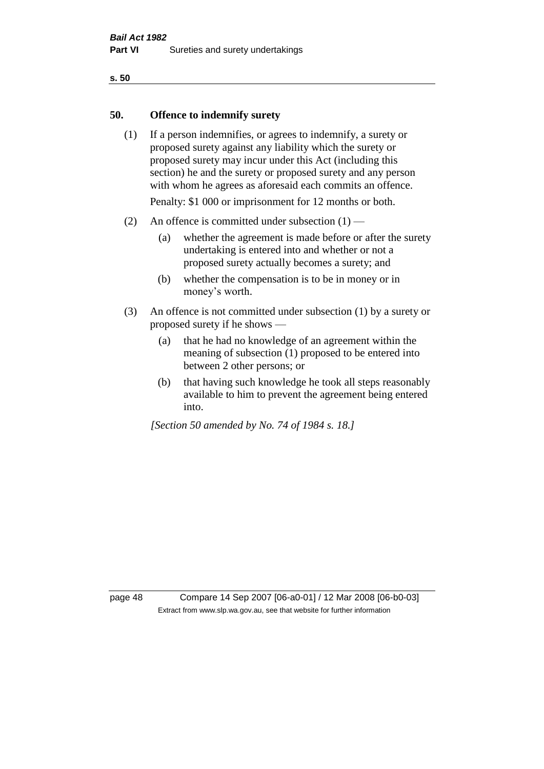#### **s. 50**

#### **50. Offence to indemnify surety**

(1) If a person indemnifies, or agrees to indemnify, a surety or proposed surety against any liability which the surety or proposed surety may incur under this Act (including this section) he and the surety or proposed surety and any person with whom he agrees as aforesaid each commits an offence.

Penalty: \$1 000 or imprisonment for 12 months or both.

- (2) An offence is committed under subsection  $(1)$ 
	- (a) whether the agreement is made before or after the surety undertaking is entered into and whether or not a proposed surety actually becomes a surety; and
	- (b) whether the compensation is to be in money or in money's worth.
- (3) An offence is not committed under subsection (1) by a surety or proposed surety if he shows —
	- (a) that he had no knowledge of an agreement within the meaning of subsection (1) proposed to be entered into between 2 other persons; or
	- (b) that having such knowledge he took all steps reasonably available to him to prevent the agreement being entered into.

*[Section 50 amended by No. 74 of 1984 s. 18.]* 

page 48 Compare 14 Sep 2007 [06-a0-01] / 12 Mar 2008 [06-b0-03] Extract from www.slp.wa.gov.au, see that website for further information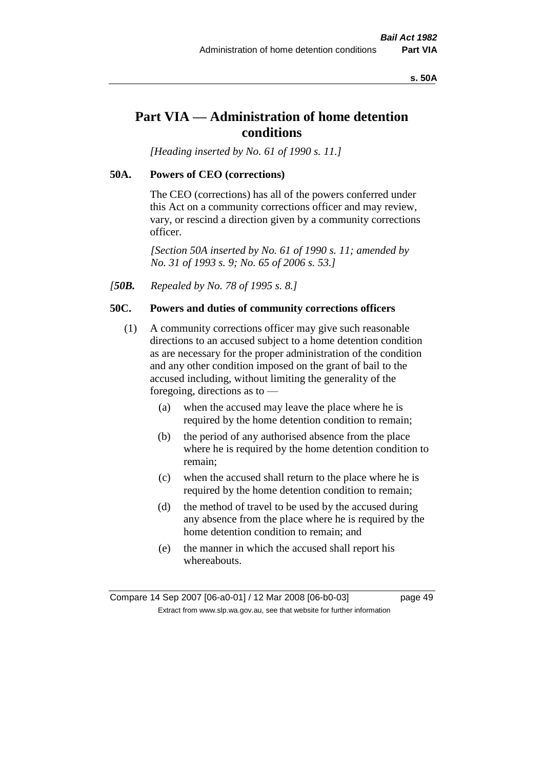#### **s. 50A**

# **Part VIA — Administration of home detention conditions**

*[Heading inserted by No. 61 of 1990 s. 11.]* 

#### **50A. Powers of CEO (corrections)**

The CEO (corrections) has all of the powers conferred under this Act on a community corrections officer and may review, vary, or rescind a direction given by a community corrections officer.

*[Section 50A inserted by No. 61 of 1990 s. 11; amended by No. 31 of 1993 s. 9; No. 65 of 2006 s. 53.]* 

*[50B. Repealed by No. 78 of 1995 s. 8.]* 

#### **50C. Powers and duties of community corrections officers**

- (1) A community corrections officer may give such reasonable directions to an accused subject to a home detention condition as are necessary for the proper administration of the condition and any other condition imposed on the grant of bail to the accused including, without limiting the generality of the foregoing, directions as to —
	- (a) when the accused may leave the place where he is required by the home detention condition to remain;
	- (b) the period of any authorised absence from the place where he is required by the home detention condition to remain;
	- (c) when the accused shall return to the place where he is required by the home detention condition to remain;
	- (d) the method of travel to be used by the accused during any absence from the place where he is required by the home detention condition to remain; and
	- (e) the manner in which the accused shall report his whereabouts.

Compare 14 Sep 2007 [06-a0-01] / 12 Mar 2008 [06-b0-03] page 49 Extract from www.slp.wa.gov.au, see that website for further information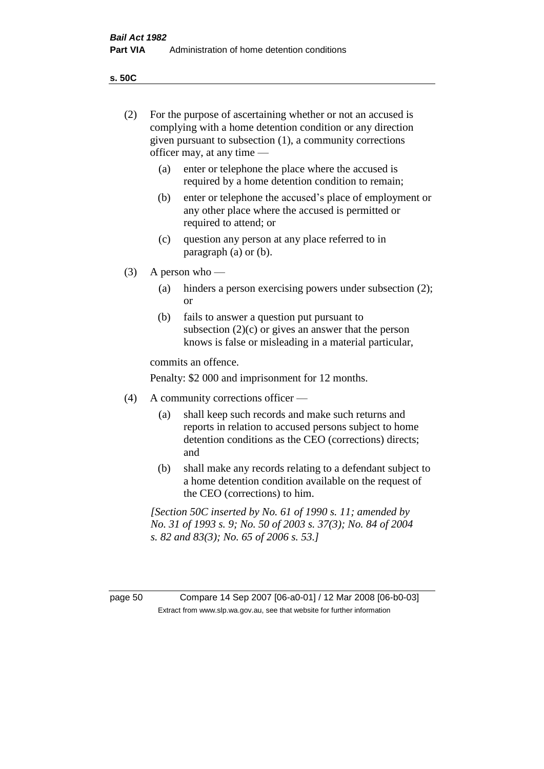**s. 50C**

| (2)     | For the purpose of ascertaining whether or not an accused is<br>complying with a home detention condition or any direction<br>given pursuant to subsection (1), a community corrections<br>officer may, at any time — |                                                                                                                                                                              |  |  |
|---------|-----------------------------------------------------------------------------------------------------------------------------------------------------------------------------------------------------------------------|------------------------------------------------------------------------------------------------------------------------------------------------------------------------------|--|--|
|         | (a)                                                                                                                                                                                                                   | enter or telephone the place where the accused is<br>required by a home detention condition to remain;                                                                       |  |  |
|         | (b)                                                                                                                                                                                                                   | enter or telephone the accused's place of employment or<br>any other place where the accused is permitted or<br>required to attend; or                                       |  |  |
|         | (c)                                                                                                                                                                                                                   | question any person at any place referred to in<br>paragraph $(a)$ or $(b)$ .                                                                                                |  |  |
| (3)     | A person who $-$                                                                                                                                                                                                      |                                                                                                                                                                              |  |  |
|         | (a)                                                                                                                                                                                                                   | hinders a person exercising powers under subsection (2);<br><sub>or</sub>                                                                                                    |  |  |
|         | (b)                                                                                                                                                                                                                   | fails to answer a question put pursuant to<br>subsection $(2)(c)$ or gives an answer that the person<br>knows is false or misleading in a material particular,               |  |  |
|         | commits an offence.                                                                                                                                                                                                   |                                                                                                                                                                              |  |  |
|         | Penalty: \$2 000 and imprisonment for 12 months.                                                                                                                                                                      |                                                                                                                                                                              |  |  |
| (4)     | A community corrections officer —                                                                                                                                                                                     |                                                                                                                                                                              |  |  |
|         | (a)                                                                                                                                                                                                                   | shall keep such records and make such returns and<br>reports in relation to accused persons subject to home<br>detention conditions as the CEO (corrections) directs;<br>and |  |  |
|         | (b)                                                                                                                                                                                                                   | shall make any records relating to a defendant subject to<br>a home detention condition available on the request of<br>the CEO (corrections) to him.                         |  |  |
|         |                                                                                                                                                                                                                       | [Section 50C inserted by No. 61 of 1990 s. 11; amended by<br>No. 31 of 1993 s. 9; No. 50 of 2003 s. 37(3); No. 84 of 2004<br>s. 82 and 83(3); No. 65 of 2006 s. 53.]         |  |  |
|         |                                                                                                                                                                                                                       |                                                                                                                                                                              |  |  |
| page 50 |                                                                                                                                                                                                                       | Compare 14 Sep 2007 [06-a0-01] / 12 Mar 2008 [06-b0-03]<br>Extract from www.slp.wa.gov.au, see that website for further information                                          |  |  |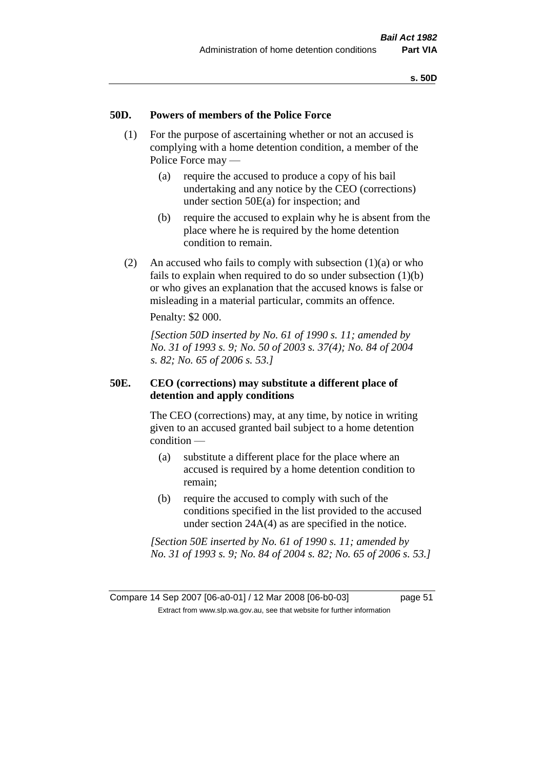#### **50D. Powers of members of the Police Force**

- (1) For the purpose of ascertaining whether or not an accused is complying with a home detention condition, a member of the Police Force may —
	- (a) require the accused to produce a copy of his bail undertaking and any notice by the CEO (corrections) under section 50E(a) for inspection; and
	- (b) require the accused to explain why he is absent from the place where he is required by the home detention condition to remain.
- (2) An accused who fails to comply with subsection  $(1)(a)$  or who fails to explain when required to do so under subsection (1)(b) or who gives an explanation that the accused knows is false or misleading in a material particular, commits an offence.

Penalty: \$2 000.

*[Section 50D inserted by No. 61 of 1990 s. 11; amended by No. 31 of 1993 s. 9; No. 50 of 2003 s. 37(4); No. 84 of 2004 s. 82; No. 65 of 2006 s. 53.]* 

#### **50E. CEO (corrections) may substitute a different place of detention and apply conditions**

The CEO (corrections) may, at any time, by notice in writing given to an accused granted bail subject to a home detention condition —

- (a) substitute a different place for the place where an accused is required by a home detention condition to remain;
- (b) require the accused to comply with such of the conditions specified in the list provided to the accused under section 24A(4) as are specified in the notice.

*[Section 50E inserted by No. 61 of 1990 s. 11; amended by No. 31 of 1993 s. 9; No. 84 of 2004 s. 82; No. 65 of 2006 s. 53.]*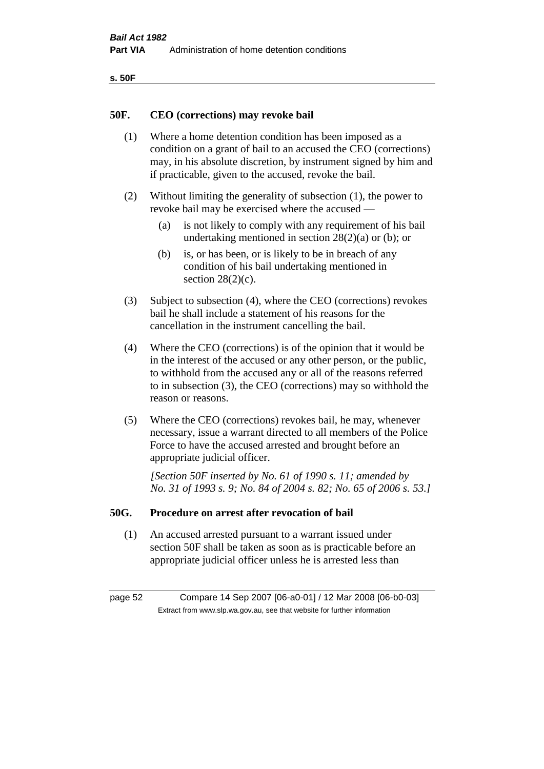| ۰.<br>×<br>-<br>۰.<br>× |  |
|-------------------------|--|
|-------------------------|--|

#### **50F. CEO (corrections) may revoke bail**

- (1) Where a home detention condition has been imposed as a condition on a grant of bail to an accused the CEO (corrections) may, in his absolute discretion, by instrument signed by him and if practicable, given to the accused, revoke the bail.
- (2) Without limiting the generality of subsection (1), the power to revoke bail may be exercised where the accused —
	- (a) is not likely to comply with any requirement of his bail undertaking mentioned in section  $28(2)(a)$  or (b); or
	- (b) is, or has been, or is likely to be in breach of any condition of his bail undertaking mentioned in section  $28(2)(c)$ .
- (3) Subject to subsection (4), where the CEO (corrections) revokes bail he shall include a statement of his reasons for the cancellation in the instrument cancelling the bail.
- (4) Where the CEO (corrections) is of the opinion that it would be in the interest of the accused or any other person, or the public, to withhold from the accused any or all of the reasons referred to in subsection (3), the CEO (corrections) may so withhold the reason or reasons.
- (5) Where the CEO (corrections) revokes bail, he may, whenever necessary, issue a warrant directed to all members of the Police Force to have the accused arrested and brought before an appropriate judicial officer.

*[Section 50F inserted by No. 61 of 1990 s. 11; amended by No. 31 of 1993 s. 9; No. 84 of 2004 s. 82; No. 65 of 2006 s. 53.]* 

#### **50G. Procedure on arrest after revocation of bail**

(1) An accused arrested pursuant to a warrant issued under section 50F shall be taken as soon as is practicable before an appropriate judicial officer unless he is arrested less than

page 52 Compare 14 Sep 2007 [06-a0-01] / 12 Mar 2008 [06-b0-03] Extract from www.slp.wa.gov.au, see that website for further information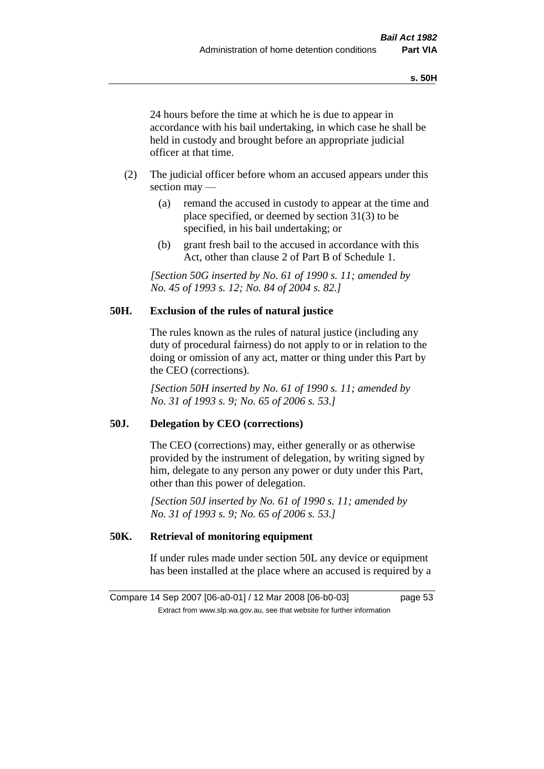24 hours before the time at which he is due to appear in accordance with his bail undertaking, in which case he shall be held in custody and brought before an appropriate judicial officer at that time.

- (2) The judicial officer before whom an accused appears under this section may —
	- (a) remand the accused in custody to appear at the time and place specified, or deemed by section 31(3) to be specified, in his bail undertaking; or
	- (b) grant fresh bail to the accused in accordance with this Act, other than clause 2 of Part B of Schedule 1.

*[Section 50G inserted by No. 61 of 1990 s. 11; amended by No. 45 of 1993 s. 12; No. 84 of 2004 s. 82.]* 

#### **50H. Exclusion of the rules of natural justice**

The rules known as the rules of natural justice (including any duty of procedural fairness) do not apply to or in relation to the doing or omission of any act, matter or thing under this Part by the CEO (corrections).

*[Section 50H inserted by No. 61 of 1990 s. 11; amended by No. 31 of 1993 s. 9; No. 65 of 2006 s. 53.]* 

#### **50J. Delegation by CEO (corrections)**

The CEO (corrections) may, either generally or as otherwise provided by the instrument of delegation, by writing signed by him, delegate to any person any power or duty under this Part, other than this power of delegation.

*[Section 50J inserted by No. 61 of 1990 s. 11; amended by No. 31 of 1993 s. 9; No. 65 of 2006 s. 53.]* 

### **50K. Retrieval of monitoring equipment**

If under rules made under section 50L any device or equipment has been installed at the place where an accused is required by a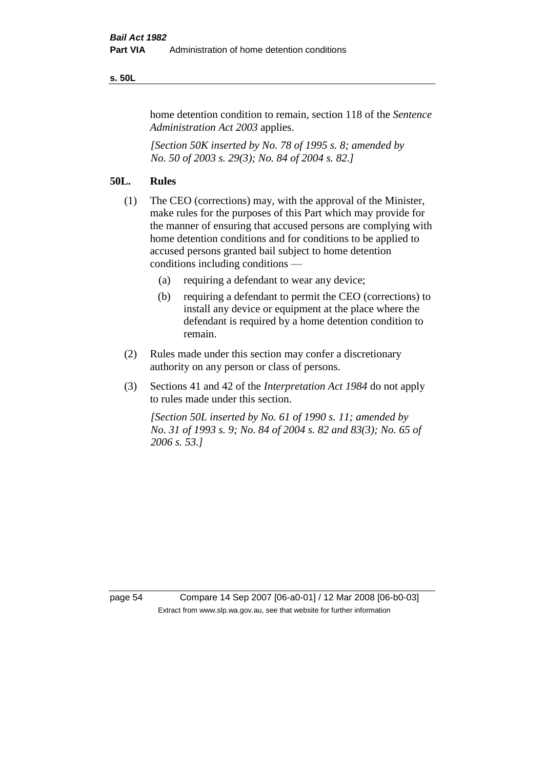#### **s. 50L**

home detention condition to remain, section 118 of the *Sentence Administration Act 2003* applies.

*[Section 50K inserted by No. 78 of 1995 s. 8; amended by No. 50 of 2003 s. 29(3); No. 84 of 2004 s. 82.]* 

#### **50L. Rules**

- (1) The CEO (corrections) may, with the approval of the Minister, make rules for the purposes of this Part which may provide for the manner of ensuring that accused persons are complying with home detention conditions and for conditions to be applied to accused persons granted bail subject to home detention conditions including conditions —
	- (a) requiring a defendant to wear any device;
	- (b) requiring a defendant to permit the CEO (corrections) to install any device or equipment at the place where the defendant is required by a home detention condition to remain.
- (2) Rules made under this section may confer a discretionary authority on any person or class of persons.
- (3) Sections 41 and 42 of the *Interpretation Act 1984* do not apply to rules made under this section.

*[Section 50L inserted by No. 61 of 1990 s. 11; amended by No. 31 of 1993 s. 9; No. 84 of 2004 s. 82 and 83(3); No. 65 of 2006 s. 53.]* 

page 54 Compare 14 Sep 2007 [06-a0-01] / 12 Mar 2008 [06-b0-03] Extract from www.slp.wa.gov.au, see that website for further information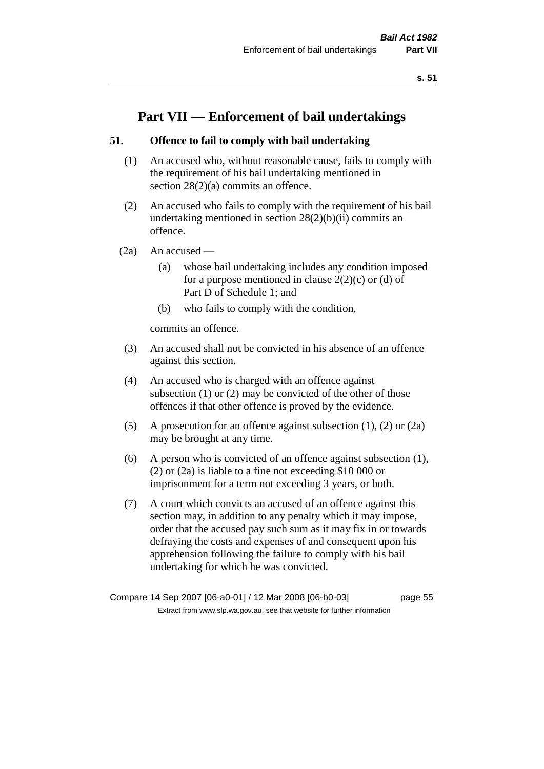# **Part VII — Enforcement of bail undertakings**

### **51. Offence to fail to comply with bail undertaking**

- (1) An accused who, without reasonable cause, fails to comply with the requirement of his bail undertaking mentioned in section 28(2)(a) commits an offence.
- (2) An accused who fails to comply with the requirement of his bail undertaking mentioned in section  $28(2)(b)(ii)$  commits an offence.
- $(2a)$  An accused
	- (a) whose bail undertaking includes any condition imposed for a purpose mentioned in clause  $2(2)(c)$  or (d) of Part D of Schedule 1; and
	- (b) who fails to comply with the condition,

commits an offence.

- (3) An accused shall not be convicted in his absence of an offence against this section.
- (4) An accused who is charged with an offence against subsection (1) or (2) may be convicted of the other of those offences if that other offence is proved by the evidence.
- (5) A prosecution for an offence against subsection (1), (2) or (2a) may be brought at any time.
- (6) A person who is convicted of an offence against subsection (1), (2) or (2a) is liable to a fine not exceeding \$10 000 or imprisonment for a term not exceeding 3 years, or both.
- (7) A court which convicts an accused of an offence against this section may, in addition to any penalty which it may impose, order that the accused pay such sum as it may fix in or towards defraying the costs and expenses of and consequent upon his apprehension following the failure to comply with his bail undertaking for which he was convicted.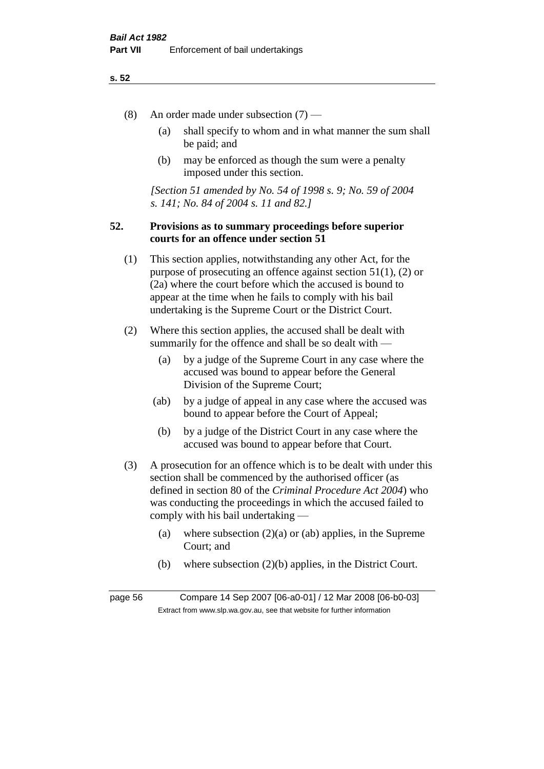#### **s. 52**

- (8) An order made under subsection (7)
	- (a) shall specify to whom and in what manner the sum shall be paid; and
	- (b) may be enforced as though the sum were a penalty imposed under this section.

*[Section 51 amended by No. 54 of 1998 s. 9; No. 59 of 2004 s. 141; No. 84 of 2004 s. 11 and 82.]*

#### **52. Provisions as to summary proceedings before superior courts for an offence under section 51**

- (1) This section applies, notwithstanding any other Act, for the purpose of prosecuting an offence against section 51(1), (2) or (2a) where the court before which the accused is bound to appear at the time when he fails to comply with his bail undertaking is the Supreme Court or the District Court.
- (2) Where this section applies, the accused shall be dealt with summarily for the offence and shall be so dealt with —
	- (a) by a judge of the Supreme Court in any case where the accused was bound to appear before the General Division of the Supreme Court;
	- (ab) by a judge of appeal in any case where the accused was bound to appear before the Court of Appeal;
	- (b) by a judge of the District Court in any case where the accused was bound to appear before that Court.
- (3) A prosecution for an offence which is to be dealt with under this section shall be commenced by the authorised officer (as defined in section 80 of the *Criminal Procedure Act 2004*) who was conducting the proceedings in which the accused failed to comply with his bail undertaking —
	- (a) where subsection  $(2)(a)$  or (ab) applies, in the Supreme Court; and
	- (b) where subsection (2)(b) applies, in the District Court.

page 56 Compare 14 Sep 2007 [06-a0-01] / 12 Mar 2008 [06-b0-03] Extract from www.slp.wa.gov.au, see that website for further information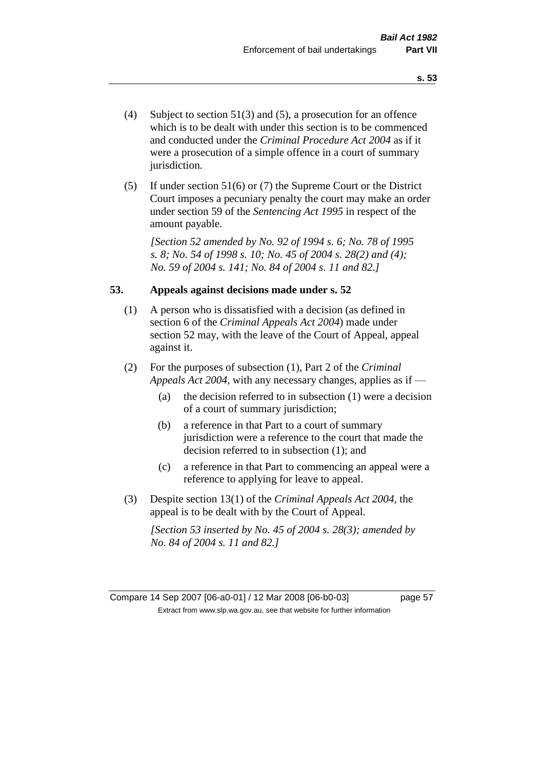- (4) Subject to section 51(3) and (5), a prosecution for an offence which is to be dealt with under this section is to be commenced and conducted under the *Criminal Procedure Act 2004* as if it were a prosecution of a simple offence in a court of summary jurisdiction.
- (5) If under section 51(6) or (7) the Supreme Court or the District Court imposes a pecuniary penalty the court may make an order under section 59 of the *Sentencing Act 1995* in respect of the amount payable.

*[Section 52 amended by No. 92 of 1994 s. 6; No. 78 of 1995 s. 8; No. 54 of 1998 s. 10; No. 45 of 2004 s. 28(2) and (4); No. 59 of 2004 s. 141; No. 84 of 2004 s. 11 and 82.]* 

#### **53. Appeals against decisions made under s. 52**

- (1) A person who is dissatisfied with a decision (as defined in section 6 of the *Criminal Appeals Act 2004*) made under section 52 may, with the leave of the Court of Appeal, appeal against it.
- (2) For the purposes of subsection (1), Part 2 of the *Criminal Appeals Act 2004*, with any necessary changes, applies as if —
	- (a) the decision referred to in subsection (1) were a decision of a court of summary jurisdiction;
	- (b) a reference in that Part to a court of summary jurisdiction were a reference to the court that made the decision referred to in subsection (1); and
	- (c) a reference in that Part to commencing an appeal were a reference to applying for leave to appeal.
- (3) Despite section 13(1) of the *Criminal Appeals Act 2004*, the appeal is to be dealt with by the Court of Appeal.

*[Section 53 inserted by No. 45 of 2004 s. 28(3); amended by No. 84 of 2004 s. 11 and 82.]*

Compare 14 Sep 2007 [06-a0-01] / 12 Mar 2008 [06-b0-03] page 57 Extract from www.slp.wa.gov.au, see that website for further information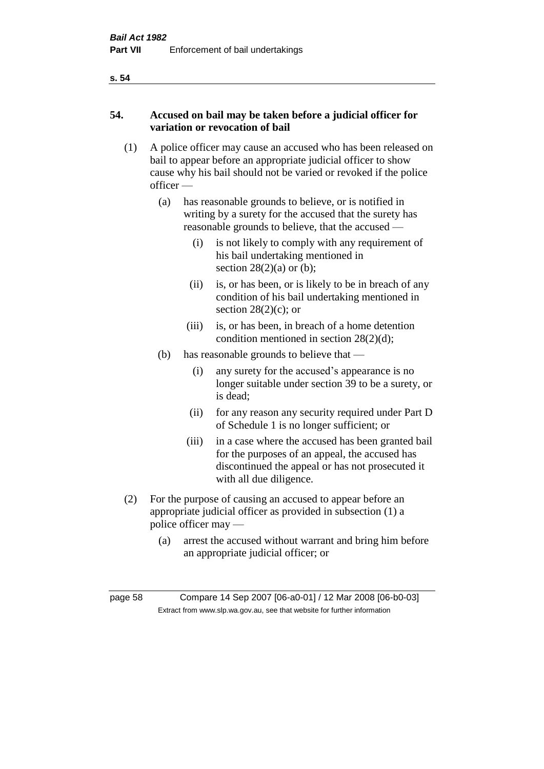#### **s. 54**

## **54. Accused on bail may be taken before a judicial officer for variation or revocation of bail**

- (1) A police officer may cause an accused who has been released on bail to appear before an appropriate judicial officer to show cause why his bail should not be varied or revoked if the police officer —
	- (a) has reasonable grounds to believe, or is notified in writing by a surety for the accused that the surety has reasonable grounds to believe, that the accused —
		- (i) is not likely to comply with any requirement of his bail undertaking mentioned in section  $28(2)(a)$  or (b);
		- (ii) is, or has been, or is likely to be in breach of any condition of his bail undertaking mentioned in section  $28(2)(c)$ ; or
		- (iii) is, or has been, in breach of a home detention condition mentioned in section 28(2)(d);
	- (b) has reasonable grounds to believe that
		- (i) any surety for the accused's appearance is no longer suitable under section 39 to be a surety, or is dead;
		- (ii) for any reason any security required under Part D of Schedule 1 is no longer sufficient; or
		- (iii) in a case where the accused has been granted bail for the purposes of an appeal, the accused has discontinued the appeal or has not prosecuted it with all due diligence.
- (2) For the purpose of causing an accused to appear before an appropriate judicial officer as provided in subsection (1) a police officer may —
	- (a) arrest the accused without warrant and bring him before an appropriate judicial officer; or

page 58 Compare 14 Sep 2007 [06-a0-01] / 12 Mar 2008 [06-b0-03] Extract from www.slp.wa.gov.au, see that website for further information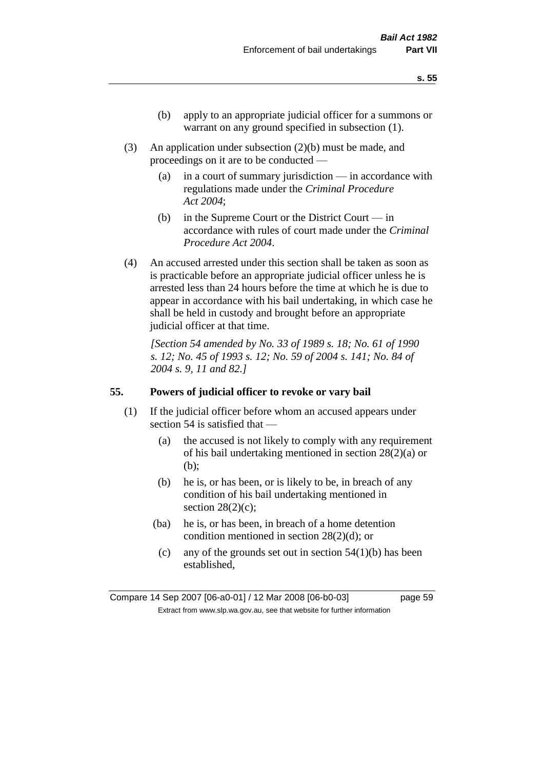- (b) apply to an appropriate judicial officer for a summons or warrant on any ground specified in subsection  $(1)$ .
- (3) An application under subsection (2)(b) must be made, and proceedings on it are to be conducted —
	- (a) in a court of summary jurisdiction in accordance with regulations made under the *Criminal Procedure Act 2004*;
	- (b) in the Supreme Court or the District Court  $-\text{in}$ accordance with rules of court made under the *Criminal Procedure Act 2004*.
- (4) An accused arrested under this section shall be taken as soon as is practicable before an appropriate judicial officer unless he is arrested less than 24 hours before the time at which he is due to appear in accordance with his bail undertaking, in which case he shall be held in custody and brought before an appropriate judicial officer at that time.

*[Section 54 amended by No. 33 of 1989 s. 18; No. 61 of 1990 s. 12; No. 45 of 1993 s. 12; No. 59 of 2004 s. 141; No. 84 of 2004 s. 9, 11 and 82.]* 

#### **55. Powers of judicial officer to revoke or vary bail**

- (1) If the judicial officer before whom an accused appears under section 54 is satisfied that —
	- (a) the accused is not likely to comply with any requirement of his bail undertaking mentioned in section 28(2)(a) or (b);
	- (b) he is, or has been, or is likely to be, in breach of any condition of his bail undertaking mentioned in section  $28(2)(c)$ ;
	- (ba) he is, or has been, in breach of a home detention condition mentioned in section 28(2)(d); or
		- (c) any of the grounds set out in section  $54(1)(b)$  has been established,

Compare 14 Sep 2007 [06-a0-01] / 12 Mar 2008 [06-b0-03] page 59 Extract from www.slp.wa.gov.au, see that website for further information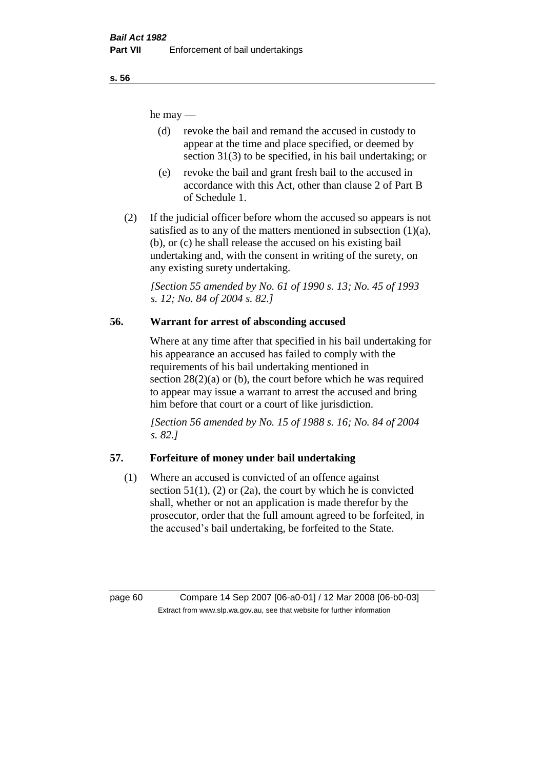he may —

- (d) revoke the bail and remand the accused in custody to appear at the time and place specified, or deemed by section 31(3) to be specified, in his bail undertaking; or
- (e) revoke the bail and grant fresh bail to the accused in accordance with this Act, other than clause 2 of Part B of Schedule 1.
- (2) If the judicial officer before whom the accused so appears is not satisfied as to any of the matters mentioned in subsection  $(1)(a)$ , (b), or (c) he shall release the accused on his existing bail undertaking and, with the consent in writing of the surety, on any existing surety undertaking.

*[Section 55 amended by No. 61 of 1990 s. 13; No. 45 of 1993 s. 12; No. 84 of 2004 s. 82.]* 

# **56. Warrant for arrest of absconding accused**

Where at any time after that specified in his bail undertaking for his appearance an accused has failed to comply with the requirements of his bail undertaking mentioned in section  $28(2)(a)$  or (b), the court before which he was required to appear may issue a warrant to arrest the accused and bring him before that court or a court of like jurisdiction.

*[Section 56 amended by No. 15 of 1988 s. 16; No. 84 of 2004 s. 82.]* 

# **57. Forfeiture of money under bail undertaking**

(1) Where an accused is convicted of an offence against section  $51(1)$ ,  $(2)$  or  $(2a)$ , the court by which he is convicted shall, whether or not an application is made therefor by the prosecutor, order that the full amount agreed to be forfeited, in the accused's bail undertaking, be forfeited to the State.

page 60 Compare 14 Sep 2007 [06-a0-01] / 12 Mar 2008 [06-b0-03] Extract from www.slp.wa.gov.au, see that website for further information

**s. 56**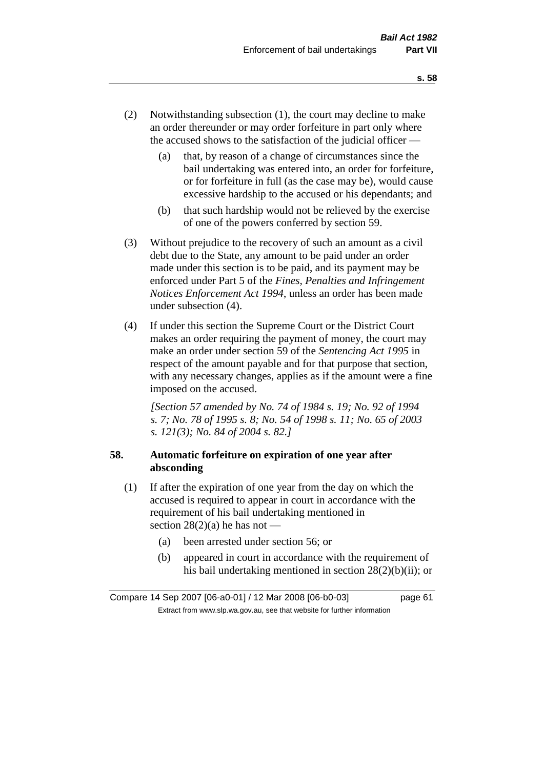- (2) Notwithstanding subsection (1), the court may decline to make an order thereunder or may order forfeiture in part only where the accused shows to the satisfaction of the judicial officer —
	- (a) that, by reason of a change of circumstances since the bail undertaking was entered into, an order for forfeiture, or for forfeiture in full (as the case may be), would cause excessive hardship to the accused or his dependants; and
	- (b) that such hardship would not be relieved by the exercise of one of the powers conferred by section 59.
- (3) Without prejudice to the recovery of such an amount as a civil debt due to the State, any amount to be paid under an order made under this section is to be paid, and its payment may be enforced under Part 5 of the *Fines, Penalties and Infringement Notices Enforcement Act 1994*, unless an order has been made under subsection (4).
- (4) If under this section the Supreme Court or the District Court makes an order requiring the payment of money, the court may make an order under section 59 of the *Sentencing Act 1995* in respect of the amount payable and for that purpose that section, with any necessary changes, applies as if the amount were a fine imposed on the accused.

*[Section 57 amended by No. 74 of 1984 s. 19; No. 92 of 1994 s. 7; No. 78 of 1995 s. 8; No. 54 of 1998 s. 11; No. 65 of 2003 s. 121(3); No. 84 of 2004 s. 82.]* 

## **58. Automatic forfeiture on expiration of one year after absconding**

- (1) If after the expiration of one year from the day on which the accused is required to appear in court in accordance with the requirement of his bail undertaking mentioned in section  $28(2)(a)$  he has not —
	- (a) been arrested under section 56; or
	- (b) appeared in court in accordance with the requirement of his bail undertaking mentioned in section 28(2)(b)(ii); or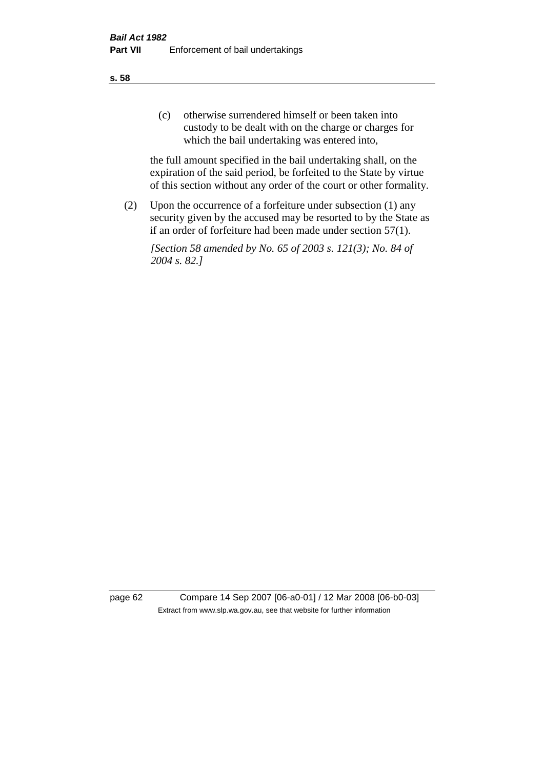(c) otherwise surrendered himself or been taken into custody to be dealt with on the charge or charges for which the bail undertaking was entered into,

the full amount specified in the bail undertaking shall, on the expiration of the said period, be forfeited to the State by virtue of this section without any order of the court or other formality.

(2) Upon the occurrence of a forfeiture under subsection (1) any security given by the accused may be resorted to by the State as if an order of forfeiture had been made under section 57(1).

*[Section 58 amended by No. 65 of 2003 s. 121(3); No. 84 of 2004 s. 82.]*

page 62 Compare 14 Sep 2007 [06-a0-01] / 12 Mar 2008 [06-b0-03] Extract from www.slp.wa.gov.au, see that website for further information

**s. 58**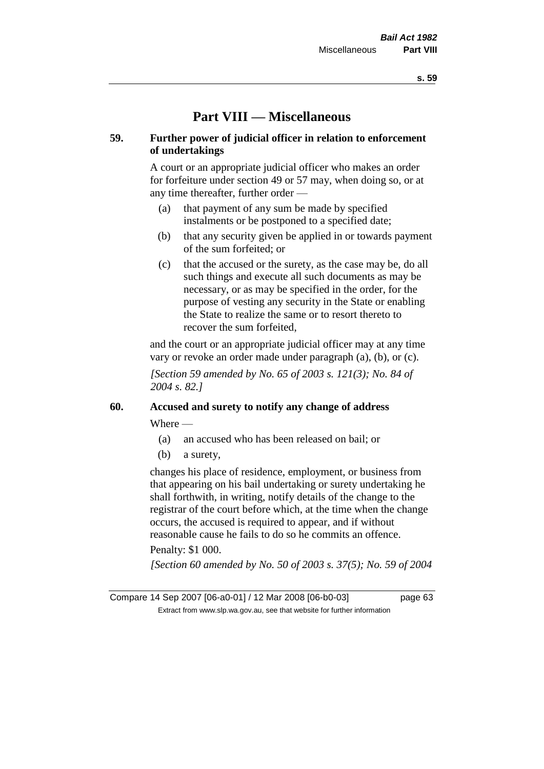# **Part VIII — Miscellaneous**

### **59. Further power of judicial officer in relation to enforcement of undertakings**

A court or an appropriate judicial officer who makes an order for forfeiture under section 49 or 57 may, when doing so, or at any time thereafter, further order —

- (a) that payment of any sum be made by specified instalments or be postponed to a specified date;
- (b) that any security given be applied in or towards payment of the sum forfeited; or
- (c) that the accused or the surety, as the case may be, do all such things and execute all such documents as may be necessary, or as may be specified in the order, for the purpose of vesting any security in the State or enabling the State to realize the same or to resort thereto to recover the sum forfeited,

and the court or an appropriate judicial officer may at any time vary or revoke an order made under paragraph (a), (b), or (c).

*[Section 59 amended by No. 65 of 2003 s. 121(3); No. 84 of 2004 s. 82.]*

## **60. Accused and surety to notify any change of address**

Where —

- (a) an accused who has been released on bail; or
- (b) a surety,

changes his place of residence, employment, or business from that appearing on his bail undertaking or surety undertaking he shall forthwith, in writing, notify details of the change to the registrar of the court before which, at the time when the change occurs, the accused is required to appear, and if without reasonable cause he fails to do so he commits an offence.

#### Penalty: \$1 000.

*[Section 60 amended by No. 50 of 2003 s. 37(5); No. 59 of 2004*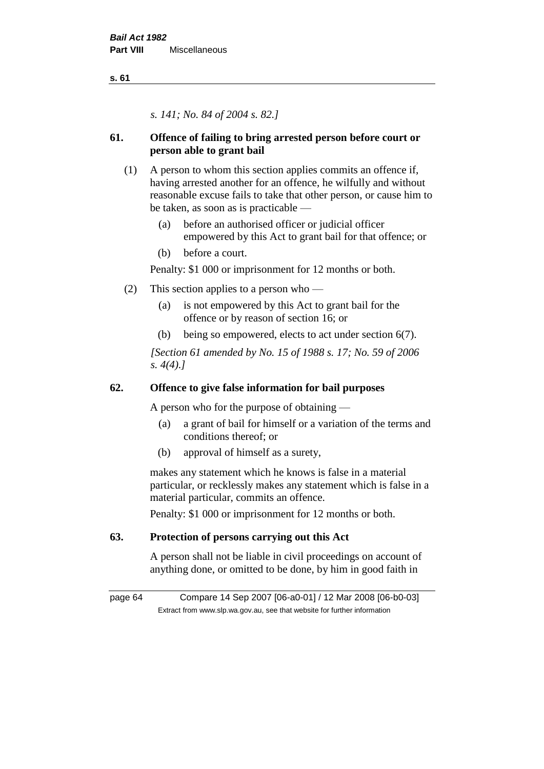**s. 61**

*s. 141; No. 84 of 2004 s. 82.]*

# **61. Offence of failing to bring arrested person before court or person able to grant bail**

- (1) A person to whom this section applies commits an offence if, having arrested another for an offence, he wilfully and without reasonable excuse fails to take that other person, or cause him to be taken, as soon as is practicable —
	- (a) before an authorised officer or judicial officer empowered by this Act to grant bail for that offence; or
	- (b) before a court.

Penalty: \$1 000 or imprisonment for 12 months or both.

- (2) This section applies to a person who
	- (a) is not empowered by this Act to grant bail for the offence or by reason of section 16; or
	- (b) being so empowered, elects to act under section 6(7).

*[Section 61 amended by No. 15 of 1988 s. 17; No. 59 of 2006 s. 4(4).]* 

# **62. Offence to give false information for bail purposes**

A person who for the purpose of obtaining —

- (a) a grant of bail for himself or a variation of the terms and conditions thereof; or
- (b) approval of himself as a surety,

makes any statement which he knows is false in a material particular, or recklessly makes any statement which is false in a material particular, commits an offence.

Penalty: \$1 000 or imprisonment for 12 months or both.

# **63. Protection of persons carrying out this Act**

A person shall not be liable in civil proceedings on account of anything done, or omitted to be done, by him in good faith in

page 64 Compare 14 Sep 2007 [06-a0-01] / 12 Mar 2008 [06-b0-03] Extract from www.slp.wa.gov.au, see that website for further information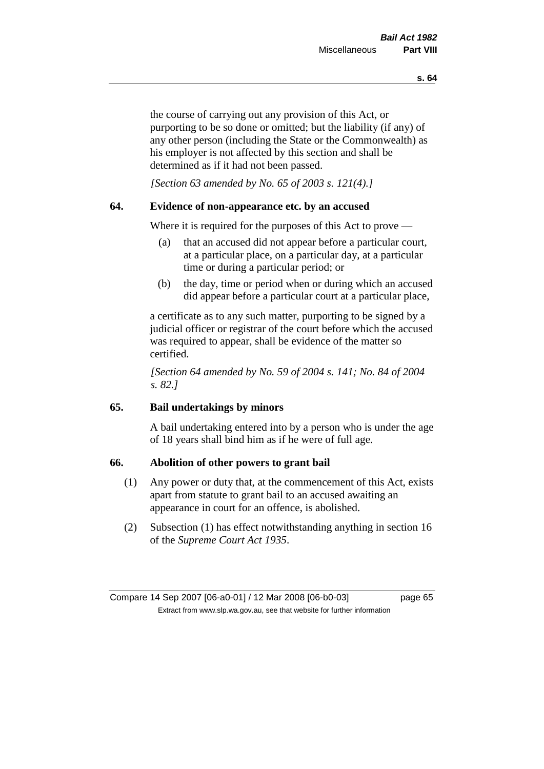the course of carrying out any provision of this Act, or purporting to be so done or omitted; but the liability (if any) of any other person (including the State or the Commonwealth) as his employer is not affected by this section and shall be determined as if it had not been passed.

*[Section 63 amended by No. 65 of 2003 s. 121(4).]*

#### **64. Evidence of non-appearance etc. by an accused**

Where it is required for the purposes of this Act to prove —

- (a) that an accused did not appear before a particular court, at a particular place, on a particular day, at a particular time or during a particular period; or
- (b) the day, time or period when or during which an accused did appear before a particular court at a particular place,

a certificate as to any such matter, purporting to be signed by a judicial officer or registrar of the court before which the accused was required to appear, shall be evidence of the matter so certified.

*[Section 64 amended by No. 59 of 2004 s. 141; No. 84 of 2004 s. 82.]* 

### **65. Bail undertakings by minors**

A bail undertaking entered into by a person who is under the age of 18 years shall bind him as if he were of full age.

#### **66. Abolition of other powers to grant bail**

- (1) Any power or duty that, at the commencement of this Act, exists apart from statute to grant bail to an accused awaiting an appearance in court for an offence, is abolished.
- (2) Subsection (1) has effect notwithstanding anything in section 16 of the *Supreme Court Act 1935*.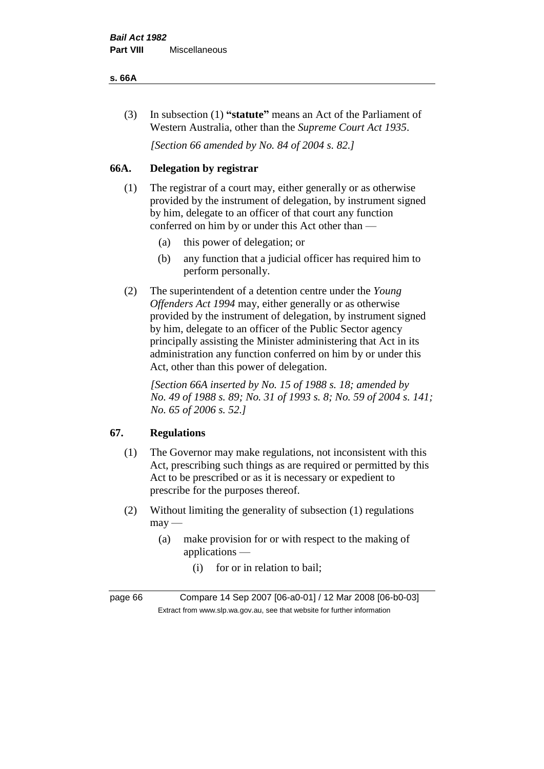#### **s. 66A**

(3) In subsection (1) **"statute"** means an Act of the Parliament of Western Australia, other than the *Supreme Court Act 1935*.

*[Section 66 amended by No. 84 of 2004 s. 82.]*

# **66A. Delegation by registrar**

- (1) The registrar of a court may, either generally or as otherwise provided by the instrument of delegation, by instrument signed by him, delegate to an officer of that court any function conferred on him by or under this Act other than —
	- (a) this power of delegation; or
	- (b) any function that a judicial officer has required him to perform personally.
- (2) The superintendent of a detention centre under the *Young Offenders Act 1994* may, either generally or as otherwise provided by the instrument of delegation, by instrument signed by him, delegate to an officer of the Public Sector agency principally assisting the Minister administering that Act in its administration any function conferred on him by or under this Act, other than this power of delegation.

*[Section 66A inserted by No. 15 of 1988 s. 18; amended by No. 49 of 1988 s. 89; No. 31 of 1993 s. 8; No. 59 of 2004 s. 141; No. 65 of 2006 s. 52.]* 

# **67. Regulations**

- (1) The Governor may make regulations, not inconsistent with this Act, prescribing such things as are required or permitted by this Act to be prescribed or as it is necessary or expedient to prescribe for the purposes thereof.
- (2) Without limiting the generality of subsection (1) regulations  $may$ —
	- (a) make provision for or with respect to the making of applications —
		- (i) for or in relation to bail;

page 66 Compare 14 Sep 2007 [06-a0-01] / 12 Mar 2008 [06-b0-03] Extract from www.slp.wa.gov.au, see that website for further information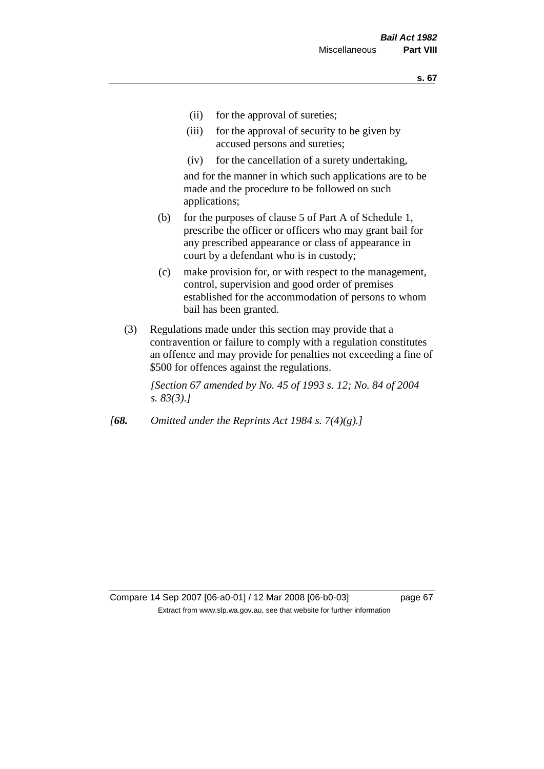- (ii) for the approval of sureties;
- (iii) for the approval of security to be given by accused persons and sureties;
- (iv) for the cancellation of a surety undertaking,

and for the manner in which such applications are to be made and the procedure to be followed on such applications;

- (b) for the purposes of clause 5 of Part A of Schedule 1, prescribe the officer or officers who may grant bail for any prescribed appearance or class of appearance in court by a defendant who is in custody;
- (c) make provision for, or with respect to the management, control, supervision and good order of premises established for the accommodation of persons to whom bail has been granted.
- (3) Regulations made under this section may provide that a contravention or failure to comply with a regulation constitutes an offence and may provide for penalties not exceeding a fine of \$500 for offences against the regulations.

*[Section 67 amended by No. 45 of 1993 s. 12; No. 84 of 2004 s. 83(3).]* 

*[68. Omitted under the Reprints Act 1984 s. 7(4)(g).]*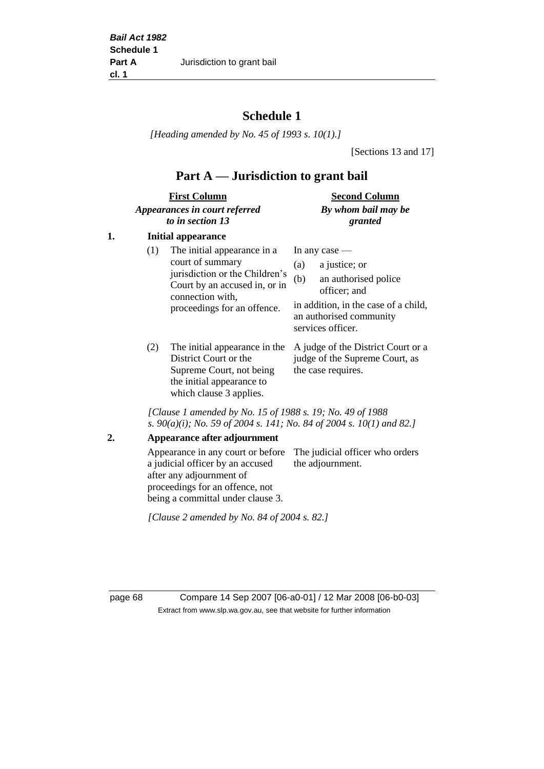# **Schedule 1**

*[Heading amended by No. 45 of 1993 s. 10(1).]*

[Sections 13 and 17]

# **Part A — Jurisdiction to grant bail**

| <b>First Column</b>           | <b>Second Column</b> |  |
|-------------------------------|----------------------|--|
| Appearances in court referred | By whom bail may be  |  |
| to in section 13              | granted              |  |

### **1. Initial appearance**

| (1)        | The initial appearance in a<br>court of summary<br>jurisdiction or the Children's<br>Court by an accused in, or in<br>connection with,<br>proceedings for an offence. | In any case $-$<br>a justice; or<br>(a)<br>an authorised police<br>(b)<br>officer; and<br>in addition, in the case of a child,<br>an authorised community<br>services officer. |
|------------|-----------------------------------------------------------------------------------------------------------------------------------------------------------------------|--------------------------------------------------------------------------------------------------------------------------------------------------------------------------------|
| $\sqrt{2}$ |                                                                                                                                                                       |                                                                                                                                                                                |

(2) The initial appearance in the A judge of the District Court or a District Court or the Supreme Court, not being the initial appearance to which clause 3 applies.

judge of the Supreme Court, as the case requires.

*[Clause 1 amended by No. 15 of 1988 s. 19; No. 49 of 1988 s. 90(a)(i); No. 59 of 2004 s. 141; No. 84 of 2004 s. 10(1) and 82.]*

**2. Appearance after adjournment**

Appearance in any court or before The judicial officer who orders a judicial officer by an accused after any adjournment of proceedings for an offence, not being a committal under clause 3. the adjournment.

*[Clause 2 amended by No. 84 of 2004 s. 82.]*

page 68 Compare 14 Sep 2007 [06-a0-01] / 12 Mar 2008 [06-b0-03] Extract from www.slp.wa.gov.au, see that website for further information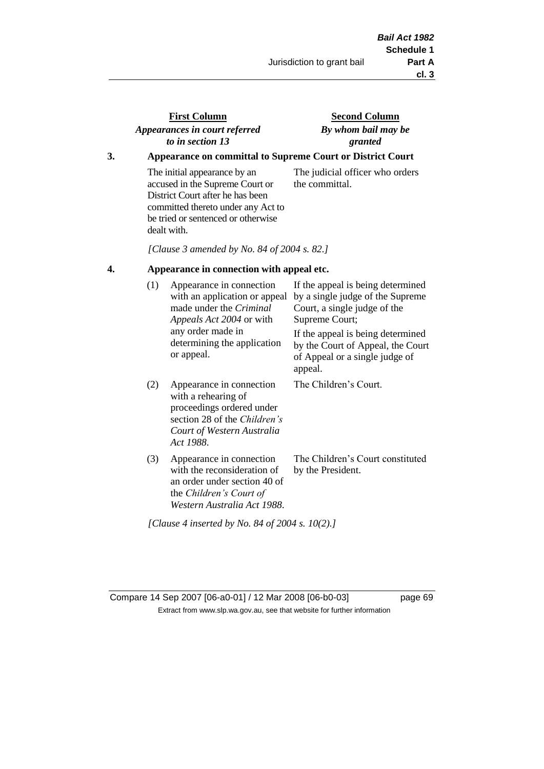# **First Column** *Appearances in court referred to in section 13*

### **Second Column** *By whom bail may be granted*

### **3. Appearance on committal to Supreme Court or District Court**

The initial appearance by an accused in the Supreme Court or District Court after he has been committed thereto under any Act to be tried or sentenced or otherwise dealt with.

The judicial officer who orders the committal.

*[Clause 3 amended by No. 84 of 2004 s. 82.]*

#### **4. Appearance in connection with appeal etc.**

| (1) | Appearance in connection<br>with an application or appeal<br>made under the <i>Criminal</i><br><i>Appeals Act 2004</i> or with<br>any order made in<br>determining the application<br>or appeal. | If the appeal is being determined<br>by a single judge of the Supreme<br>Court, a single judge of the<br>Supreme Court;<br>If the appeal is being determined<br>by the Court of Appeal, the Court<br>of Appeal or a single judge of<br>appeal. |
|-----|--------------------------------------------------------------------------------------------------------------------------------------------------------------------------------------------------|------------------------------------------------------------------------------------------------------------------------------------------------------------------------------------------------------------------------------------------------|
| (2) | Appearance in connection<br>with a rehearing of<br>proceedings ordered under<br>section 28 of the <i>Children's</i><br>Court of Western Australia<br>Act 1988.                                   | The Children's Court.                                                                                                                                                                                                                          |
| (3) | Appearance in connection<br>with the reconsideration of<br>an order under section 40 of<br>the Children's Court of<br>Western Australia Act 1988.                                                | The Children's Court constituted<br>by the President.                                                                                                                                                                                          |

*[Clause 4 inserted by No. 84 of 2004 s. 10(2).]*

Compare 14 Sep 2007 [06-a0-01] / 12 Mar 2008 [06-b0-03] page 69 Extract from www.slp.wa.gov.au, see that website for further information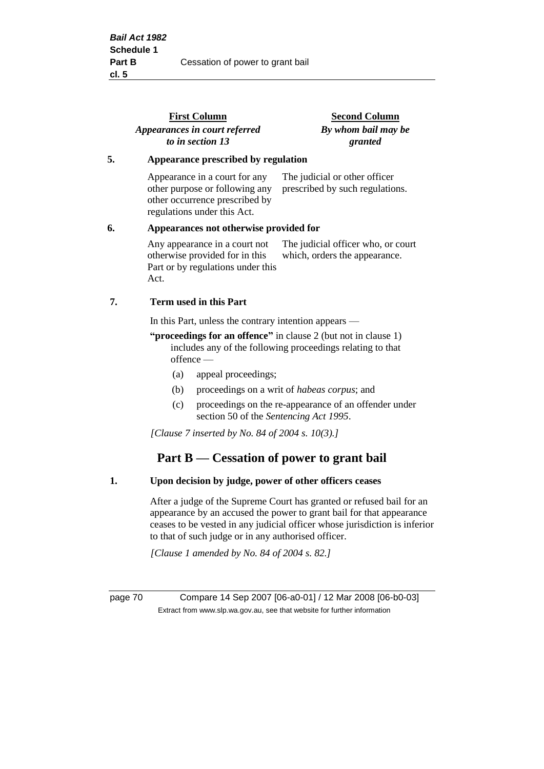|    | <b>First Column</b><br>Appearances in court referred<br>to in section 13                                                         | <b>Second Column</b><br>By whom bail may be<br>granted              |  |
|----|----------------------------------------------------------------------------------------------------------------------------------|---------------------------------------------------------------------|--|
| 5. | Appearance prescribed by regulation                                                                                              |                                                                     |  |
|    | Appearance in a court for any<br>other purpose or following any<br>other occurrence prescribed by<br>regulations under this Act. | The judicial or other officer<br>prescribed by such regulations.    |  |
| 6. | Appearances not otherwise provided for                                                                                           |                                                                     |  |
|    | Any appearance in a court not<br>otherwise provided for in this<br>Part or by regulations under this<br>Act.                     | The judicial officer who, or court<br>which, orders the appearance. |  |
| 7. | <b>Term used in this Part</b>                                                                                                    |                                                                     |  |
|    | In this Part, unless the contrary intention appears —                                                                            |                                                                     |  |
|    | $\mu$ is the contract of $\alpha$ in the contract of $\alpha$ is the contract of $\alpha$ is the contract of $\alpha$            |                                                                     |  |

**"proceedings for an offence"** in clause 2 (but not in clause 1) includes any of the following proceedings relating to that offence —

- (a) appeal proceedings;
- (b) proceedings on a writ of *habeas corpus*; and
- (c) proceedings on the re-appearance of an offender under section 50 of the *Sentencing Act 1995*.

*[Clause 7 inserted by No. 84 of 2004 s. 10(3).]*

# **Part B — Cessation of power to grant bail**

#### **1. Upon decision by judge, power of other officers ceases**

After a judge of the Supreme Court has granted or refused bail for an appearance by an accused the power to grant bail for that appearance ceases to be vested in any judicial officer whose jurisdiction is inferior to that of such judge or in any authorised officer.

*[Clause 1 amended by No. 84 of 2004 s. 82.]*

page 70 Compare 14 Sep 2007 [06-a0-01] / 12 Mar 2008 [06-b0-03] Extract from www.slp.wa.gov.au, see that website for further information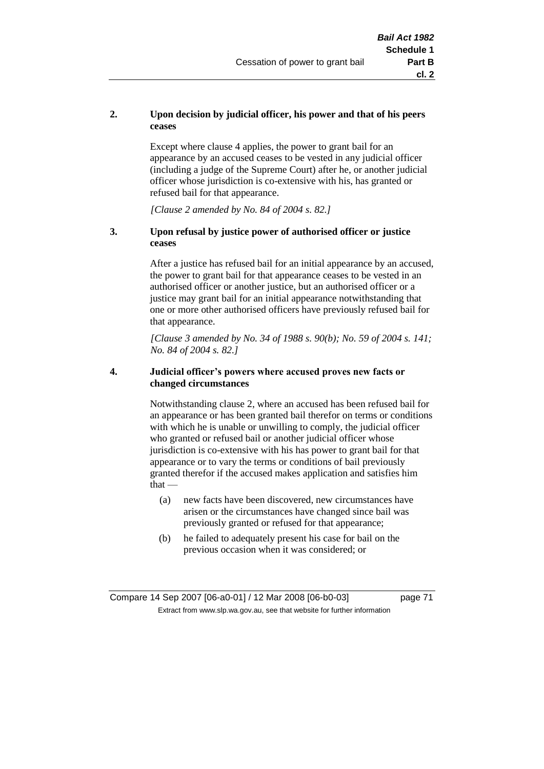## **2. Upon decision by judicial officer, his power and that of his peers ceases**

Except where clause 4 applies, the power to grant bail for an appearance by an accused ceases to be vested in any judicial officer (including a judge of the Supreme Court) after he, or another judicial officer whose jurisdiction is co-extensive with his, has granted or refused bail for that appearance.

*[Clause 2 amended by No. 84 of 2004 s. 82.]*

#### **3. Upon refusal by justice power of authorised officer or justice ceases**

After a justice has refused bail for an initial appearance by an accused, the power to grant bail for that appearance ceases to be vested in an authorised officer or another justice, but an authorised officer or a justice may grant bail for an initial appearance notwithstanding that one or more other authorised officers have previously refused bail for that appearance.

*[Clause 3 amended by No. 34 of 1988 s. 90(b); No. 59 of 2004 s. 141; No. 84 of 2004 s. 82.]*

#### **4. Judicial officer's powers where accused proves new facts or changed circumstances**

Notwithstanding clause 2, where an accused has been refused bail for an appearance or has been granted bail therefor on terms or conditions with which he is unable or unwilling to comply, the judicial officer who granted or refused bail or another judicial officer whose jurisdiction is co-extensive with his has power to grant bail for that appearance or to vary the terms or conditions of bail previously granted therefor if the accused makes application and satisfies him  $that -$ 

- (a) new facts have been discovered, new circumstances have arisen or the circumstances have changed since bail was previously granted or refused for that appearance;
- (b) he failed to adequately present his case for bail on the previous occasion when it was considered; or

Compare 14 Sep 2007 [06-a0-01] / 12 Mar 2008 [06-b0-03] page 71 Extract from www.slp.wa.gov.au, see that website for further information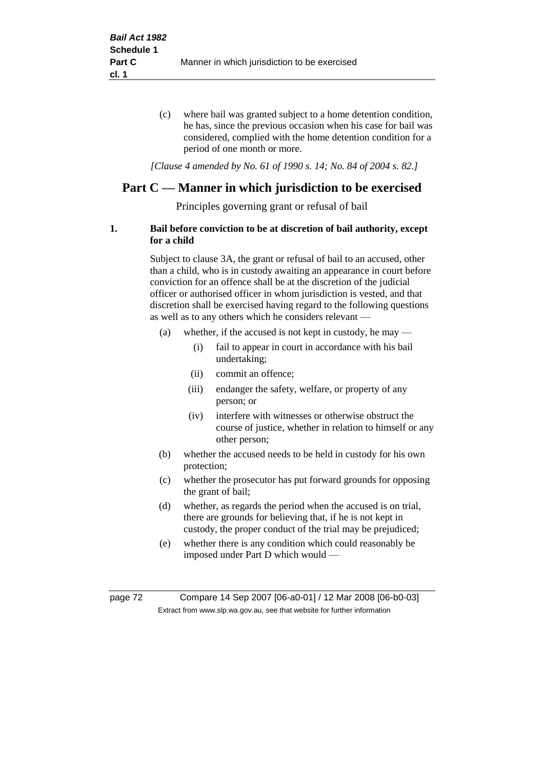(c) where bail was granted subject to a home detention condition, he has, since the previous occasion when his case for bail was considered, complied with the home detention condition for a period of one month or more.

*[Clause 4 amended by No. 61 of 1990 s. 14; No. 84 of 2004 s. 82.]*

# **Part C — Manner in which jurisdiction to be exercised**

Principles governing grant or refusal of bail

## **1. Bail before conviction to be at discretion of bail authority, except for a child**

Subject to clause 3A, the grant or refusal of bail to an accused, other than a child, who is in custody awaiting an appearance in court before conviction for an offence shall be at the discretion of the judicial officer or authorised officer in whom jurisdiction is vested, and that discretion shall be exercised having regard to the following questions as well as to any others which he considers relevant —

- (a) whether, if the accused is not kept in custody, he may
	- (i) fail to appear in court in accordance with his bail undertaking;
	- (ii) commit an offence;
	- (iii) endanger the safety, welfare, or property of any person; or
	- (iv) interfere with witnesses or otherwise obstruct the course of justice, whether in relation to himself or any other person;
- (b) whether the accused needs to be held in custody for his own protection;
- (c) whether the prosecutor has put forward grounds for opposing the grant of bail;
- (d) whether, as regards the period when the accused is on trial, there are grounds for believing that, if he is not kept in custody, the proper conduct of the trial may be prejudiced;
- (e) whether there is any condition which could reasonably be imposed under Part D which would —

page 72 Compare 14 Sep 2007 [06-a0-01] / 12 Mar 2008 [06-b0-03] Extract from www.slp.wa.gov.au, see that website for further information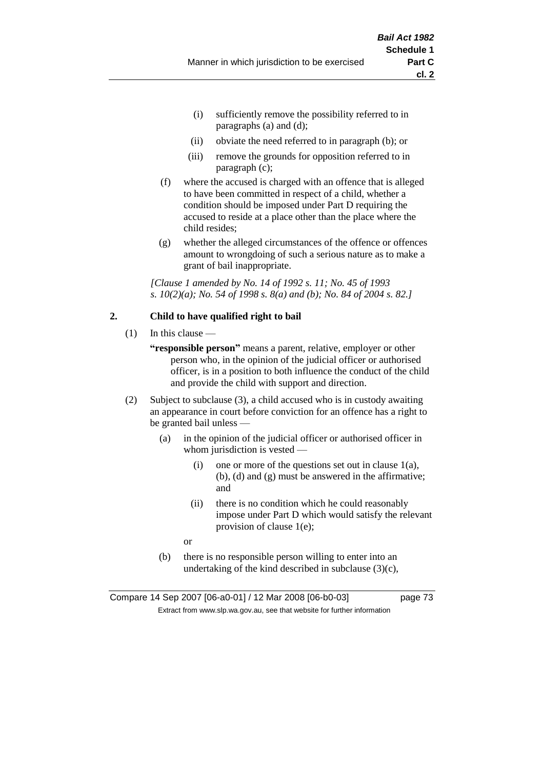- (i) sufficiently remove the possibility referred to in paragraphs (a) and (d);
- (ii) obviate the need referred to in paragraph (b); or
- (iii) remove the grounds for opposition referred to in paragraph (c);
- (f) where the accused is charged with an offence that is alleged to have been committed in respect of a child, whether a condition should be imposed under Part D requiring the accused to reside at a place other than the place where the child resides;
- (g) whether the alleged circumstances of the offence or offences amount to wrongdoing of such a serious nature as to make a grant of bail inappropriate.

*[Clause 1 amended by No. 14 of 1992 s. 11; No. 45 of 1993 s. 10(2)(a); No. 54 of 1998 s. 8(a) and (b); No. 84 of 2004 s. 82.]*

#### **2. Child to have qualified right to bail**

- $(1)$  In this clause
	- **"responsible person"** means a parent, relative, employer or other person who, in the opinion of the judicial officer or authorised officer, is in a position to both influence the conduct of the child and provide the child with support and direction.
- (2) Subject to subclause (3), a child accused who is in custody awaiting an appearance in court before conviction for an offence has a right to be granted bail unless —
	- (a) in the opinion of the judicial officer or authorised officer in whom jurisdiction is vested —
		- (i) one or more of the questions set out in clause  $1(a)$ , (b), (d) and (g) must be answered in the affirmative; and
		- (ii) there is no condition which he could reasonably impose under Part D which would satisfy the relevant provision of clause 1(e);
		- or
	- (b) there is no responsible person willing to enter into an undertaking of the kind described in subclause  $(3)(c)$ ,

Compare 14 Sep 2007 [06-a0-01] / 12 Mar 2008 [06-b0-03] page 73 Extract from www.slp.wa.gov.au, see that website for further information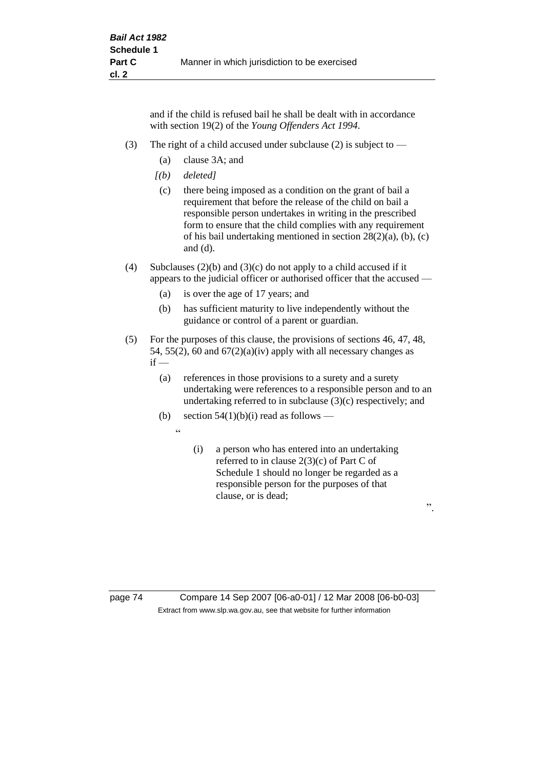and if the child is refused bail he shall be dealt with in accordance with section 19(2) of the *Young Offenders Act 1994*.

- (3) The right of a child accused under subclause (2) is subject to  $-$ 
	- (a) clause 3A; and
	- *[(b) deleted]*
	- (c) there being imposed as a condition on the grant of bail a requirement that before the release of the child on bail a responsible person undertakes in writing in the prescribed form to ensure that the child complies with any requirement of his bail undertaking mentioned in section 28(2)(a), (b), (c) and (d).
- (4) Subclauses (2)(b) and (3)(c) do not apply to a child accused if it appears to the judicial officer or authorised officer that the accused —
	- (a) is over the age of 17 years; and
	- (b) has sufficient maturity to live independently without the guidance or control of a parent or guardian.
- (5) For the purposes of this clause, the provisions of sections 46, 47, 48, 54, 55(2), 60 and  $67(2)(a)(iv)$  apply with all necessary changes as  $if -$ 
	- (a) references in those provisions to a surety and a surety undertaking were references to a responsible person and to an undertaking referred to in subclause (3)(c) respectively; and
	- (b) section  $54(1)(b)(i)$  read as follows
		- $\ddot{a}$
- (i) a person who has entered into an undertaking referred to in clause 2(3)(c) of Part C of Schedule 1 should no longer be regarded as a responsible person for the purposes of that clause, or is dead;

".

page 74 Compare 14 Sep 2007 [06-a0-01] / 12 Mar 2008 [06-b0-03] Extract from www.slp.wa.gov.au, see that website for further information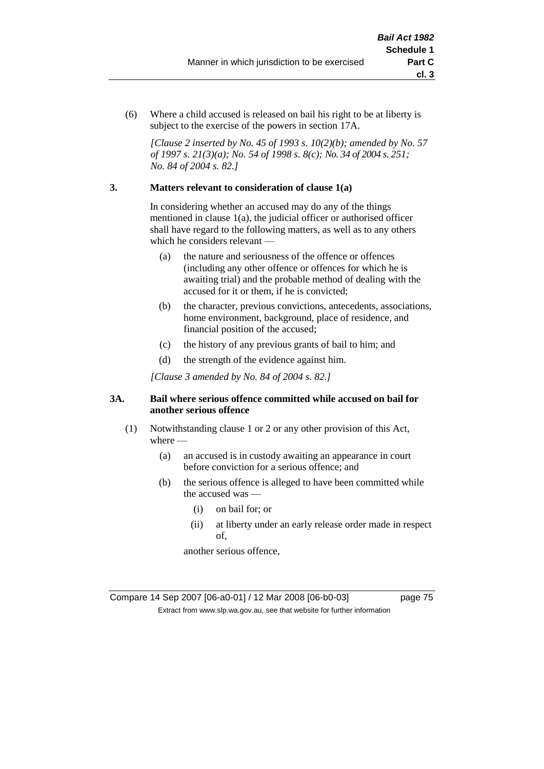(6) Where a child accused is released on bail his right to be at liberty is subject to the exercise of the powers in section 17A.

*[Clause 2 inserted by No. 45 of 1993 s. 10(2)(b); amended by No. 57 of 1997 s. 21(3)(a); No. 54 of 1998 s. 8(c); No. 34 of 2004 s. 251; No. 84 of 2004 s. 82.]*

#### **3. Matters relevant to consideration of clause 1(a)**

In considering whether an accused may do any of the things mentioned in clause 1(a), the judicial officer or authorised officer shall have regard to the following matters, as well as to any others which he considers relevant —

- (a) the nature and seriousness of the offence or offences (including any other offence or offences for which he is awaiting trial) and the probable method of dealing with the accused for it or them, if he is convicted;
- (b) the character, previous convictions, antecedents, associations, home environment, background, place of residence, and financial position of the accused;
- (c) the history of any previous grants of bail to him; and
- (d) the strength of the evidence against him.

*[Clause 3 amended by No. 84 of 2004 s. 82.]*

#### **3A. Bail where serious offence committed while accused on bail for another serious offence**

- (1) Notwithstanding clause 1 or 2 or any other provision of this Act, where —
	- (a) an accused is in custody awaiting an appearance in court before conviction for a serious offence; and
	- (b) the serious offence is alleged to have been committed while the accused was —
		- (i) on bail for; or
		- (ii) at liberty under an early release order made in respect of,

another serious offence,

Compare 14 Sep 2007 [06-a0-01] / 12 Mar 2008 [06-b0-03] page 75 Extract from www.slp.wa.gov.au, see that website for further information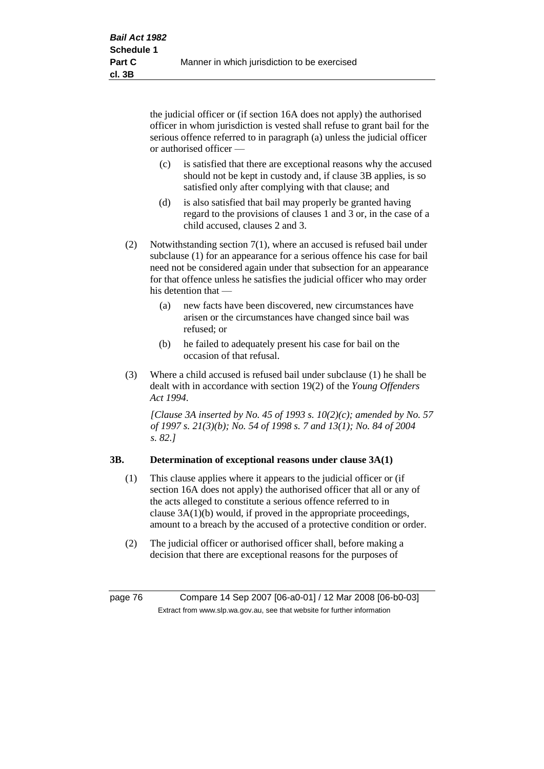the judicial officer or (if section 16A does not apply) the authorised officer in whom jurisdiction is vested shall refuse to grant bail for the serious offence referred to in paragraph (a) unless the judicial officer or authorised officer —

- (c) is satisfied that there are exceptional reasons why the accused should not be kept in custody and, if clause 3B applies, is so satisfied only after complying with that clause; and
- (d) is also satisfied that bail may properly be granted having regard to the provisions of clauses 1 and 3 or, in the case of a child accused, clauses 2 and 3.
- (2) Notwithstanding section 7(1), where an accused is refused bail under subclause (1) for an appearance for a serious offence his case for bail need not be considered again under that subsection for an appearance for that offence unless he satisfies the judicial officer who may order his detention that —
	- (a) new facts have been discovered, new circumstances have arisen or the circumstances have changed since bail was refused; or
	- (b) he failed to adequately present his case for bail on the occasion of that refusal.
- (3) Where a child accused is refused bail under subclause (1) he shall be dealt with in accordance with section 19(2) of the *Young Offenders Act 1994*.

*[Clause 3A inserted by No. 45 of 1993 s. 10(2)(c); amended by No. 57 of 1997 s. 21(3)(b); No. 54 of 1998 s. 7 and 13(1); No. 84 of 2004 s. 82.]*

## **3B. Determination of exceptional reasons under clause 3A(1)**

- (1) This clause applies where it appears to the judicial officer or (if section 16A does not apply) the authorised officer that all or any of the acts alleged to constitute a serious offence referred to in clause 3A(1)(b) would, if proved in the appropriate proceedings, amount to a breach by the accused of a protective condition or order.
- (2) The judicial officer or authorised officer shall, before making a decision that there are exceptional reasons for the purposes of

page 76 Compare 14 Sep 2007 [06-a0-01] / 12 Mar 2008 [06-b0-03] Extract from www.slp.wa.gov.au, see that website for further information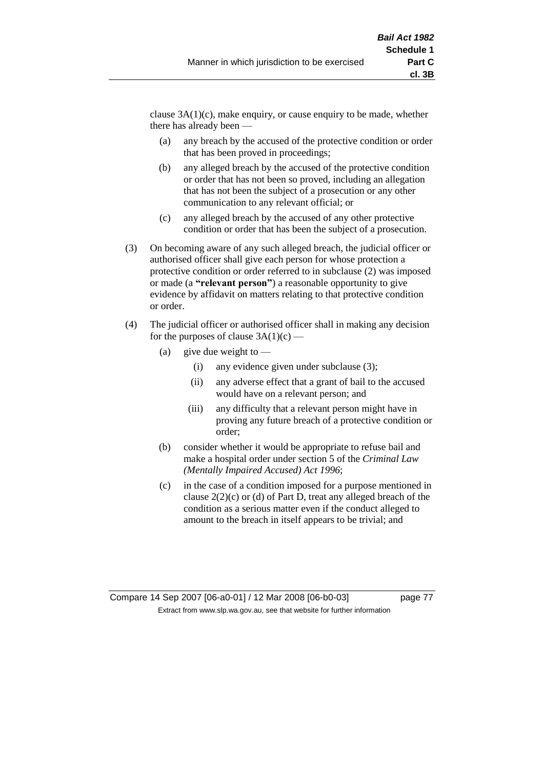clause  $3A(1)(c)$ , make enquiry, or cause enquiry to be made, whether there has already been —

- (a) any breach by the accused of the protective condition or order that has been proved in proceedings;
- (b) any alleged breach by the accused of the protective condition or order that has not been so proved, including an allegation that has not been the subject of a prosecution or any other communication to any relevant official; or
- (c) any alleged breach by the accused of any other protective condition or order that has been the subject of a prosecution.
- (3) On becoming aware of any such alleged breach, the judicial officer or authorised officer shall give each person for whose protection a protective condition or order referred to in subclause (2) was imposed or made (a **"relevant person"**) a reasonable opportunity to give evidence by affidavit on matters relating to that protective condition or order.
- (4) The judicial officer or authorised officer shall in making any decision for the purposes of clause  $3A(1)(c)$  —
	- (a) give due weight to  $-$ 
		- (i) any evidence given under subclause (3);
		- (ii) any adverse effect that a grant of bail to the accused would have on a relevant person; and
		- (iii) any difficulty that a relevant person might have in proving any future breach of a protective condition or order;
	- (b) consider whether it would be appropriate to refuse bail and make a hospital order under section 5 of the *Criminal Law (Mentally Impaired Accused) Act 1996*;
	- (c) in the case of a condition imposed for a purpose mentioned in clause 2(2)(c) or (d) of Part D, treat any alleged breach of the condition as a serious matter even if the conduct alleged to amount to the breach in itself appears to be trivial; and

Compare 14 Sep 2007 [06-a0-01] / 12 Mar 2008 [06-b0-03] page 77 Extract from www.slp.wa.gov.au, see that website for further information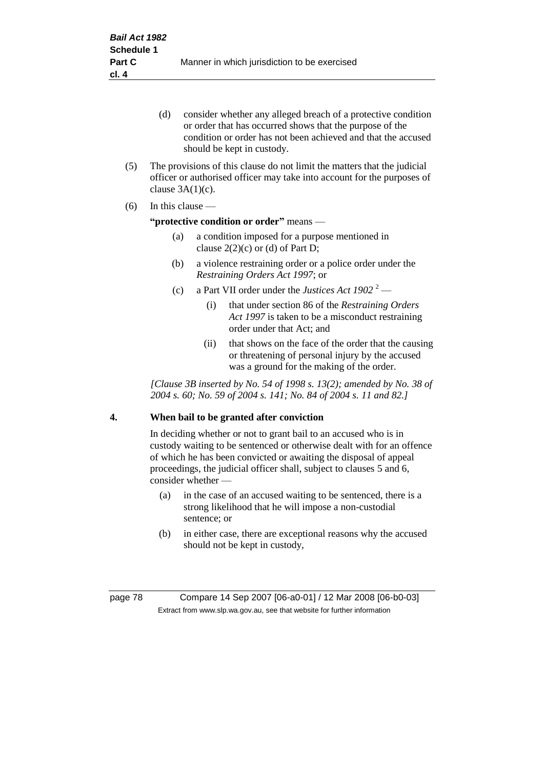- (d) consider whether any alleged breach of a protective condition or order that has occurred shows that the purpose of the condition or order has not been achieved and that the accused should be kept in custody.
- (5) The provisions of this clause do not limit the matters that the judicial officer or authorised officer may take into account for the purposes of clause  $3A(1)(c)$ .
- (6) In this clause —

#### **"protective condition or order"** means —

- (a) a condition imposed for a purpose mentioned in clause  $2(2)(c)$  or (d) of Part D;
- (b) a violence restraining order or a police order under the *Restraining Orders Act 1997*; or
- (c) a Part VII order under the *Justices Act*  $1902^{2}$ 
	- (i) that under section 86 of the *Restraining Orders Act 1997* is taken to be a misconduct restraining order under that Act; and
	- (ii) that shows on the face of the order that the causing or threatening of personal injury by the accused was a ground for the making of the order.

*[Clause 3B inserted by No. 54 of 1998 s. 13(2); amended by No. 38 of 2004 s. 60; No. 59 of 2004 s. 141; No. 84 of 2004 s. 11 and 82.]*

#### **4. When bail to be granted after conviction**

In deciding whether or not to grant bail to an accused who is in custody waiting to be sentenced or otherwise dealt with for an offence of which he has been convicted or awaiting the disposal of appeal proceedings, the judicial officer shall, subject to clauses 5 and 6, consider whether -

- (a) in the case of an accused waiting to be sentenced, there is a strong likelihood that he will impose a non-custodial sentence; or
- (b) in either case, there are exceptional reasons why the accused should not be kept in custody,

page 78 Compare 14 Sep 2007 [06-a0-01] / 12 Mar 2008 [06-b0-03] Extract from www.slp.wa.gov.au, see that website for further information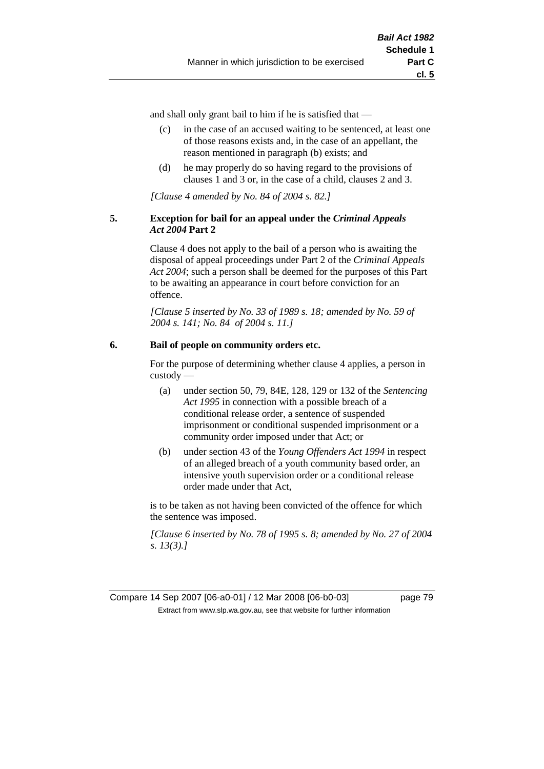**cl. 5**

and shall only grant bail to him if he is satisfied that —

- (c) in the case of an accused waiting to be sentenced, at least one of those reasons exists and, in the case of an appellant, the reason mentioned in paragraph (b) exists; and
- (d) he may properly do so having regard to the provisions of clauses 1 and 3 or, in the case of a child, clauses 2 and 3.

*[Clause 4 amended by No. 84 of 2004 s. 82.]*

#### **5. Exception for bail for an appeal under the** *Criminal Appeals Act 2004* **Part 2**

Clause 4 does not apply to the bail of a person who is awaiting the disposal of appeal proceedings under Part 2 of the *Criminal Appeals Act 2004*; such a person shall be deemed for the purposes of this Part to be awaiting an appearance in court before conviction for an offence.

*[Clause 5 inserted by No. 33 of 1989 s. 18; amended by No. 59 of 2004 s. 141; No. 84 of 2004 s. 11.]*

#### **6. Bail of people on community orders etc.**

For the purpose of determining whether clause 4 applies, a person in custody —

- (a) under section 50, 79, 84E, 128, 129 or 132 of the *Sentencing Act 1995* in connection with a possible breach of a conditional release order, a sentence of suspended imprisonment or conditional suspended imprisonment or a community order imposed under that Act; or
- (b) under section 43 of the *Young Offenders Act 1994* in respect of an alleged breach of a youth community based order, an intensive youth supervision order or a conditional release order made under that Act,

is to be taken as not having been convicted of the offence for which the sentence was imposed.

*[Clause 6 inserted by No. 78 of 1995 s. 8; amended by No. 27 of 2004 s. 13(3).]*

Compare 14 Sep 2007 [06-a0-01] / 12 Mar 2008 [06-b0-03] page 79 Extract from www.slp.wa.gov.au, see that website for further information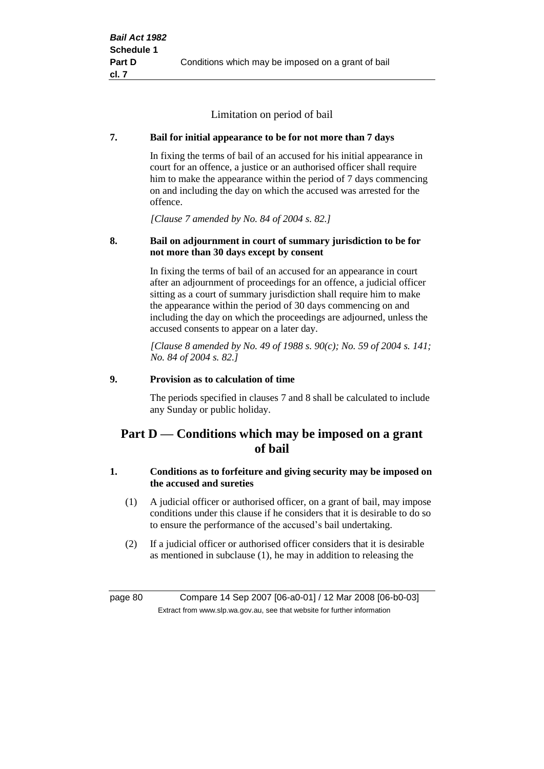Limitation on period of bail

## **7. Bail for initial appearance to be for not more than 7 days**

In fixing the terms of bail of an accused for his initial appearance in court for an offence, a justice or an authorised officer shall require him to make the appearance within the period of 7 days commencing on and including the day on which the accused was arrested for the offence.

*[Clause 7 amended by No. 84 of 2004 s. 82.]*

#### **8. Bail on adjournment in court of summary jurisdiction to be for not more than 30 days except by consent**

In fixing the terms of bail of an accused for an appearance in court after an adjournment of proceedings for an offence, a judicial officer sitting as a court of summary jurisdiction shall require him to make the appearance within the period of 30 days commencing on and including the day on which the proceedings are adjourned, unless the accused consents to appear on a later day.

*[Clause 8 amended by No. 49 of 1988 s. 90(c); No. 59 of 2004 s. 141; No. 84 of 2004 s. 82.]*

#### **9. Provision as to calculation of time**

The periods specified in clauses 7 and 8 shall be calculated to include any Sunday or public holiday.

# **Part D — Conditions which may be imposed on a grant of bail**

## **1. Conditions as to forfeiture and giving security may be imposed on the accused and sureties**

- (1) A judicial officer or authorised officer, on a grant of bail, may impose conditions under this clause if he considers that it is desirable to do so to ensure the performance of the accused's bail undertaking.
- (2) If a judicial officer or authorised officer considers that it is desirable as mentioned in subclause (1), he may in addition to releasing the

page 80 Compare 14 Sep 2007 [06-a0-01] / 12 Mar 2008 [06-b0-03] Extract from www.slp.wa.gov.au, see that website for further information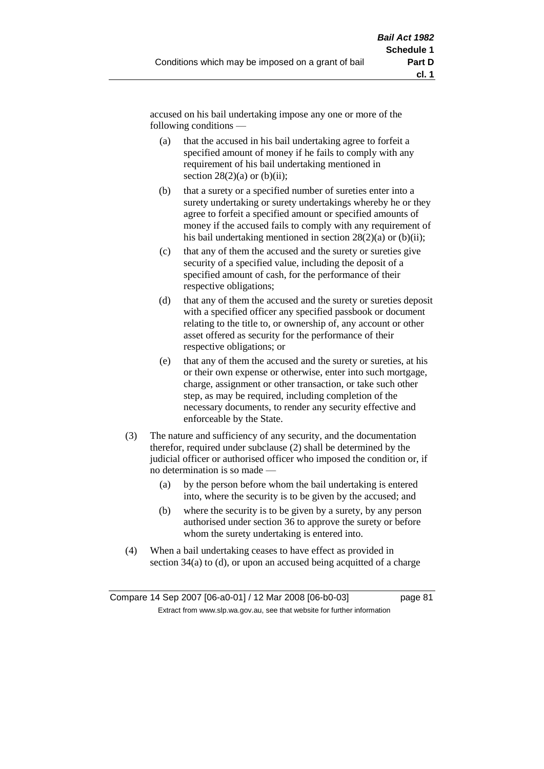accused on his bail undertaking impose any one or more of the following conditions —

- (a) that the accused in his bail undertaking agree to forfeit a specified amount of money if he fails to comply with any requirement of his bail undertaking mentioned in section  $28(2)(a)$  or  $(b)(ii)$ ;
- (b) that a surety or a specified number of sureties enter into a surety undertaking or surety undertakings whereby he or they agree to forfeit a specified amount or specified amounts of money if the accused fails to comply with any requirement of his bail undertaking mentioned in section  $28(2)(a)$  or (b)(ii);
- (c) that any of them the accused and the surety or sureties give security of a specified value, including the deposit of a specified amount of cash, for the performance of their respective obligations;
- (d) that any of them the accused and the surety or sureties deposit with a specified officer any specified passbook or document relating to the title to, or ownership of, any account or other asset offered as security for the performance of their respective obligations; or
- (e) that any of them the accused and the surety or sureties, at his or their own expense or otherwise, enter into such mortgage, charge, assignment or other transaction, or take such other step, as may be required, including completion of the necessary documents, to render any security effective and enforceable by the State.
- (3) The nature and sufficiency of any security, and the documentation therefor, required under subclause (2) shall be determined by the judicial officer or authorised officer who imposed the condition or, if no determination is so made —
	- (a) by the person before whom the bail undertaking is entered into, where the security is to be given by the accused; and
	- (b) where the security is to be given by a surety, by any person authorised under section 36 to approve the surety or before whom the surety undertaking is entered into.
- (4) When a bail undertaking ceases to have effect as provided in section 34(a) to (d), or upon an accused being acquitted of a charge

Compare 14 Sep 2007 [06-a0-01] / 12 Mar 2008 [06-b0-03] page 81 Extract from www.slp.wa.gov.au, see that website for further information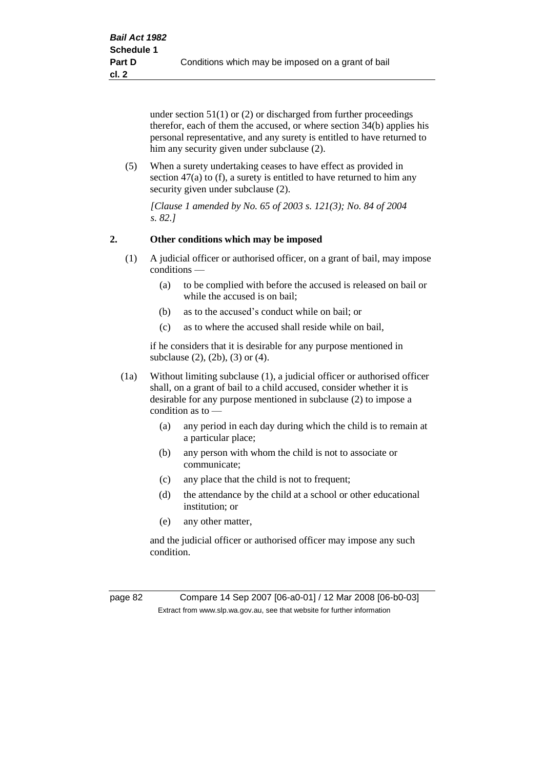under section 51(1) or (2) or discharged from further proceedings therefor, each of them the accused, or where section 34(b) applies his personal representative, and any surety is entitled to have returned to him any security given under subclause (2).

(5) When a surety undertaking ceases to have effect as provided in section 47(a) to (f), a surety is entitled to have returned to him any security given under subclause  $(2)$ .

*[Clause 1 amended by No. 65 of 2003 s. 121(3); No. 84 of 2004 s. 82.]*

#### **2. Other conditions which may be imposed**

- (1) A judicial officer or authorised officer, on a grant of bail, may impose conditions —
	- (a) to be complied with before the accused is released on bail or while the accused is on bail;
	- (b) as to the accused's conduct while on bail; or
	- (c) as to where the accused shall reside while on bail,

if he considers that it is desirable for any purpose mentioned in subclause (2), (2b), (3) or (4).

- (1a) Without limiting subclause (1), a judicial officer or authorised officer shall, on a grant of bail to a child accused, consider whether it is desirable for any purpose mentioned in subclause (2) to impose a condition as to —
	- (a) any period in each day during which the child is to remain at a particular place;
	- (b) any person with whom the child is not to associate or communicate;
	- (c) any place that the child is not to frequent;
	- (d) the attendance by the child at a school or other educational institution; or
	- (e) any other matter,

and the judicial officer or authorised officer may impose any such condition.

page 82 Compare 14 Sep 2007 [06-a0-01] / 12 Mar 2008 [06-b0-03] Extract from www.slp.wa.gov.au, see that website for further information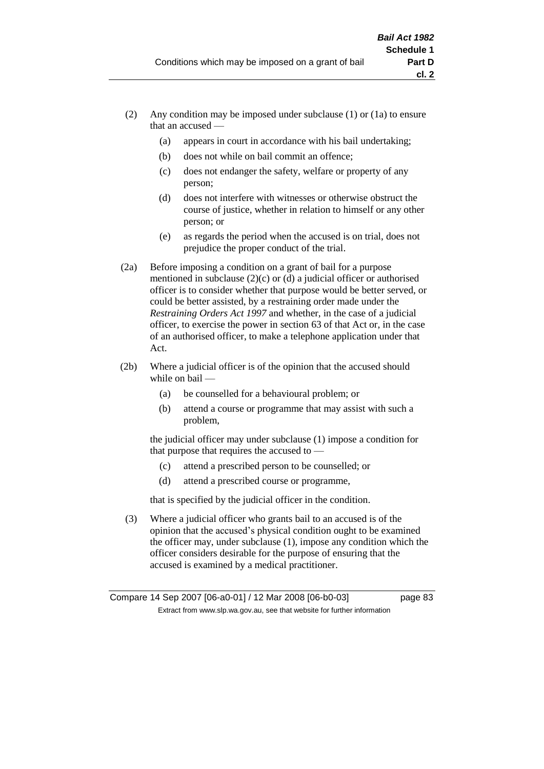- (2) Any condition may be imposed under subclause (1) or (1a) to ensure that an accused —
	- (a) appears in court in accordance with his bail undertaking;
	- (b) does not while on bail commit an offence;
	- (c) does not endanger the safety, welfare or property of any person;
	- (d) does not interfere with witnesses or otherwise obstruct the course of justice, whether in relation to himself or any other person; or
	- (e) as regards the period when the accused is on trial, does not prejudice the proper conduct of the trial.
- (2a) Before imposing a condition on a grant of bail for a purpose mentioned in subclause (2)(c) or (d) a judicial officer or authorised officer is to consider whether that purpose would be better served, or could be better assisted, by a restraining order made under the *Restraining Orders Act 1997* and whether, in the case of a judicial officer, to exercise the power in section 63 of that Act or, in the case of an authorised officer, to make a telephone application under that Act.
- (2b) Where a judicial officer is of the opinion that the accused should while on bail -
	- (a) be counselled for a behavioural problem; or
	- (b) attend a course or programme that may assist with such a problem,

the judicial officer may under subclause (1) impose a condition for that purpose that requires the accused to —

- (c) attend a prescribed person to be counselled; or
- (d) attend a prescribed course or programme,

that is specified by the judicial officer in the condition.

(3) Where a judicial officer who grants bail to an accused is of the opinion that the accused's physical condition ought to be examined the officer may, under subclause (1), impose any condition which the officer considers desirable for the purpose of ensuring that the accused is examined by a medical practitioner.

Compare 14 Sep 2007 [06-a0-01] / 12 Mar 2008 [06-b0-03] page 83 Extract from www.slp.wa.gov.au, see that website for further information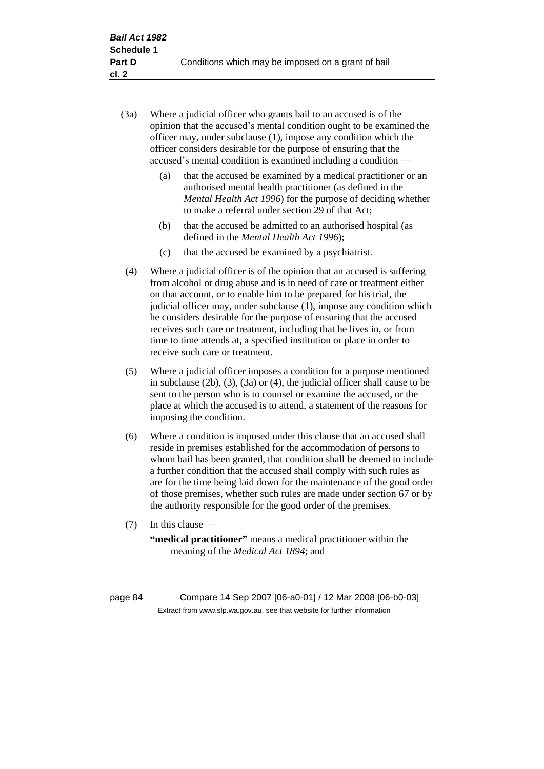- (3a) Where a judicial officer who grants bail to an accused is of the opinion that the accused's mental condition ought to be examined the officer may, under subclause (1), impose any condition which the officer considers desirable for the purpose of ensuring that the accused's mental condition is examined including a condition —
	- (a) that the accused be examined by a medical practitioner or an authorised mental health practitioner (as defined in the *Mental Health Act 1996*) for the purpose of deciding whether to make a referral under section 29 of that Act;
	- (b) that the accused be admitted to an authorised hospital (as defined in the *Mental Health Act 1996*);
	- (c) that the accused be examined by a psychiatrist.
- (4) Where a judicial officer is of the opinion that an accused is suffering from alcohol or drug abuse and is in need of care or treatment either on that account, or to enable him to be prepared for his trial, the judicial officer may, under subclause (1), impose any condition which he considers desirable for the purpose of ensuring that the accused receives such care or treatment, including that he lives in, or from time to time attends at, a specified institution or place in order to receive such care or treatment.
- (5) Where a judicial officer imposes a condition for a purpose mentioned in subclause (2b), (3), (3a) or (4), the judicial officer shall cause to be sent to the person who is to counsel or examine the accused, or the place at which the accused is to attend, a statement of the reasons for imposing the condition.
- (6) Where a condition is imposed under this clause that an accused shall reside in premises established for the accommodation of persons to whom bail has been granted, that condition shall be deemed to include a further condition that the accused shall comply with such rules as are for the time being laid down for the maintenance of the good order of those premises, whether such rules are made under section 67 or by the authority responsible for the good order of the premises.
- (7) In this clause —

**"medical practitioner"** means a medical practitioner within the meaning of the *Medical Act 1894*; and

page 84 Compare 14 Sep 2007 [06-a0-01] / 12 Mar 2008 [06-b0-03] Extract from www.slp.wa.gov.au, see that website for further information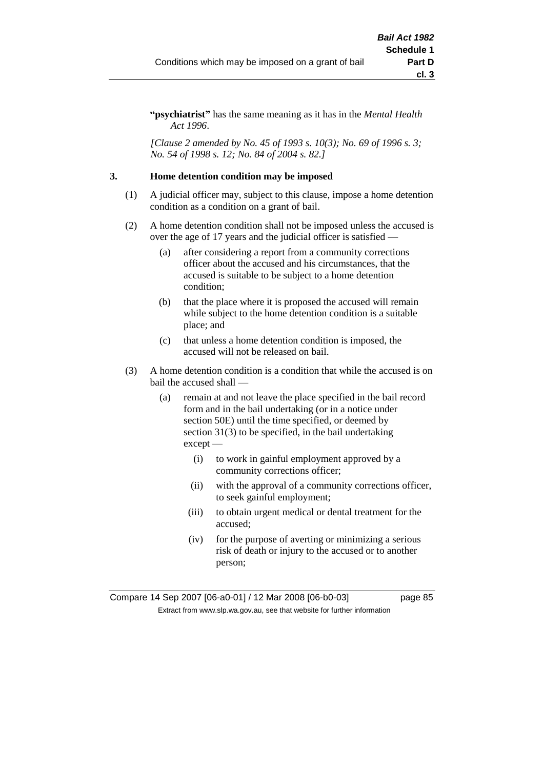**"psychiatrist"** has the same meaning as it has in the *Mental Health Act 1996*.

*[Clause 2 amended by No. 45 of 1993 s. 10(3); No. 69 of 1996 s. 3; No. 54 of 1998 s. 12; No. 84 of 2004 s. 82.]*

#### **3. Home detention condition may be imposed**

- (1) A judicial officer may, subject to this clause, impose a home detention condition as a condition on a grant of bail.
- (2) A home detention condition shall not be imposed unless the accused is over the age of 17 years and the judicial officer is satisfied —
	- (a) after considering a report from a community corrections officer about the accused and his circumstances, that the accused is suitable to be subject to a home detention condition;
	- (b) that the place where it is proposed the accused will remain while subject to the home detention condition is a suitable place; and
	- (c) that unless a home detention condition is imposed, the accused will not be released on bail.
- (3) A home detention condition is a condition that while the accused is on bail the accused shall —
	- (a) remain at and not leave the place specified in the bail record form and in the bail undertaking (or in a notice under section 50E) until the time specified, or deemed by section 31(3) to be specified, in the bail undertaking except —
		- (i) to work in gainful employment approved by a community corrections officer;
		- (ii) with the approval of a community corrections officer, to seek gainful employment;
		- (iii) to obtain urgent medical or dental treatment for the accused;
		- (iv) for the purpose of averting or minimizing a serious risk of death or injury to the accused or to another person;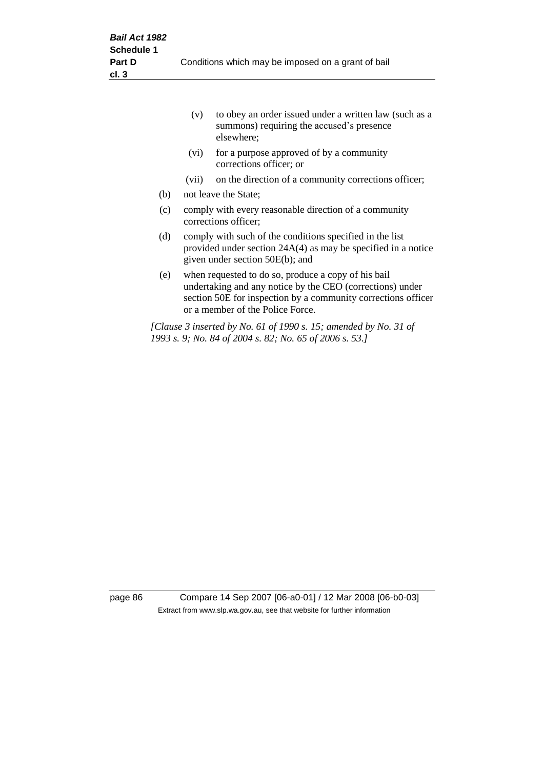|     | (v)   | to obey an order issued under a written law (such as a<br>summons) requiring the accused's presence<br>elsewhere;                                                                                                     |
|-----|-------|-----------------------------------------------------------------------------------------------------------------------------------------------------------------------------------------------------------------------|
|     | (vi)  | for a purpose approved of by a community<br>corrections officer; or                                                                                                                                                   |
|     | (vii) | on the direction of a community corrections officer;                                                                                                                                                                  |
| (b) |       | not leave the State;                                                                                                                                                                                                  |
| (c) |       | comply with every reasonable direction of a community<br>corrections officer;                                                                                                                                         |
| (d) |       | comply with such of the conditions specified in the list<br>provided under section $24A(4)$ as may be specified in a notice<br>given under section 50E(b); and                                                        |
| (e) |       | when requested to do so, produce a copy of his bail<br>undertaking and any notice by the CEO (corrections) under<br>section 50E for inspection by a community corrections officer<br>or a member of the Police Force. |
|     |       | [Clause 3 inserted by No. 61 of 1990 s. 15; amended by No. 31 of<br>1993 s. 9; No. 84 of 2004 s. 82; No. 65 of 2006 s. 53.]                                                                                           |

page 86 Compare 14 Sep 2007 [06-a0-01] / 12 Mar 2008 [06-b0-03] Extract from www.slp.wa.gov.au, see that website for further information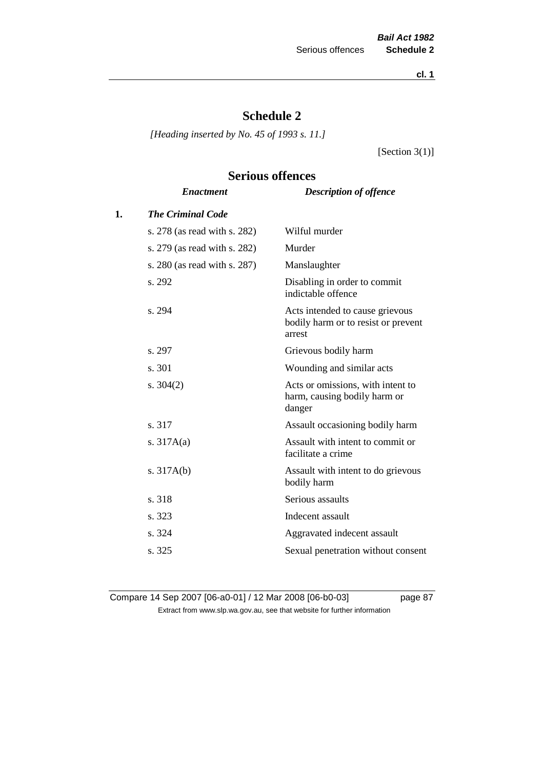**cl. 1**

# **Schedule 2**

*[Heading inserted by No. 45 of 1993 s. 11.]*

[Section 3(1)]

# **Serious offences**

|    | <b>Enactment</b>             | <b>Description of offence</b>                                                    |
|----|------------------------------|----------------------------------------------------------------------------------|
| 1. | <b>The Criminal Code</b>     |                                                                                  |
|    | s. 278 (as read with s. 282) | Wilful murder                                                                    |
|    | s. 279 (as read with s. 282) | Murder                                                                           |
|    | s. 280 (as read with s. 287) | Manslaughter                                                                     |
|    | s. 292                       | Disabling in order to commit<br>indictable offence                               |
|    | s. 294                       | Acts intended to cause grievous<br>bodily harm or to resist or prevent<br>arrest |
|    | s. 297                       | Grievous bodily harm                                                             |
|    | s. 301                       | Wounding and similar acts                                                        |
|    | s. $304(2)$                  | Acts or omissions, with intent to<br>harm, causing bodily harm or<br>danger      |
|    | s. 317                       | Assault occasioning bodily harm                                                  |
|    | s. $317A(a)$                 | Assault with intent to commit or<br>facilitate a crime                           |
|    | s. $317A(b)$                 | Assault with intent to do grievous<br>bodily harm                                |
|    | s. 318                       | Serious assaults                                                                 |
|    | s. 323                       | Indecent assault                                                                 |
|    | s. 324                       | Aggravated indecent assault                                                      |
|    | s. 325                       | Sexual penetration without consent                                               |
|    |                              |                                                                                  |

Compare 14 Sep 2007 [06-a0-01] / 12 Mar 2008 [06-b0-03] page 87 Extract from www.slp.wa.gov.au, see that website for further information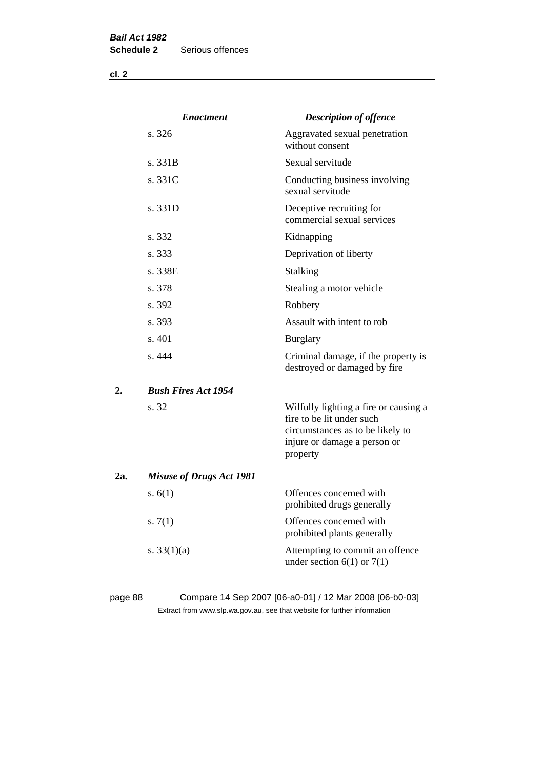**cl. 2**

|     | <i><b>Enactment</b></i>         | <b>Description of offence</b>                                                                                                                      |
|-----|---------------------------------|----------------------------------------------------------------------------------------------------------------------------------------------------|
|     | s. 326                          | Aggravated sexual penetration<br>without consent                                                                                                   |
|     | s. 331B                         | Sexual servitude                                                                                                                                   |
|     | s. 331C                         | Conducting business involving<br>sexual servitude                                                                                                  |
|     | s.331D                          | Deceptive recruiting for<br>commercial sexual services                                                                                             |
|     | s. 332                          | Kidnapping                                                                                                                                         |
|     | s. 333                          | Deprivation of liberty                                                                                                                             |
|     | s. 338E                         | <b>Stalking</b>                                                                                                                                    |
|     | s. 378                          | Stealing a motor vehicle                                                                                                                           |
|     | s. 392                          | Robbery                                                                                                                                            |
|     | s. 393                          | Assault with intent to rob                                                                                                                         |
|     | s. 401                          | <b>Burglary</b>                                                                                                                                    |
|     | s.444                           | Criminal damage, if the property is<br>destroyed or damaged by fire                                                                                |
| 2.  | <b>Bush Fires Act 1954</b>      |                                                                                                                                                    |
|     | s. 32                           | Wilfully lighting a fire or causing a<br>fire to be lit under such<br>circumstances as to be likely to<br>injure or damage a person or<br>property |
| 2a. | <b>Misuse of Drugs Act 1981</b> |                                                                                                                                                    |
|     | s. $6(1)$                       | Offences concerned with<br>prohibited drugs generally                                                                                              |
|     | s. $7(1)$                       | Offences concerned with<br>prohibited plants generally                                                                                             |
|     | s. $33(1)(a)$                   | Attempting to commit an offence<br>under section $6(1)$ or $7(1)$                                                                                  |
|     |                                 |                                                                                                                                                    |

# page 88 Compare 14 Sep 2007 [06-a0-01] / 12 Mar 2008 [06-b0-03] Extract from www.slp.wa.gov.au, see that website for further information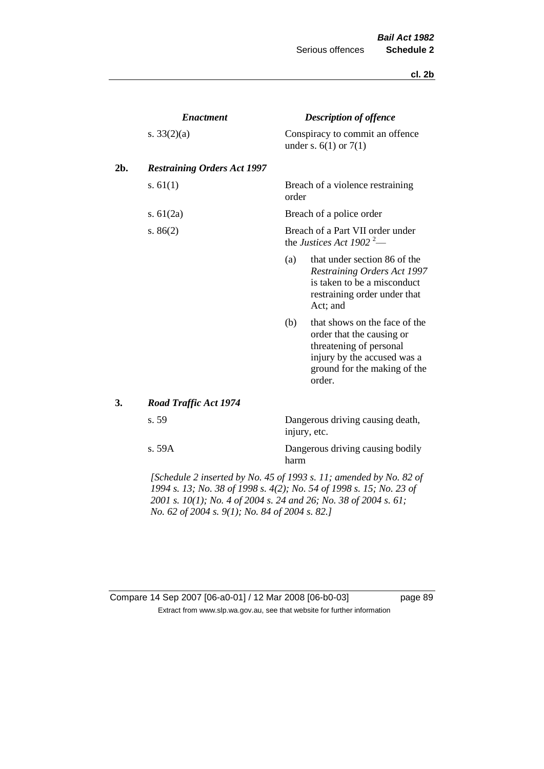#### **cl. 2b**

|     | <b>Enactment</b>                                                           |       | <b>Description of offence</b>                                                                                                                                  |  |  |
|-----|----------------------------------------------------------------------------|-------|----------------------------------------------------------------------------------------------------------------------------------------------------------------|--|--|
|     | s. $33(2)(a)$                                                              |       | Conspiracy to commit an offence<br>under s. $6(1)$ or $7(1)$                                                                                                   |  |  |
| 2b. | <b>Restraining Orders Act 1997</b>                                         |       |                                                                                                                                                                |  |  |
|     | s. $61(1)$                                                                 | order | Breach of a violence restraining                                                                                                                               |  |  |
|     | s. $61(2a)$                                                                |       | Breach of a police order                                                                                                                                       |  |  |
|     | s. $86(2)$                                                                 |       | Breach of a Part VII order under<br>the Justices Act 1902 <sup>2</sup> —                                                                                       |  |  |
|     |                                                                            | (a)   | that under section 86 of the<br><b>Restraining Orders Act 1997</b><br>is taken to be a misconduct<br>restraining order under that<br>Act; and                  |  |  |
|     |                                                                            | (b)   | that shows on the face of the<br>order that the causing or<br>threatening of personal<br>injury by the accused was a<br>ground for the making of the<br>order. |  |  |
| 3.  | <b>Road Traffic Act 1974</b>                                               |       |                                                                                                                                                                |  |  |
|     | s. 59                                                                      |       | Dangerous driving causing death,<br>injury, etc.                                                                                                               |  |  |
|     | s. 59A                                                                     | harm  | Dangerous driving causing bodily                                                                                                                               |  |  |
|     | $\Delta$ Cohedule 2 inserted by No. 45 of 1003 s. 11; amended by No. 82 of |       |                                                                                                                                                                |  |  |

*[Schedule 2 inserted by No. 45 of 1993 s. 11; amended by No. 82 of 1994 s. 13; No. 38 of 1998 s. 4(2); No. 54 of 1998 s. 15; No. 23 of 2001 s. 10(1); No. 4 of 2004 s. 24 and 26; No. 38 of 2004 s. 61; No. 62 of 2004 s. 9(1); No. 84 of 2004 s. 82.]* 

## Compare 14 Sep 2007 [06-a0-01] / 12 Mar 2008 [06-b0-03] page 89 Extract from www.slp.wa.gov.au, see that website for further information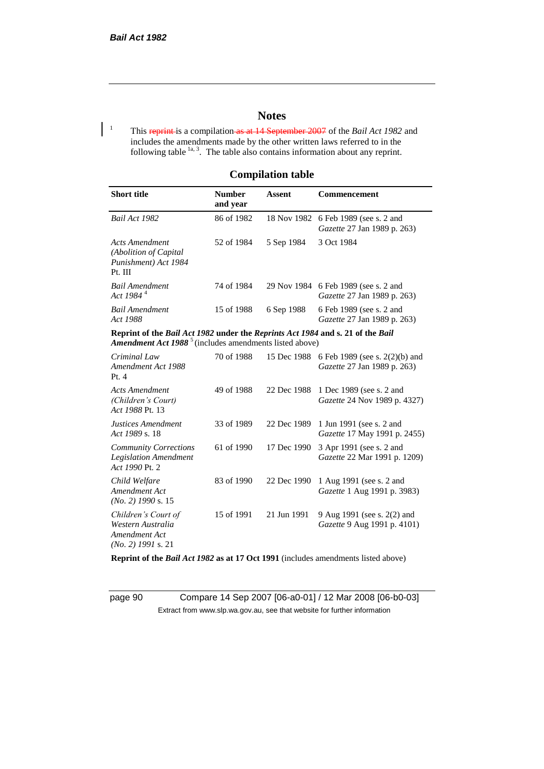## **Notes**

<sup>1</sup> This reprint is a compilation as at 14 September 2007 of the *Bail Act 1982* and includes the amendments made by the other written laws referred to in the following table  $1a, 3$ . The table also contains information about any reprint.

#### **Compilation table**

| <b>Short title</b>                                                          | <b>Number</b><br>and year      | Assent     | <b>Commencement</b>                                                        |
|-----------------------------------------------------------------------------|--------------------------------|------------|----------------------------------------------------------------------------|
| Bail Act 1982                                                               | 86 of 1982                     |            | 18 Nov 1982 6 Feb 1989 (see s. 2 and<br><i>Gazette</i> 27 Jan 1989 p. 263) |
| Acts Amendment<br>(Abolition of Capital)<br>Punishment) Act 1984<br>Pt. III | 52 of 1984                     | 5 Sep 1984 | 3 Oct 1984                                                                 |
| <b>Bail Amendment</b><br>Act 1984 <sup>4</sup>                              | 74 of 1984                     |            | 29 Nov 1984 6 Feb 1989 (see s. 2 and<br><i>Gazette</i> 27 Jan 1989 p. 263) |
| <b>Bail Amendment</b><br>Act 1988                                           | 15 of 1988                     | 6 Sep 1988 | 6 Feb 1989 (see s. 2 and<br><i>Gazette</i> 27 Jan 1989 p. 263)             |
| $\mathbf{r}$                                                                | <b>DU</b> 11 1000 <b>I</b> 1 D |            | $\cdots$ $\cdots$ $\cdots$ $\cdots$ $\cdots$ $\cdots$                      |

**Reprint of the** *Bail Act 1982* **under the** *Reprints Act 1984* **and s. 21 of the** *Bail*  Amendment Act 1988<sup>5</sup> (includes amendments listed above)

| Criminal Law<br>Amendment Act 1988<br>Pt.4                                        | 70 of 1988 | 15 Dec 1988 | 6 Feb 1989 (see s. 2(2)(b) and<br><i>Gazette</i> 27 Jan 1989 p. 263) |
|-----------------------------------------------------------------------------------|------------|-------------|----------------------------------------------------------------------|
| <b>Acts Amendment</b><br>(Children's Court)<br>Act 1988 Pt. 13                    | 49 of 1988 | 22 Dec 1988 | 1 Dec 1989 (see s. 2 and<br>Gazette 24 Nov 1989 p. 4327)             |
| Justices Amendment<br>Act 1989 s. 18                                              | 33 of 1989 | 22 Dec 1989 | 1 Jun 1991 (see s. 2 and<br><i>Gazette</i> 17 May 1991 p. 2455)      |
| <b>Community Corrections</b><br><b>Legislation Amendment</b><br>Act 1990 Pt. 2    | 61 of 1990 | 17 Dec 1990 | 3 Apr 1991 (see s. 2 and<br><i>Gazette</i> 22 Mar 1991 p. 1209)      |
| Child Welfare<br>Amendment Act<br>$(No. 2)$ 1990 s. 15                            | 83 of 1990 | 22 Dec 1990 | 1 Aug 1991 (see s. 2 and<br><i>Gazette</i> 1 Aug 1991 p. 3983)       |
| Children's Court of<br>Western Australia<br>Amendment Act<br>$(No. 2)$ 1991 s. 21 | 15 of 1991 | 21 Jun 1991 | 9 Aug 1991 (see s. 2(2) and<br>Gazette 9 Aug 1991 p. 4101)           |

**Reprint of the** *Bail Act 1982* **as at 17 Oct 1991** (includes amendments listed above)

page 90 Compare 14 Sep 2007 [06-a0-01] / 12 Mar 2008 [06-b0-03] Extract from www.slp.wa.gov.au, see that website for further information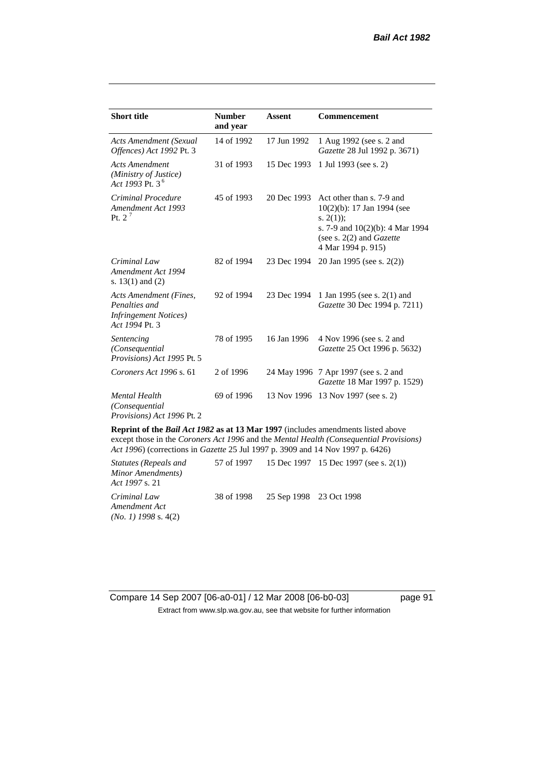| <b>Short title</b>                                                                         | <b>Number</b><br>and year | <b>Assent</b> | Commencement                                                                                                                                                            |
|--------------------------------------------------------------------------------------------|---------------------------|---------------|-------------------------------------------------------------------------------------------------------------------------------------------------------------------------|
| <b>Acts Amendment (Sexual</b><br>Offences) Act 1992 Pt. 3                                  | 14 of 1992                | 17 Jun 1992   | 1 Aug 1992 (see s. 2 and<br>Gazette 28 Jul 1992 p. 3671)                                                                                                                |
| <b>Acts Amendment</b><br>(Ministry of Justice)<br>Act 1993 Pt. 3 <sup>6</sup>              | 31 of 1993                | 15 Dec 1993   | 1 Jul 1993 (see s. 2)                                                                                                                                                   |
| Criminal Procedure<br>Amendment Act 1993<br>Pt. $2^7$                                      | 45 of 1993                | 20 Dec 1993   | Act other than s. 7-9 and<br>10(2)(b): 17 Jan 1994 (see<br>s. $2(1)$ ;<br>s. 7-9 and $10(2)(b)$ : 4 Mar 1994<br>(see s. $2(2)$ and <i>Gazette</i><br>4 Mar 1994 p. 915) |
| Criminal Law<br>Amendment Act 1994<br>s. $13(1)$ and $(2)$                                 | 82 of 1994                | 23 Dec 1994   | 20 Jan 1995 (see s. 2(2))                                                                                                                                               |
| Acts Amendment (Fines,<br>Penalties and<br><b>Infringement Notices</b> )<br>Act 1994 Pt. 3 | 92 of 1994                | 23 Dec 1994   | 1 Jan 1995 (see s. 2(1) and<br>Gazette 30 Dec 1994 p. 7211)                                                                                                             |
| Sentencing<br>(Consequential<br>Provisions) Act 1995 Pt. 5                                 | 78 of 1995                | 16 Jan 1996   | 4 Nov 1996 (see s. 2 and<br>Gazette 25 Oct 1996 p. 5632)                                                                                                                |
| Coroners Act 1996 s. 61                                                                    | 2 of 1996                 |               | 24 May 1996 7 Apr 1997 (see s. 2 and<br>Gazette 18 Mar 1997 p. 1529)                                                                                                    |
| <b>Mental Health</b><br>(Consequential<br>Provisions) Act 1996 Pt. 2                       | 69 of 1996                |               | 13 Nov 1996 13 Nov 1997 (see s. 2)                                                                                                                                      |

**Reprint of the** *Bail Act 1982* **as at 13 Mar 1997** (includes amendments listed above except those in the *Coroners Act 1996* and the *Mental Health (Consequential Provisions) Act 1996*) (corrections in *Gazette* 25 Jul 1997 p. 3909 and 14 Nov 1997 p. 6426)

*Statutes (Repeals and Minor Amendments) Act 1997* s. 21 57 of 1997 15 Dec 1997 15 Dec 1997 (see s. 2(1)) *Criminal Law Amendment Act (No. 1) 1998* s. 4(2) 38 of 1998 25 Sep 1998 23 Oct 1998

Compare 14 Sep 2007 [06-a0-01] / 12 Mar 2008 [06-b0-03] page 91 Extract from www.slp.wa.gov.au, see that website for further information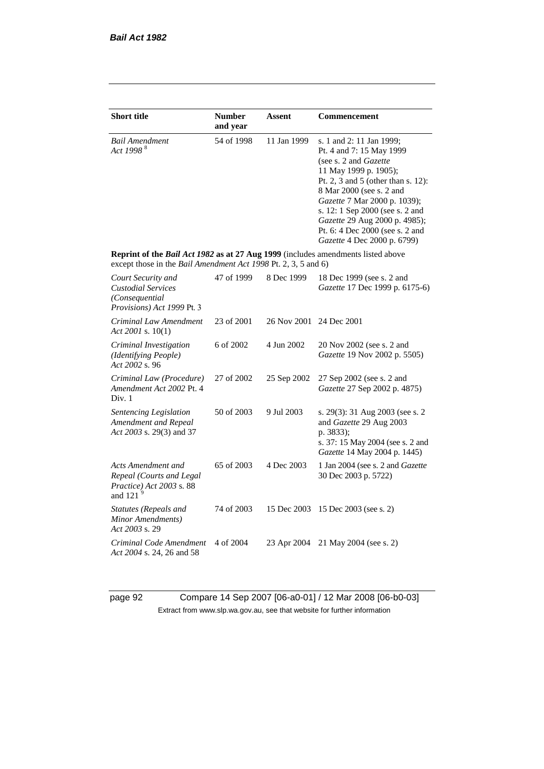| <b>Short title</b>                                                                                                                                        | <b>Number</b> | Assent      | Commencement                                                                                                                                                                                                                                                                                                                                            |
|-----------------------------------------------------------------------------------------------------------------------------------------------------------|---------------|-------------|---------------------------------------------------------------------------------------------------------------------------------------------------------------------------------------------------------------------------------------------------------------------------------------------------------------------------------------------------------|
|                                                                                                                                                           | and year      |             |                                                                                                                                                                                                                                                                                                                                                         |
| <b>Bail Amendment</b><br>Act 1998 <sup>8</sup>                                                                                                            | 54 of 1998    | 11 Jan 1999 | s. 1 and 2: 11 Jan 1999;<br>Pt. 4 and 7: 15 May 1999<br>(see s. 2 and <i>Gazette</i> )<br>11 May 1999 p. 1905);<br>Pt. 2, 3 and 5 (other than s. 12):<br>8 Mar 2000 (see s. 2 and<br>Gazette 7 Mar 2000 p. 1039);<br>s. 12: 1 Sep 2000 (see s. 2 and<br>Gazette 29 Aug 2000 p. 4985);<br>Pt. 6: 4 Dec 2000 (see s. 2 and<br>Gazette 4 Dec 2000 p. 6799) |
| <b>Reprint of the Bail Act 1982 as at 27 Aug 1999</b> (includes amendments listed above<br>except those in the Bail Amendment Act 1998 Pt. 2, 3, 5 and 6) |               |             |                                                                                                                                                                                                                                                                                                                                                         |
| Court Security and<br><b>Custodial Services</b><br>(Consequential<br>Provisions) Act 1999 Pt. 3                                                           | 47 of 1999    | 8 Dec 1999  | 18 Dec 1999 (see s. 2 and<br>Gazette 17 Dec 1999 p. 6175-6)                                                                                                                                                                                                                                                                                             |
| Criminal Law Amendment<br>Act 2001 s. $10(1)$                                                                                                             | 23 of 2001    | 26 Nov 2001 | 24 Dec 2001                                                                                                                                                                                                                                                                                                                                             |
| Criminal Investigation<br>(Identifying People)<br>Act 2002 s. 96                                                                                          | 6 of 2002     | 4 Jun 2002  | 20 Nov 2002 (see s. 2 and<br>Gazette 19 Nov 2002 p. 5505)                                                                                                                                                                                                                                                                                               |
| Criminal Law (Procedure)<br>Amendment Act 2002 Pt. 4<br>Div. 1                                                                                            | 27 of 2002    | 25 Sep 2002 | 27 Sep 2002 (see s. 2 and<br>Gazette 27 Sep 2002 p. 4875)                                                                                                                                                                                                                                                                                               |
| Sentencing Legislation<br>Amendment and Repeal<br>Act 2003 s. 29(3) and 37                                                                                | 50 of 2003    | 9 Jul 2003  | s. 29(3): 31 Aug 2003 (see s. 2<br>and Gazette 29 Aug 2003<br>p. 3833);<br>s. 37: 15 May 2004 (see s. 2 and<br>Gazette 14 May 2004 p. 1445)                                                                                                                                                                                                             |
| Acts Amendment and<br>Repeal (Courts and Legal<br>Practice) Act 2003 s. 88<br>and 121 $9$                                                                 | 65 of 2003    | 4 Dec 2003  | 1 Jan 2004 (see s. 2 and Gazette<br>30 Dec 2003 p. 5722)                                                                                                                                                                                                                                                                                                |
| <b>Statutes (Repeals and</b><br>Minor Amendments)<br>Act 2003 s. 29                                                                                       | 74 of 2003    | 15 Dec 2003 | 15 Dec 2003 (see s. 2)                                                                                                                                                                                                                                                                                                                                  |
| Criminal Code Amendment<br>Act 2004 s. 24, 26 and 58                                                                                                      | 4 of 2004     | 23 Apr 2004 | 21 May 2004 (see s. 2)                                                                                                                                                                                                                                                                                                                                  |

page 92 Compare 14 Sep 2007 [06-a0-01] / 12 Mar 2008 [06-b0-03] Extract from www.slp.wa.gov.au, see that website for further information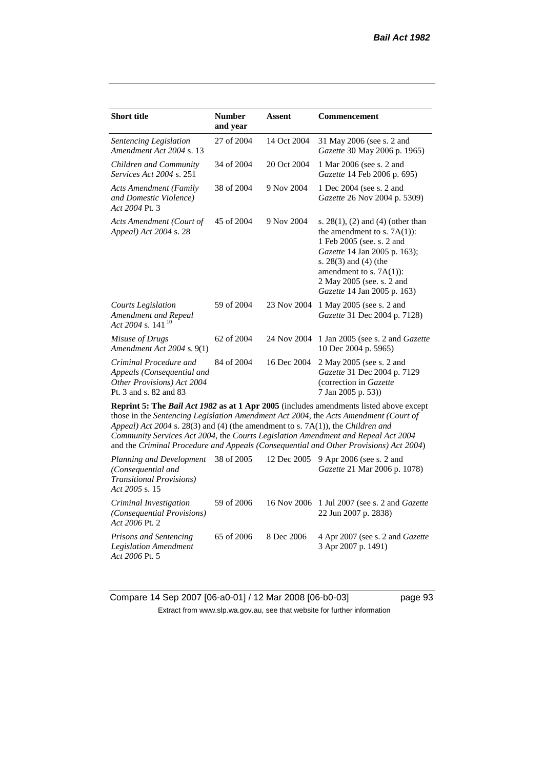| <b>Short title</b>                                                                                           | <b>Number</b><br>and year | <b>Assent</b> | <b>Commencement</b>                                                                                                                                                                                                                                      |
|--------------------------------------------------------------------------------------------------------------|---------------------------|---------------|----------------------------------------------------------------------------------------------------------------------------------------------------------------------------------------------------------------------------------------------------------|
| Sentencing Legislation<br>Amendment Act 2004 s. 13                                                           | 27 of 2004                | 14 Oct 2004   | 31 May 2006 (see s. 2 and<br>Gazette 30 May 2006 p. 1965)                                                                                                                                                                                                |
| Children and Community<br><i>Services Act 2004 s. 251</i>                                                    | 34 of 2004                | 20 Oct 2004   | 1 Mar 2006 (see s. 2 and<br>Gazette 14 Feb 2006 p. 695)                                                                                                                                                                                                  |
| <b>Acts Amendment (Family</b><br>and Domestic Violence)<br>Act 2004 Pt. 3                                    | 38 of 2004                | 9 Nov 2004    | 1 Dec 2004 (see s. 2 and<br>Gazette 26 Nov 2004 p. 5309)                                                                                                                                                                                                 |
| Acts Amendment (Court of<br>Appeal) Act 2004 s. 28                                                           | 45 of 2004                | 9 Nov 2004    | s. $28(1)$ , (2) and (4) (other than<br>the amendment to s. $7A(1)$ :<br>1 Feb 2005 (see. s. 2 and<br>Gazette 14 Jan 2005 p. 163);<br>s. $28(3)$ and $(4)$ (the<br>amendment to s. $7A(1)$ :<br>2 May 2005 (see. s. 2 and<br>Gazette 14 Jan 2005 p. 163) |
| <b>Courts Legislation</b><br>Amendment and Repeal<br>Act 2004 s. 141 <sup>10</sup>                           | 59 of 2004                | 23 Nov 2004   | 1 May 2005 (see s. 2 and<br>Gazette 31 Dec 2004 p. 7128)                                                                                                                                                                                                 |
| Misuse of Drugs<br>Amendment Act 2004 s. 9(1)                                                                | 62 of 2004                | 24 Nov 2004   | 1 Jan 2005 (see s. 2 and <i>Gazette</i><br>10 Dec 2004 p. 5965)                                                                                                                                                                                          |
| Criminal Procedure and<br>Appeals (Consequential and<br>Other Provisions) Act 2004<br>Pt. 3 and s. 82 and 83 | 84 of 2004                | 16 Dec 2004   | 2 May 2005 (see s. 2 and<br>Gazette 31 Dec 2004 p. 7129<br>(correction in Gazette<br>7 Jan 2005 p. 53))                                                                                                                                                  |
| Appeal) Act 2004 s. 28(3) and (4) (the amendment to s. 7A(1)), the Children and                              |                           |               | <b>Reprint 5: The Bail Act 1982 as at 1 Apr 2005</b> (includes amendments listed above except<br>those in the Sentencing Legislation Amendment Act 2004, the Acts Amendment (Court of                                                                    |

*Community Services Act 2004*, the *Courts Legislation Amendment and Repeal Act 2004* and the *Criminal Procedure and Appeals (Consequential and Other Provisions) Act 2004*) *Planning and Development*   $38.39$  of 2005 12 Dec 2005 9 Apr 2006 (see s. 2 and

| Planning and Development 38 of 2005<br>(Consequential and<br><b>Transitional Provisions</b> )<br>Act 2005 s. 15 |            |            | 12 Dec 2005 9 Apr 2006 (see s. 2 and<br>Gazette 21 Mar 2006 p. 1078)        |
|-----------------------------------------------------------------------------------------------------------------|------------|------------|-----------------------------------------------------------------------------|
| Criminal Investigation<br><i>(Consequential Provisions)</i><br>Act 2006 Pt. 2                                   | 59 of 2006 |            | 16 Nov 2006 1 Jul 2007 (see s. 2 and <i>Gazette</i><br>22 Jun 2007 p. 2838) |
| <b>Prisons and Sentencing</b><br><b>Legislation Amendment</b><br>Act 2006 Pt. 5                                 | 65 of 2006 | 8 Dec 2006 | 4 Apr 2007 (see s. 2 and <i>Gazette</i><br>3 Apr 2007 p. 1491)              |

Compare 14 Sep 2007 [06-a0-01] / 12 Mar 2008 [06-b0-03] page 93 Extract from www.slp.wa.gov.au, see that website for further information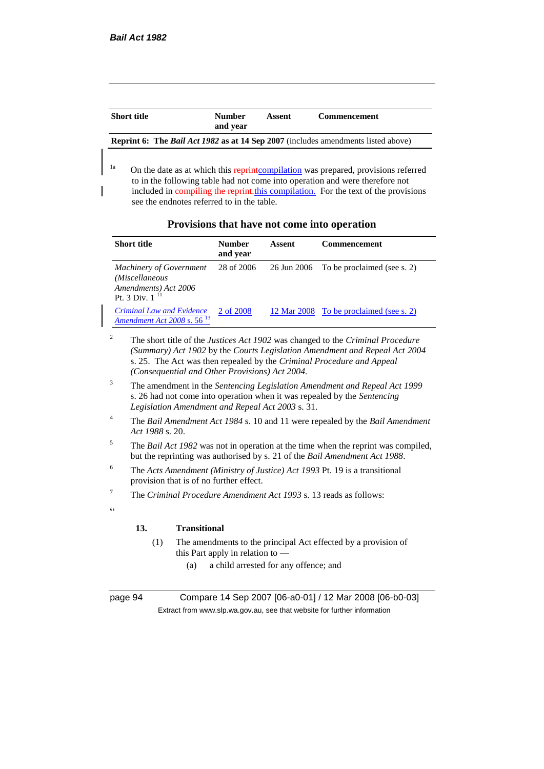| <b>Short title</b>                                                                              | <b>Number</b><br>and vear | Assent | <b>Commencement</b> |  |
|-------------------------------------------------------------------------------------------------|---------------------------|--------|---------------------|--|
| <b>Reprint 6:</b> The <i>Bail Act 1982</i> as at 14 Sep 2007 (includes amendments listed above) |                           |        |                     |  |

<sup>1a</sup> On the date as at which this **reprint**compilation was prepared, provisions referred to in the following table had not come into operation and were therefore not included in compiling the reprint. this compilation. For the text of the provisions see the endnotes referred to in the table.

| Provisions that have not come into operation |  |  |
|----------------------------------------------|--|--|
|----------------------------------------------|--|--|

| <b>Short title</b>                                                                               | <b>Number</b><br>and year | Assent | <b>Commencement</b>                     |
|--------------------------------------------------------------------------------------------------|---------------------------|--------|-----------------------------------------|
| <b>Machinery of Government</b><br>(Miscellaneous<br>Amendments) Act 2006<br>Pt. 3 Div. 1 $^{11}$ | 28 of 2006                |        | 26 Jun 2006 To be proclaimed (see s. 2) |
| <b>Criminal Law and Evidence</b><br>Amendment Act 2008 s. $5613$                                 | 2 of 2008                 |        | 12 Mar 2008 To be proclaimed (see s. 2) |

- <sup>2</sup> The short title of the *Justices Act 1902* was changed to the *Criminal Procedure (Summary) Act 1902* by the *Courts Legislation Amendment and Repeal Act 2004*  s. 25. The Act was then repealed by the *Criminal Procedure and Appeal (Consequential and Other Provisions) Act 2004.*
- <sup>3</sup> The amendment in the *Sentencing Legislation Amendment and Repeal Act 1999* s. 26 had not come into operation when it was repealed by the *Sentencing Legislation Amendment and Repeal Act 2003* s. 31.
- <sup>4</sup> The *Bail Amendment Act 1984* s. 10 and 11 were repealed by the *Bail Amendment Act 1988* s. 20.
- <sup>5</sup> The *Bail Act 1982* was not in operation at the time when the reprint was compiled, but the reprinting was authorised by s. 21 of the *Bail Amendment Act 1988*.
- <sup>6</sup> The *Acts Amendment (Ministry of Justice) Act 1993* Pt. 19 is a transitional provision that is of no further effect.
- <sup>7</sup> The *Criminal Procedure Amendment Act 1993* s. 13 reads as follows:

#### **13. Transitional**

- (1) The amendments to the principal Act effected by a provision of this Part apply in relation to —
	- (a) a child arrested for any offence; and

 $\alpha$ 

page 94 Compare 14 Sep 2007 [06-a0-01] / 12 Mar 2008 [06-b0-03] Extract from www.slp.wa.gov.au, see that website for further information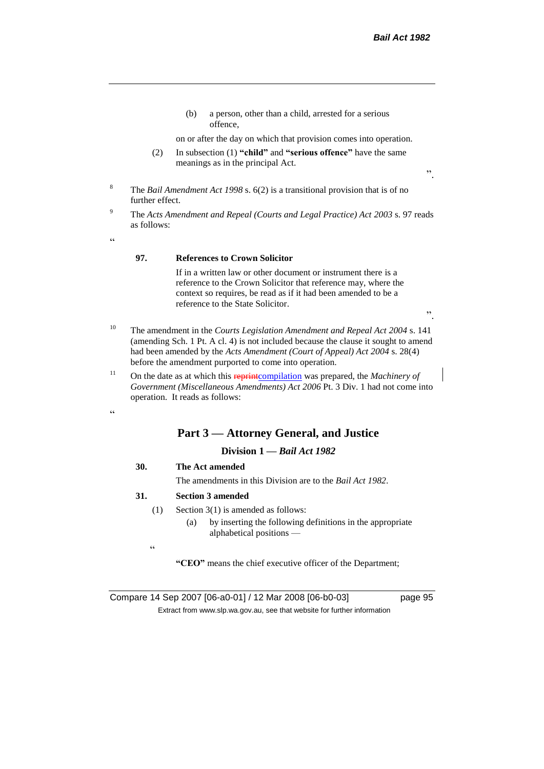(b) a person, other than a child, arrested for a serious offence,

on or after the day on which that provision comes into operation.

(2) In subsection (1) **"child"** and **"serious offence"** have the same meanings as in the principal Act.

".

- <sup>8</sup> The *Bail Amendment Act 1998* s. 6(2) is a transitional provision that is of no further effect.
- <sup>9</sup> The *Acts Amendment and Repeal (Courts and Legal Practice) Act 2003* s. 97 reads as follows:

 $\epsilon$ 

#### **97. References to Crown Solicitor**

If in a written law or other document or instrument there is a reference to the Crown Solicitor that reference may, where the context so requires, be read as if it had been amended to be a reference to the State Solicitor.

".

- <sup>10</sup> The amendment in the *Courts Legislation Amendment and Repeal Act 2004* s. 141 (amending Sch. 1 Pt. A cl. 4) is not included because the clause it sought to amend had been amended by the *Acts Amendment (Court of Appeal) Act 2004* s. 28(4) before the amendment purported to come into operation.
- <sup>11</sup> On the date as at which this **reprint**compilation was prepared, the *Machinery of Government (Miscellaneous Amendments) Act 2006* Pt. 3 Div. 1 had not come into operation. It reads as follows:

 $cc$ 

#### **Part 3 — Attorney General, and Justice**

#### **Division 1 —** *Bail Act 1982*

#### **30. The Act amended**

The amendments in this Division are to the *Bail Act 1982*.

#### **31. Section 3 amended**

- (1) Section 3(1) is amended as follows:
	- (a) by inserting the following definitions in the appropriate alphabetical positions —

 $\epsilon$ 

**"CEO"** means the chief executive officer of the Department;

Compare 14 Sep 2007 [06-a0-01] / 12 Mar 2008 [06-b0-03] page 95 Extract from www.slp.wa.gov.au, see that website for further information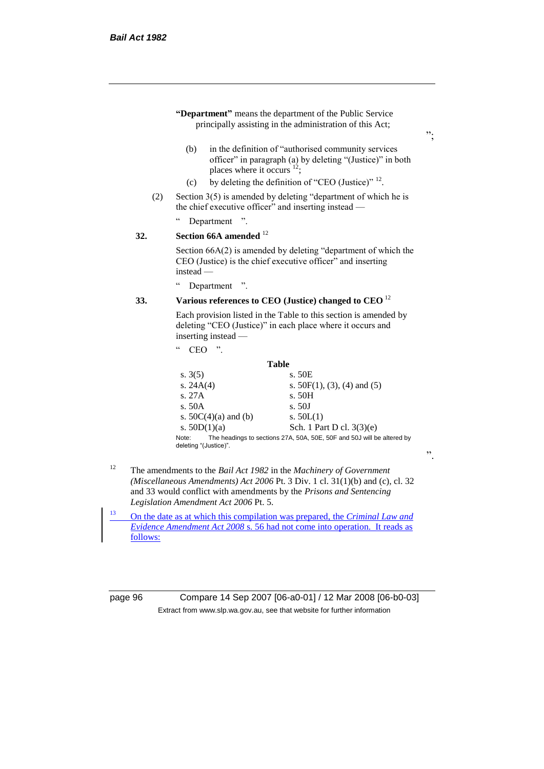|     | (b)<br>places where it occurs $^{12}$ ;                                                                                | in the definition of "authorised community services"<br>officer" in paragraph (a) by deleting "(Justice)" in both              |  |
|-----|------------------------------------------------------------------------------------------------------------------------|--------------------------------------------------------------------------------------------------------------------------------|--|
|     | (c)                                                                                                                    | by deleting the definition of "CEO (Justice)" <sup>12</sup> .                                                                  |  |
| (2) | Section 3(5) is amended by deleting "department of which he is<br>the chief executive officer" and inserting instead — |                                                                                                                                |  |
|     | Department<br>$\cdot$ $\cdot$                                                                                          |                                                                                                                                |  |
| 32. | Section 66A amended <sup>12</sup>                                                                                      |                                                                                                                                |  |
|     | $instead -$                                                                                                            | Section 66A(2) is amended by deleting "department of which the<br>CEO (Justice) is the chief executive officer" and inserting  |  |
|     | $\epsilon$<br>Department ".                                                                                            |                                                                                                                                |  |
| 33. | Various references to CEO (Justice) changed to CEO <sup>12</sup>                                                       |                                                                                                                                |  |
|     | inserting instead —                                                                                                    | Each provision listed in the Table to this section is amended by<br>deleting "CEO (Justice)" in each place where it occurs and |  |
|     | $\mathsf{c}\,\mathsf{c}$<br><b>CEO</b>                                                                                 |                                                                                                                                |  |
|     |                                                                                                                        | <b>Table</b>                                                                                                                   |  |
|     | s. $3(5)$                                                                                                              | s. 50E                                                                                                                         |  |
|     | s. $24A(4)$<br>s. 27A                                                                                                  | s. $50F(1)$ , (3), (4) and (5)<br>s. 50H                                                                                       |  |
|     | s. 50A                                                                                                                 | s. 50J                                                                                                                         |  |
|     | s. $50C(4)(a)$ and (b)                                                                                                 | s. $50L(1)$                                                                                                                    |  |
|     | s. $50D(1)(a)$                                                                                                         | Sch. 1 Part D cl. 3(3)(e)                                                                                                      |  |
|     | Note:                                                                                                                  | The headings to sections 27A, 50A, 50E, 50F and 50J will be altered by                                                         |  |

- and 33 would conflict with amendments by the *Prisons and Sentencing Legislation Amendment Act 2006* Pt. 5.
- <sup>13</sup> On the date as at which this compilation was prepared, the *Criminal Law and Evidence Amendment Act 2008* s. 56 had not come into operation. It reads as follows:

page 96 Compare 14 Sep 2007 [06-a0-01] / 12 Mar 2008 [06-b0-03] Extract from www.slp.wa.gov.au, see that website for further information